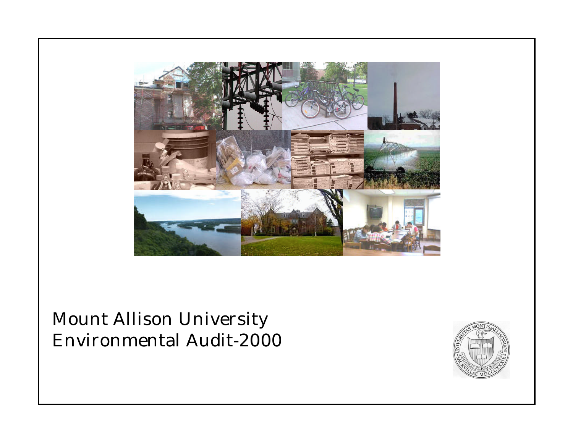

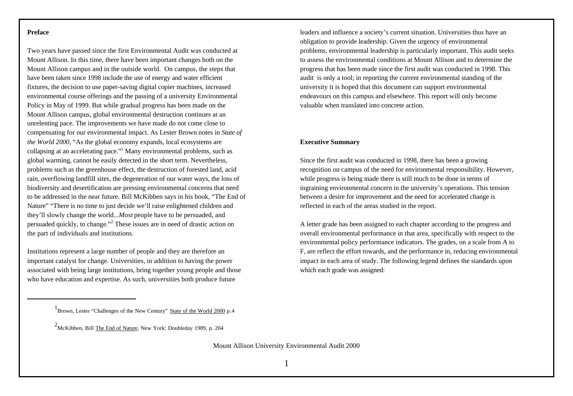#### **Preface**

Two years have passed since the first Environmental Audit was conducted at Mount Allison. In this time, there have been important changes both on the Mount Allison campus and in the outside world. On campus, the steps that have been taken since 1998 include the use of energy and water efficient fixtures, the decision to use paper-saving digital copier machines, increased environmental course offerings and the passing of a university Environmental Policy in May of 1999. But while gradual progress has been made on the Mount Allison campus, global environmental destruction continues at an unrelenting pace. The improvements we have made do not come close to compensating for our environmental impact. As Lester Brown notes in *State of the World 2000*, "As the global economy expands, local ecosystems are collapsing at an accelerating pace."<sup>1</sup> Many environmental problems, such as global warming, cannot be easily detected in the short term. Nevertheless, problems such as the greenhouse effect, the destruction of forested land, acid rain, overflowing landfill sites, the degeneration of our water ways, the loss of biodiversity and desertification are pressing environmental concerns that need to be addressed in the near future. Bill McKibben says in his book, "The End of Nature" "There is no time to just decide we'll raise enlightened children and they'll slowly change the world...*Most* people have to be persuaded, and persuaded quickly, to change."<sup>2</sup> These issues are in need of drastic action on the part of individuals and institutions.

Institutions represent a large number of people and they are therefore an important catalyst for change. Universities, in addition to having the power associated with being large institutions, bring together young people and those who have education and expertise. As such, universities both produce future

leaders and influence a society's current situation. Universities thus have an obligation to provide leadership. Given the urgency of environmental problems, environmental leadership is particularly important. This audit seeks to assess the environmental conditions at Mount Allison and to determine the progress that has been made since the first audit was conducted in 1998. This audit is only a tool; in reporting the current environmental standing of the university it is hoped that this document can support environmental endeavours on this campus and elsewhere. This report will only become valuable when translated into concrete action.

#### **Executive Summary**

Since the first audit was conducted in 1998, there has been a growing recognition on campus of the need for environmental responsibility. However, while progress is being made there is still much to be done in terms of ingraining environmental concern in the university's operations. This tension between a desire for improvement and the need for accelerated change is reflected in each of the areas studied in the report.

A letter grade has been assigned to each chapter according to the progress and overall environmental performance in that area, specifically with respect to the environmental policy performance indicators. The grades, on a scale from A to F, are reflect the effort towards, and the performance in, reducing environmental impact in each area of study. The following legend defines the standards upon which each grade was assigned:

<sup>&</sup>lt;sup>1</sup> Brown, Lester "Challenges of the New Century" State of the World 2000 p.4

<sup>2</sup>McKibben, Bill The End of Nature, New York: Doubleday 1989, p. 204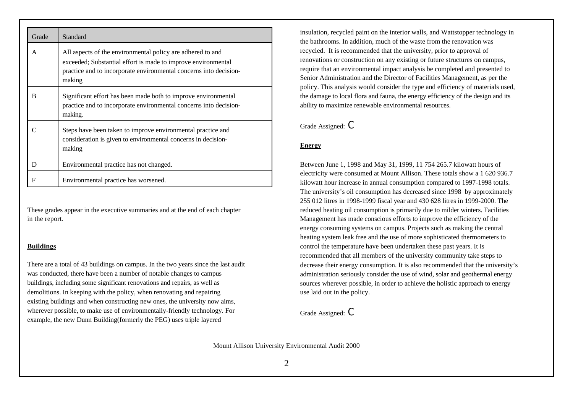| Grade | Standard                                                                                                                                                                                                   |
|-------|------------------------------------------------------------------------------------------------------------------------------------------------------------------------------------------------------------|
| A     | All aspects of the environmental policy are adhered to and<br>exceeded; Substantial effort is made to improve environmental<br>practice and to incorporate environmental concerns into decision-<br>making |
| R     | Significant effort has been made both to improve environmental<br>practice and to incorporate environmental concerns into decision-<br>making.                                                             |
|       | Steps have been taken to improve environmental practice and<br>consideration is given to environmental concerns in decision-<br>making                                                                     |
| D     | Environmental practice has not changed.                                                                                                                                                                    |
| F     | Environmental practice has worsened.                                                                                                                                                                       |

These grades appear in the executive summaries and at the end of each chapter in the report.

#### **Buildings**

There are a total of 43 buildings on campus. In the two years since the last audit was conducted, there have been a number of notable changes to campus buildings, including some significant renovations and repairs, as well as demolitions. In keeping with the policy, when renovating and repairing existing buildings and when constructing new ones, the university now aims, wherever possible, to make use of environmentally-friendly technology. For example, the new Dunn Building(formerly the PEG) uses triple layered

insulation, recycled paint on the interior walls, and Wattstopper technology in the bathrooms. In addition, much of the waste from the renovation was recycled. It is recommended that the university, prior to approval of renovations or construction on any existing or future structures on campus, require that an environmental impact analysis be completed and presented to Senior Administration and the Director of Facilities Management, as per the policy. This analysis would consider the type and efficiency of materials used, the damage to local flora and fauna, the energy efficiency of the design and its ability to maximize renewable environmental resources.

Grade Assigned: C

#### **Energy**

Between June 1, 1998 and May 31, 1999, 11 754 265.7 kilowatt hours of electricity were consumed at Mount Allison. These totals show a 1 620 936.7 kilowatt hour increase in annual consumption compared to 1997-1998 totals. The university's oil consumption has decreased since 1998 by approximately 255 012 litres in 1998-1999 fiscal year and 430 628 litres in 1999-2000. The reduced heating oil consumption is primarily due to milder winters. Facilities Management has made conscious efforts to improve the efficiency of the energy consuming systems on campus. Projects such as making the central heating system leak free and the use of more sophisticated thermometers to control the temperature have been undertaken these past years. It is recommended that all members of the university community take steps to decrease their energy consumption. It is also recommended that the university's administration seriously consider the use of wind, solar and geothermal energy sources wherever possible, in order to achieve the holistic approach to energy use laid out in the policy.

Grade Assigned: C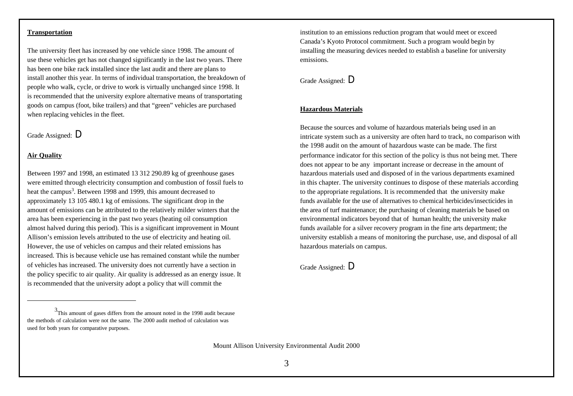#### **Transportation**

The university fleet has increased by one vehicle since 1998. The amount of use these vehicles get has not changed significantly in the last two years. There has been one bike rack installed since the last audit and there are plans to install another this year. In terms of individual transportation, the breakdown of people who walk, cycle, or drive to work is virtually unchanged since 1998. It is recommended that the university explore alternative means of transportating goods on campus (foot, bike trailers) and that "green" vehicles are purchased when replacing vehicles in the fleet.

# Grade Assigned: D

#### **Air Quality**

Between 1997 and 1998, an estimated 13 312 290.89 kg of greenhouse gases were emitted through electricity consumption and combustion of fossil fuels to heat the campus<sup>3</sup>. Between 1998 and 1999, this amount decreased to approximately 13 105 480.1 kg of emissions. The significant drop in the amount of emissions can be attributed to the relatively milder winters that the area has been experiencing in the past two years (heating oil consumption almost halved during this period). This is a significant improvement in Mount Allison's emission levels attributed to the use of electricity and heating oil. However, the use of vehicles on campus and their related emissions has increased. This is because vehicle use has remained constant while the number of vehicles has increased. The university does not currently have a section in the policy specific to air quality. Air quality is addressed as an energy issue. It is recommended that the university adopt a policy that will commit the

Mount Allison University Environmental Audit 2000

institution to an emissions reduction program that would meet or exceed Canada's Kyoto Protocol commitment. Such a program would begin by installing the measuring devices needed to establish a baseline for university emissions.

# Grade Assigned: D

#### **Hazardous Materials**

Because the sources and volume of hazardous materials being used in an intricate system such as a university are often hard to track, no comparison with the 1998 audit on the amount of hazardous waste can be made. The first performance indicator for this section of the policy is thus not being met. There does not appear to be any important increase or decrease in the amount of hazardous materials used and disposed of in the various departments examined in this chapter. The university continues to dispose of these materials according to the appropriate regulations. It is recommended that the university make funds available for the use of alternatives to chemical herbicides/insecticides in the area of turf maintenance; the purchasing of cleaning materials be based on environmental indicators beyond that of human health; the university make funds available for a silver recovery program in the fine arts department; the university establish a means of monitoring the purchase, use, and disposal of all hazardous materials on campus.

Grade Assigned: D

<sup>&</sup>lt;sup>3</sup>This amount of gases differs from the amount noted in the 1998 audit because the methods of calculation were not the same. The 2000 audit method of calculation was used for both years for comparative purposes.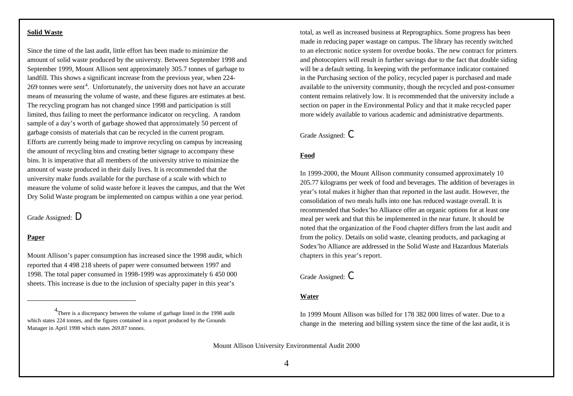#### **Solid Waste**

Since the time of the last audit, little effort has been made to minimize the amount of solid waste produced by the universty. Between September 1998 and September 1999, Mount Allison sent approximately 305.7 tonnes of garbage to landfill. This shows a significant increase from the previous year, when 224- 269 tonnes were sent<sup>4</sup>. Unfortunately, the university does not have an accurate means of measuring the volume of waste, and these figures are estimates at best. The recycling program has not changed since 1998 and participation is still limited, thus failing to meet the performance indicator on recycling. A random sample of a day's worth of garbage showed that approximately 50 percent of garbage consists of materials that can be recycled in the current program. Efforts are currently being made to improve recycling on campus by increasing the amount of recycling bins and creating better signage to accompany these bins. It is imperative that all members of the university strive to minimize the amount of waste produced in their daily lives. It is recommended that the university make funds available for the purchase of a scale with which to measure the volume of solid waste before it leaves the campus, and that the Wet Dry Solid Waste program be implemented on campus within a one year period.

Grade Assigned: D

## **Paper**

Mount Allison's paper consumption has increased since the 1998 audit, which reported that 4 498 218 sheets of paper were consumed between 1997 and 1998. The total paper consumed in 1998-1999 was approximately 6 450 000 sheets. This increase is due to the inclusion of specialty paper in this year's

total, as well as increased business at Reprographics. Some progress has been made in reducing paper wastage on campus. The library has recently switched to an electronic notice system for overdue books. The new contract for printers and photocopiers will result in further savings due to the fact that double siding will be a default setting. In keeping with the performance indicator contained in the Purchasing section of the policy, recycled paper is purchased and made available to the university community, though the recycled and post-consumer content remains relatively low. It is recommended that the university include a section on paper in the Environmental Policy and that it make recycled paper more widely available to various academic and administrative departments.

Grade Assigned: C

#### **Food**

In 1999-2000, the Mount Allison community consumed approximately 10 205.77 kilograms per week of food and beverages. The addition of beverages in year's total makes it higher than that reported in the last audit. However, the consolidation of two meals halls into one has reduced wastage overall. It is recommended that Sodex'ho Alliance offer an organic options for at least one meal per week and that this be implemented in the near future. It should be noted that the organization of the Food chapter differs from the last audit and from the policy. Details on solid waste, cleaning products, and packaging at Sodex'ho Alliance are addressed in the Solid Waste and Hazardous Materials chapters in this year's report.

Grade Assigned: C

#### **Water**

In 1999 Mount Allison was billed for 178 382 000 litres of water. Due to a change in the metering and billing system since the time of the last audit, it is

<sup>&</sup>lt;sup>4</sup>There is a discrepancy between the volume of garbage listed in the 1998 audit which states 224 tonnes, and the figures contained in a report produced by the Grounds Manager in April 1998 which states 269.87 tonnes.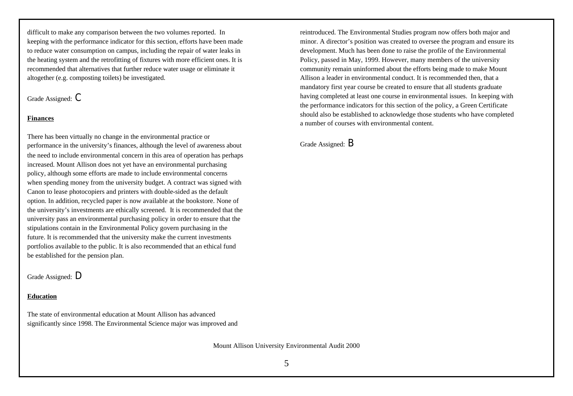difficult to make any comparison between the two volumes reported. In keeping with the performance indicator for this section, efforts have been made to reduce water consumption on campus, including the repair of water leaks in the heating system and the retrofitting of fixtures with more efficient ones. It is recommended that alternatives that further reduce water usage or eliminate it altogether (e.g. composting toilets) be investigated.

Grade Assigned: C

#### **Finances**

There has been virtually no change in the environmental practice or performance in the university's finances, although the level of awareness about the need to include environmental concern in this area of operation has perhaps increased. Mount Allison does not yet have an environmental purchasing policy, although some efforts are made to include environmental concerns when spending money from the university budget. A contract was signed with Canon to lease photocopiers and printers with double-sided as the default option. In addition, recycled paper is now available at the bookstore. None of the university's investments are ethically screened. It is recommended that the university pass an environmental purchasing policy in order to ensure that the stipulations contain in the Environmental Policy govern purchasing in the future. It is recommended that the university make the current investments portfolios available to the public. It is also recommended that an ethical fund be established for the pension plan.

Grade Assigned: D

#### **Education**

The state of environmental education at Mount Allison has advanced significantly since 1998. The Environmental Science major was improved and

Mount Allison University Environmental Audit 2000

reintroduced. The Environmental Studies program now offers both major and minor. A director's position was created to oversee the program and ensure its development. Much has been done to raise the profile of the Environmental Policy, passed in May, 1999. However, many members of the university community remain uninformed about the efforts being made to make Mount Allison a leader in environmental conduct. It is recommended then, that a mandatory first year course be created to ensure that all students graduate having completed at least one course in environmental issues. In keeping with the performance indicators for this section of the policy, a Green Certificate should also be established to acknowledge those students who have completed a number of courses with environmental content.

Grade Assigned: B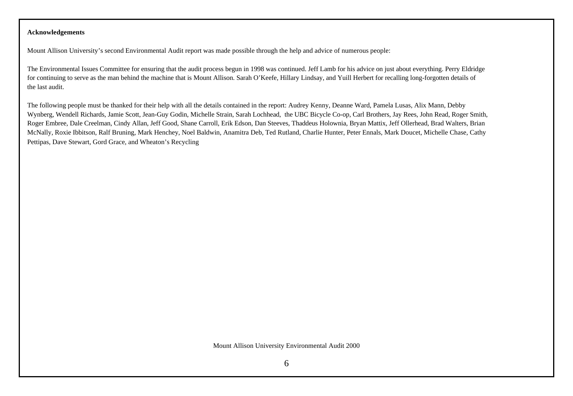#### **Acknowledgements**

Mount Allison University's second Environmental Audit report was made possible through the help and advice of numerous people:

The Environmental Issues Committee for ensuring that the audit process begun in 1998 was continued. Jeff Lamb for his advice on just about everything. Perry Eldridge for continuing to serve as the man behind the machine that is Mount Allison. Sarah O'Keefe, Hillary Lindsay, and Yuill Herbert for recalling long-forgotten details of the last audit.

The following people must be thanked for their help with all the details contained in the report: Audrey Kenny, Deanne Ward, Pamela Lusas, Alix Mann, Debby Wynberg, Wendell Richards, Jamie Scott, Jean-Guy Godin, Michelle Strain, Sarah Lochhead, the UBC Bicycle Co-op, Carl Brothers, Jay Rees, John Read, Roger Smith, Roger Embree, Dale Creelman, Cindy Allan, Jeff Good, Shane Carroll, Erik Edson, Dan Steeves, Thaddeus Holownia, Bryan Mattix, Jeff Ollerhead, Brad Walters, Brian McNally, Roxie Ibbitson, Ralf Bruning, Mark Henchey, Noel Baldwin, Anamitra Deb, Ted Rutland, Charlie Hunter, Peter Ennals, Mark Doucet, Michelle Chase, Cathy Pettipas, Dave Stewart, Gord Grace, and Wheaton's Recycling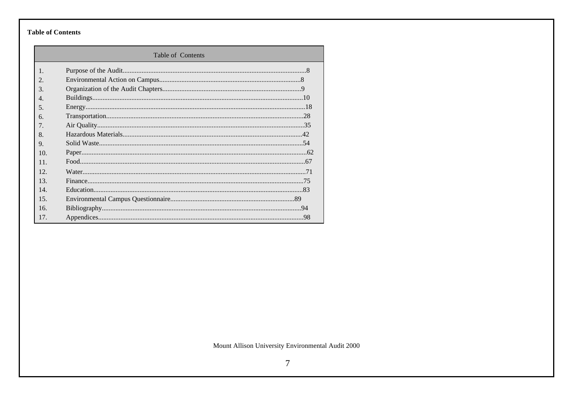# **Table of Contents**

| Table of Contents      |  |  |
|------------------------|--|--|
| $\mathbf{1}$ .         |  |  |
| $\mathcal{D}_{\alpha}$ |  |  |
| $\mathcal{R}$          |  |  |
| $\overline{4}$ .       |  |  |
| .5.                    |  |  |
| 6.                     |  |  |
| $7_{\cdot}$            |  |  |
| 8.                     |  |  |
| $Q_{.}$                |  |  |
| 10.                    |  |  |
| 11.                    |  |  |
| 12.                    |  |  |
| 13.                    |  |  |
| 14                     |  |  |
| 15.                    |  |  |
| 16.                    |  |  |
| 17.                    |  |  |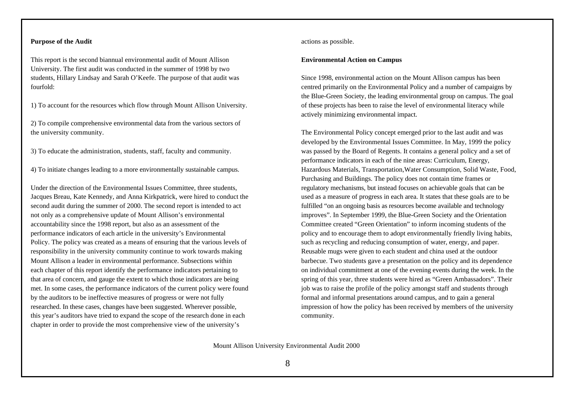#### **Purpose of the Audit**

This report is the second biannual environmental audit of Mount Allison University. The first audit was conducted in the summer of 1998 by two students, Hillary Lindsay and Sarah O'Keefe. The purpose of that audit was fourfold:

1) To account for the resources which flow through Mount Allison University.

2) To compile comprehensive environmental data from the various sectors of the university community.

3) To educate the administration, students, staff, faculty and community.

4) To initiate changes leading to a more environmentally sustainable campus.

Under the direction of the Environmental Issues Committee, three students, Jacques Breau, Kate Kennedy, and Anna Kirkpatrick, were hired to conduct the second audit during the summer of 2000. The second report is intended to act not only as a comprehensive update of Mount Allison's environmental accountability since the 1998 report, but also as an assessment of the performance indicators of each article in the university's Environmental Policy. The policy was created as a means of ensuring that the various levels of responsibility in the university community continue to work towards making Mount Allison a leader in environmental performance. Subsections within each chapter of this report identify the performance indicators pertaining to that area of concern, and gauge the extent to which those indicators are being met. In some cases, the performance indicators of the current policy were found by the auditors to be ineffective measures of progress or were not fully researched. In these cases, changes have been suggested. Wherever possible, this year's auditors have tried to expand the scope of the research done in each chapter in order to provide the most comprehensive view of the university's

actions as possible.

#### **Environmental Action on Campus**

Since 1998, environmental action on the Mount Allison campus has been centred primarily on the Environmental Policy and a number of campaigns by the Blue-Green Society, the leading environmental group on campus. The goal of these projects has been to raise the level of environmental literacy while actively minimizing environmental impact.

The Environmental Policy concept emerged prior to the last audit and was developed by the Environmental Issues Committee. In May, 1999 the policy was passed by the Board of Regents. It contains a general policy and a set of performance indicators in each of the nine areas: Curriculum, Energy, Hazardous Materials, Transportation,Water Consumption, Solid Waste, Food, Purchasing and Buildings. The policy does not contain time frames or regulatory mechanisms, but instead focuses on achievable goals that can be used as a measure of progress in each area. It states that these goals are to be fulfilled "on an ongoing basis as resources become available and technology improves". In September 1999, the Blue-Green Society and the Orientation Committee created "Green Orientation" to inform incoming students of the policy and to encourage them to adopt environmentally friendly living habits, such as recycling and reducing consumption of water, energy, and paper. Reusable mugs were given to each student and china used at the outdoor barbecue. Two students gave a presentation on the policy and its dependence on individual commitment at one of the evening events during the week. In the spring of this year, three students were hired as "Green Ambassadors". Their job was to raise the profile of the policy amongst staff and students through formal and informal presentations around campus, and to gain a general impression of how the policy has been received by members of the university community.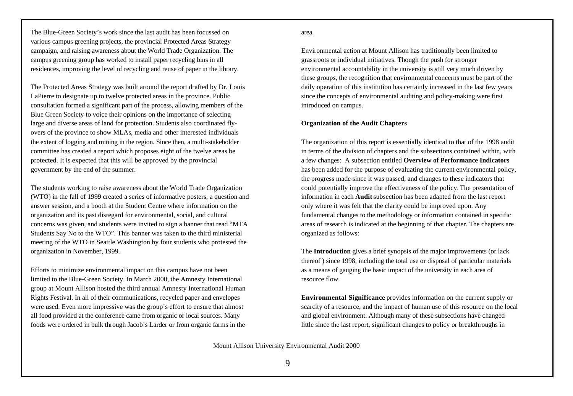The Blue-Green Society's work since the last audit has been focussed on various campus greening projects, the provincial Protected Areas Strategy campaign, and raising awareness about the World Trade Organization. The campus greening group has worked to install paper recycling bins in all residences, improving the level of recycling and reuse of paper in the library.

The Protected Areas Strategy was built around the report drafted by Dr. Louis LaPierre to designate up to twelve protected areas in the province. Public consultation formed a significant part of the process, allowing members of the Blue Green Society to voice their opinions on the importance of selecting large and diverse areas of land for protection. Students also coordinated flyovers of the province to show MLAs, media and other interested individuals the extent of logging and mining in the region. Since then, a multi-stakeholder committee has created a report which proposes eight of the twelve areas be protected. It is expected that this will be approved by the provincial government by the end of the summer.

The students working to raise awareness about the World Trade Organization (WTO) in the fall of 1999 created a series of informative posters, a question and answer session, and a booth at the Student Centre where information on the organization and its past disregard for environmental, social, and cultural concerns was given, and students were invited to sign a banner that read "MTA Students Say No to the WTO". This banner was taken to the third ministerial meeting of the WTO in Seattle Washington by four students who protested the organization in November, 1999.

Efforts to minimize environmental impact on this campus have not been limited to the Blue-Green Society. In March 2000, the Amnesty International group at Mount Allison hosted the third annual Amnesty International Human Rights Festival. In all of their communications, recycled paper and envelopes were used. Even more impressive was the group's effort to ensure that almost all food provided at the conference came from organic or local sources. Many foods were ordered in bulk through Jacob's Larder or from organic farms in the

area.

Environmental action at Mount Allison has traditionally been limited to grassroots or individual initiatives. Though the push for stronger environmental accountability in the university is still very much driven by these groups, the recognition that environmental concerns must be part of the daily operation of this institution has certainly increased in the last few years since the concepts of environmental auditing and policy-making were first introduced on campus.

#### **Organization of the Audit Chapters**

The organization of this report is essentially identical to that of the 1998 audit in terms of the division of chapters and the subsections contained within, with a few changes: A subsection entitled **Overview of Performance Indicators** has been added for the purpose of evaluating the current environmental policy, the progress made since it was passed, and changes to these indicators that could potentially improve the effectiveness of the policy. The presentation of information in each **Audit** subsection has been adapted from the last report only where it was felt that the clarity could be improved upon. Any fundamental changes to the methodology or information contained in specific areas of research is indicated at the beginning of that chapter. The chapters are organized as follows:

The **Introduction** gives a brief synopsis of the major improvements (or lack thereof ) since 1998, including the total use or disposal of particular materials as a means of gauging the basic impact of the university in each area of resource flow.

**Environmental Significance** provides information on the current supply or scarcity of a resource, and the impact of human use of this resource on the local and global environment. Although many of these subsections have changed little since the last report, significant changes to policy or breakthroughs in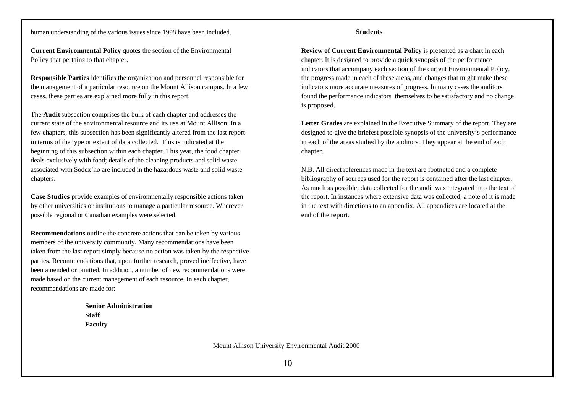human understanding of the various issues since 1998 have been included.

**Current Environmental Policy** quotes the section of the Environmental Policy that pertains to that chapter.

**Responsible Parties** identifies the organization and personnel responsible for the management of a particular resource on the Mount Allison campus. In a few cases, these parties are explained more fully in this report.

The **Audit** subsection comprises the bulk of each chapter and addresses the current state of the environmental resource and its use at Mount Allison. In a few chapters, this subsection has been significantly altered from the last report in terms of the type or extent of data collected. This is indicated at the beginning of this subsection within each chapter. This year, the food chapter deals exclusively with food; details of the cleaning products and solid waste associated with Sodex'ho are included in the hazardous waste and solid waste chapters.

**Case Studies** provide examples of environmentally responsible actions taken by other universities or institutions to manage a particular resource. Wherever possible regional or Canadian examples were selected.

**Recommendations** outline the concrete actions that can be taken by various members of the university community. Many recommendations have been taken from the last report simply because no action was taken by the respective parties. Recommendations that, upon further research, proved ineffective, have been amended or omitted. In addition, a number of new recommendations were made based on the current management of each resource. In each chapter, recommendations are made for:

> **Senior Administration Staff Faculty**

**Students**

**Review of Current Environmental Policy** is presented as a chart in each chapter. It is designed to provide a quick synopsis of the performance indicators that accompany each section of the current Environmental Policy, the progress made in each of these areas, and changes that might make these indicators more accurate measures of progress. In many cases the auditors found the performance indicators themselves to be satisfactory and no change is proposed.

**Letter Grades** are explained in the Executive Summary of the report. They are designed to give the briefest possible synopsis of the university's performance in each of the areas studied by the auditors. They appear at the end of each chapter.

N.B. All direct references made in the text are footnoted and a complete bibliography of sources used for the report is contained after the last chapter. As much as possible, data collected for the audit was integrated into the text of the report. In instances where extensive data was collected, a note of it is made in the text with directions to an appendix. All appendices are located at the end of the report.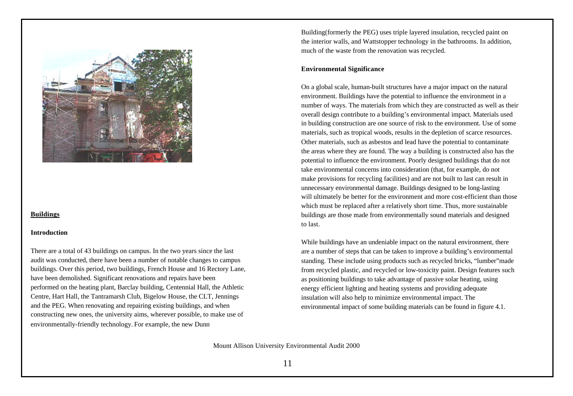

#### **Buildings**

#### **Introduction**

There are a total of 43 buildings on campus. In the two years since the last audit was conducted, there have been a number of notable changes to campus buildings. Over this period, two buildings, French House and 16 Rectory Lane, have been demolished. Significant renovations and repairs have been performed on the heating plant, Barclay building, Centennial Hall, the Athletic Centre, Hart Hall, the Tantramarsh Club, Bigelow House, the CLT, Jennings and the PEG. When renovating and repairing existing buildings, and when constructing new ones, the university aims, wherever possible, to make use of environmentally-friendly technology. For example, the new Dunn

Building(formerly the PEG) uses triple layered insulation, recycled paint on the interior walls, and Wattstopper technology in the bathrooms. In addition, much of the waste from the renovation was recycled.

#### **Environmental Significance**

On a global scale, human-built structures have a major impact on the natural environment. Buildings have the potential to influence the environment in a number of ways. The materials from which they are constructed as well as their overall design contribute to a building's environmental impact. Materials used in building construction are one source of risk to the environment. Use of some materials, such as tropical woods, results in the depletion of scarce resources. Other materials, such as asbestos and lead have the potential to contaminate the areas where they are found. The way a building is constructed also has the potential to influence the environment. Poorly designed buildings that do not take environmental concerns into consideration (that, for example, do not make provisions for recycling facilities) and are not built to last can result in unnecessary environmental damage. Buildings designed to be long-lasting will ultimately be better for the environment and more cost-efficient than those which must be replaced after a relatively short time. Thus, more sustainable buildings are those made from environmentally sound materials and designed to last.

While buildings have an undeniable impact on the natural environment, there are a number of steps that can be taken to improve a building's environmental standing. These include using products such as recycled bricks, "lumber"made from recycled plastic, and recycled or low-toxicity paint. Design features such as positioning buildings to take advantage of passive solar heating, using energy efficient lighting and heating systems and providing adequate insulation will also help to minimize environmental impact. The environmental impact of some building materials can be found in figure 4.1.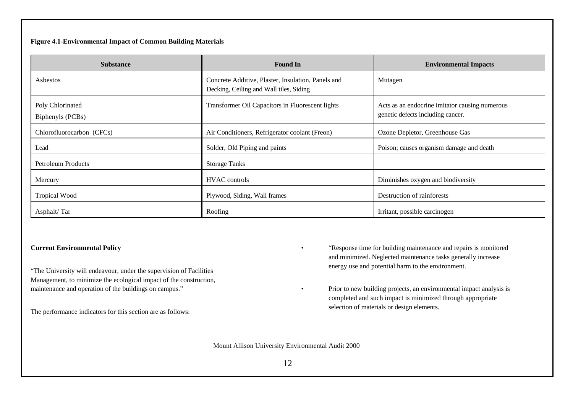## **Figure 4.1-Environmental Impact of Common Building Materials**

| <b>Substance</b>                     | <b>Found In</b>                                                                               | <b>Environmental Impacts</b>                                                        |
|--------------------------------------|-----------------------------------------------------------------------------------------------|-------------------------------------------------------------------------------------|
| Asbestos                             | Concrete Additive, Plaster, Insulation, Panels and<br>Decking, Ceiling and Wall tiles, Siding | Mutagen                                                                             |
| Poly Chlorinated<br>Biphenyls (PCBs) | Transformer Oil Capacitors in Fluorescent lights                                              | Acts as an endocrine imitator causing numerous<br>genetic defects including cancer. |
| Chlorofluorocarbon (CFCs)            | Air Conditioners, Refrigerator coolant (Freon)                                                | Ozone Depletor, Greenhouse Gas                                                      |
| Lead                                 | Solder, Old Piping and paints                                                                 | Poison; causes organism damage and death                                            |
| Petroleum Products                   | <b>Storage Tanks</b>                                                                          |                                                                                     |
| Mercury                              | <b>HVAC</b> controls                                                                          | Diminishes oxygen and biodiversity                                                  |
| <b>Tropical Wood</b>                 | Plywood, Siding, Wall frames                                                                  | Destruction of rainforests                                                          |
| Asphalt/Tar                          | Roofing                                                                                       | Irritant, possible carcinogen                                                       |

## **Current Environmental Policy**

"The University will endeavour, under the supervision of Facilities Management, to minimize the ecological impact of the construction, maintenance and operation of the buildings on campus."

The performance indicators for this section are as follows:

- "Response time for building maintenance and repairs is monitored and minimized. Neglected maintenance tasks generally increase energy use and potential harm to the environment.
- Prior to new building projects, an environmental impact analysis is completed and such impact is minimized through appropriate selection of materials or design elements.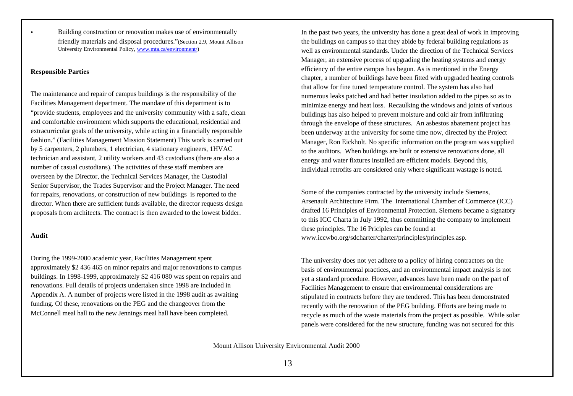• Building construction or renovation makes use of environmentally friendly materials and disposal procedures."(Section 2.9, Mount Allison University Environmental Policy, www.mta.ca/environment/)

#### **Responsible Parties**

The maintenance and repair of campus buildings is the responsibility of the Facilities Management department. The mandate of this department is to "provide students, employees and the university community with a safe, clean and comfortable environment which supports the educational, residential and extracurricular goals of the university, while acting in a financially responsible fashion." (Facilities Management Mission Statement) This work is carried out by 5 carpenters, 2 plumbers, 1 electrician, 4 stationary engineers, 1HVAC technician and assistant, 2 utility workers and 43 custodians (there are also a number of casual custodians). The activities of these staff members are overseen by the Director, the Technical Services Manager, the Custodial Senior Supervisor, the Trades Supervisor and the Project Manager. The need for repairs, renovations, or construction of new buildings is reported to the director. When there are sufficient funds available, the director requests design proposals from architects. The contract is then awarded to the lowest bidder.

#### **Audit**

During the 1999-2000 academic year, Facilities Management spent approximately \$2 436 465 on minor repairs and major renovations to campus buildings. In 1998-1999, approximately \$2 416 080 was spent on repairs and renovations. Full details of projects undertaken since 1998 are included in Appendix A. A number of projects were listed in the 1998 audit as awaiting funding. Of these, renovations on the PEG and the changeover from the McConnell meal hall to the new Jennings meal hall have been completed.

In the past two years, the university has done a great deal of work in improving the buildings on campus so that they abide by federal building regulations as well as environmental standards. Under the direction of the Technical Services Manager, an extensive process of upgrading the heating systems and energy efficiency of the entire campus has begun. As is mentioned in the Energy chapter, a number of buildings have been fitted with upgraded heating controls that allow for fine tuned temperature control. The system has also had numerous leaks patched and had better insulation added to the pipes so as to minimize energy and heat loss. Recaulking the windows and joints of various buildings has also helped to prevent moisture and cold air from infiltrating through the envelope of these structures. An asbestos abatement project has been underway at the university for some time now, directed by the Project Manager, Ron Eickholt. No specific information on the program was supplied to the auditors. When buildings are built or extensive renovations done, all energy and water fixtures installed are efficient models. Beyond this, individual retrofits are considered only where significant wastage is noted.

Some of the companies contracted by the university include Siemens, Arsenault Architecture Firm. The International Chamber of Commerce (ICC) drafted 16 Principles of Environmental Protection. Siemens became a signatory to this ICC Charta in July 1992, thus committing the company to implement these principles. The 16 Priciples can be found at www.iccwbo.org/sdcharter/charter/principles/principles.asp.

The university does not yet adhere to a policy of hiring contractors on the basis of environmental practices, and an environmental impact analysis is not yet a standard procedure. However, advances have been made on the part of Facilities Management to ensure that environmental considerations are stipulated in contracts before they are tendered. This has been demonstrated recently with the renovation of the PEG building. Efforts are being made to recycle as much of the waste materials from the project as possible. While solar panels were considered for the new structure, funding was not secured for this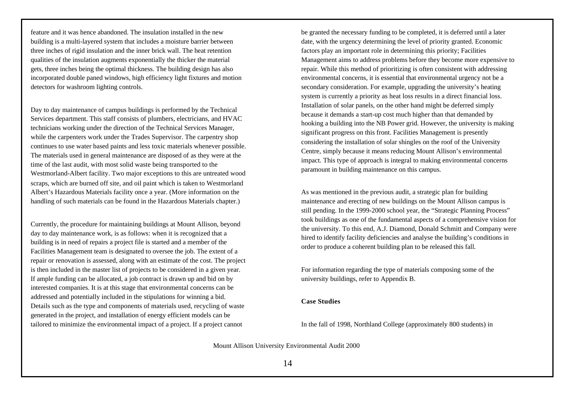feature and it was hence abandoned. The insulation installed in the new building is a multi-layered system that includes a moisture barrier between three inches of rigid insulation and the inner brick wall. The heat retention qualities of the insulation augments exponentially the thicker the material gets, three inches being the optimal thickness. The building design has also incorporated double paned windows, high efficiency light fixtures and motion detectors for washroom lighting controls.

Day to day maintenance of campus buildings is performed by the Technical Services department. This staff consists of plumbers, electricians, and HVAC technicians working under the direction of the Technical Services Manager, while the carpenters work under the Trades Supervisor. The carpentry shop continues to use water based paints and less toxic materials whenever possible. The materials used in general maintenance are disposed of as they were at the time of the last audit, with most solid waste being transported to the Westmorland-Albert facility. Two major exceptions to this are untreated wood scraps, which are burned off site, and oil paint which is taken to Westmorland Albert's Hazardous Materials facility once a year. (More information on the handling of such materials can be found in the Hazardous Materials chapter.)

Currently, the procedure for maintaining buildings at Mount Allison, beyond day to day maintenance work, is as follows: when it is recognized that a building is in need of repairs a project file is started and a member of the Facilities Management team is designated to oversee the job. The extent of a repair or renovation is assessed, along with an estimate of the cost. The project is then included in the master list of projects to be considered in a given year. If ample funding can be allocated, a job contract is drawn up and bid on by interested companies. It is at this stage that environmental concerns can be addressed and potentially included in the stipulations for winning a bid. Details such as the type and components of materials used, recycling of waste generated in the project, and installation of energy efficient models can be tailored to minimize the environmental impact of a project. If a project cannot

be granted the necessary funding to be completed, it is deferred until a later date, with the urgency determining the level of priority granted. Economic factors play an important role in determining this priority; Facilities Management aims to address problems before they become more expensive to repair. While this method of prioritizing is often consistent with addressing environmental concerns, it is essential that environmental urgency not be a secondary consideration. For example, upgrading the university's heating system is currently a priority as heat loss results in a direct financial loss. Installation of solar panels, on the other hand might be deferred simply because it demands a start-up cost much higher than that demanded by hooking a building into the NB Power grid. However, the university is making significant progress on this front. Facilities Management is presently considering the installation of solar shingles on the roof of the University Centre, simply because it means reducing Mount Allison's environmental impact. This type of approach is integral to making environmental concerns paramount in building maintenance on this campus.

As was mentioned in the previous audit, a strategic plan for building maintenance and erecting of new buildings on the Mount Allison campus is still pending. In the 1999-2000 school year, the "Strategic Planning Process" took buildings as one of the fundamental aspects of a comprehensive vision for the university. To this end, A.J. Diamond, Donald Schmitt and Company were hired to identify facility deficiencies and analyse the building's conditions in order to produce a coherent building plan to be released this fall.

For information regarding the type of materials composing some of the university buildings, refer to Appendix B.

#### **Case Studies**

In the fall of 1998, Northland College (approximately 800 students) in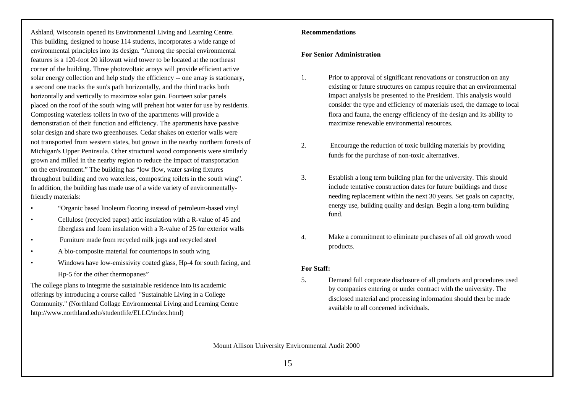Ashland, Wisconsin opened its Environmental Living and Learning Centre. This building, designed to house 114 students, incorporates a wide range of environmental principles into its design. "Among the special environmental features is a 120-foot 20 kilowatt wind tower to be located at the northeast corner of the building. Three photovoltaic arrays will provide efficient active solar energy collection and help study the efficiency -- one array is stationary, a second one tracks the sun's path horizontally, and the third tracks both horizontally and vertically to maximize solar gain. Fourteen solar panels placed on the roof of the south wing will preheat hot water for use by residents. Composting waterless toilets in two of the apartments will provide a demonstration of their function and efficiency. The apartments have passive solar design and share two greenhouses. Cedar shakes on exterior walls were not transported from western states, but grown in the nearby northern forests of Michigan's Upper Peninsula. Other structural wood components were similarly grown and milled in the nearby region to reduce the impact of transportation on the environment." The building has "low flow, water saving fixtures throughout building and two waterless, composting toilets in the south wing". In addition, the building has made use of a wide variety of environmentallyfriendly materials:

- "Organic based linoleum flooring instead of petroleum-based vinyl
- Cellulose (recycled paper) attic insulation with a R-value of 45 and fiberglass and foam insulation with a R-value of 25 for exterior walls
- Furniture made from recycled milk jugs and recycled steel
- A bio-composite material for countertops in south wing
- Windows have low-emissivity coated glass, Hp-4 for south facing, and Hp-5 for the other thermopanes"

The college plans to integrate the sustainable residence into its academic offerings by introducing a course called "Sustainable Living in a College Community." (Northland Collage Environmental Living and Learning Centre http://www.northland.edu/studentlife/ELLC/index.html)

#### **Recommendations**

#### **For Senior Administration**

- 1. Prior to approval of significant renovations or construction on any existing or future structures on campus require that an environmental impact analysis be presented to the President. This analysis would consider the type and efficiency of materials used, the damage to local flora and fauna, the energy efficiency of the design and its ability to maximize renewable environmental resources.
- 2. Encourage the reduction of toxic building materials by providing funds for the purchase of non-toxic alternatives.
- 3. Establish a long term building plan for the university. This should include tentative construction dates for future buildings and those needing replacement within the next 30 years. Set goals on capacity, energy use, building quality and design. Begin a long-term building fund.
- 4. Make a commitment to eliminate purchases of all old growth wood products.

#### **For Staff:**

5. Demand full corporate disclosure of all products and procedures used by companies entering or under contract with the university. The disclosed material and processing information should then be made available to all concerned individuals.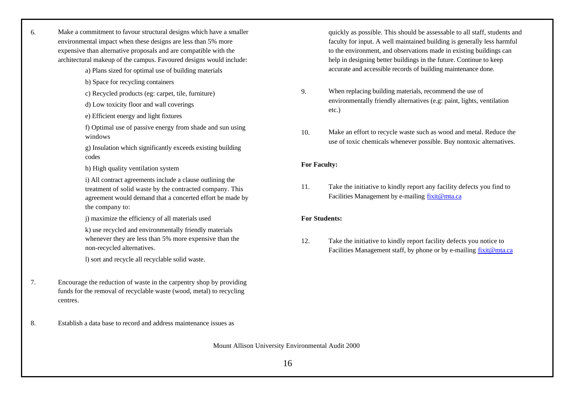| б. | Make a commitment to favour structural designs which have a smaller<br>environmental impact when these designs are less than 5% more<br>expensive than alternative proposals and are compatible with the<br>architectural makeup of the campus. Favoured designs would include: |
|----|---------------------------------------------------------------------------------------------------------------------------------------------------------------------------------------------------------------------------------------------------------------------------------|
|    | a) Plans sized for optimal use of building materials                                                                                                                                                                                                                            |
|    | b) Space for recycling containers                                                                                                                                                                                                                                               |
|    | c) Recycled products (eg: carpet, tile, furniture)                                                                                                                                                                                                                              |
|    | d) Low toxicity floor and wall coverings                                                                                                                                                                                                                                        |
|    | e) Efficient energy and light fixtures                                                                                                                                                                                                                                          |
|    | f) Optimal use of passive energy from shade and sun using<br>windows                                                                                                                                                                                                            |
|    | g) Insulation which significantly exceeds existing building<br>codes                                                                                                                                                                                                            |
|    | h) High quality ventilation system                                                                                                                                                                                                                                              |
|    | i) All contract agreements include a clause outlining the<br>treatment of solid waste by the contracted company. This<br>agreement would demand that a concerted effort be made by<br>the company to:                                                                           |
|    | j) maximize the efficiency of all materials used                                                                                                                                                                                                                                |
|    | k) use recycled and environmentally friendly materials<br>whenever they are less than 5% more expensive than the<br>non-recycled alternatives.                                                                                                                                  |
|    | I) sort and recycle all recyclable solid waste.                                                                                                                                                                                                                                 |
| 7. | Encourage the reduction of waste in the carpentry shop by providing<br>funds for the removal of recyclable waste (wood, metal) to recycling<br>centres.                                                                                                                         |
| 8. | Establish a data base to record and address maintenance issues as                                                                                                                                                                                                               |

Mount Allison University Environmental Audit 2000

quickly as possible. This should be assessable to all staff, students and faculty for input. A well maintained building is generally less harmful to the environment, and observations made in existing buildings can help in designing better buildings in the future. Continue to keep accurate and accessible records of building maintenance done.

- 9. When replacing building materials, recommend the use of environmentally friendly alternatives (e.g: paint, lights, ventilation etc.)
- 10. Make an effort to recycle waste such as wood and metal. Reduce the use of toxic chemicals whenever possible. Buy nontoxic alternatives.

## **For Faculty:**

11. Take the initiative to kindly report any facility defects you find to Facilities Management by e-mailing fixit@mta.ca

#### **For Students:**

12. Take the initiative to kindly report facility defects you notice to Facilities Management staff, by phone or by e-mailing fixit@mta.ca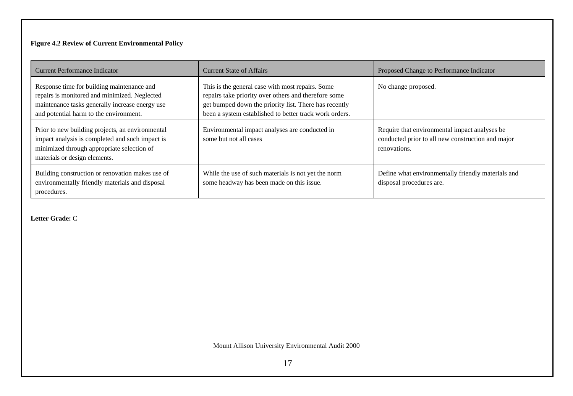# **Figure 4.2 Review of Current Environmental Policy**

| Current Performance Indicator                                                                                                                                                            | <b>Current State of Affairs</b>                                                                                                                                                                                             | Proposed Change to Performance Indicator                                                                           |
|------------------------------------------------------------------------------------------------------------------------------------------------------------------------------------------|-----------------------------------------------------------------------------------------------------------------------------------------------------------------------------------------------------------------------------|--------------------------------------------------------------------------------------------------------------------|
| Response time for building maintenance and<br>repairs is monitored and minimized. Neglected<br>maintenance tasks generally increase energy use<br>and potential harm to the environment. | This is the general case with most repairs. Some<br>repairs take priority over others and therefore some<br>get bumped down the priority list. There has recently<br>been a system established to better track work orders. | No change proposed.                                                                                                |
| Prior to new building projects, an environmental<br>impact analysis is completed and such impact is<br>minimized through appropriate selection of<br>materials or design elements.       | Environmental impact analyses are conducted in<br>some but not all cases                                                                                                                                                    | Require that environmental impact analyses be<br>conducted prior to all new construction and major<br>renovations. |
| Building construction or renovation makes use of<br>environmentally friendly materials and disposal<br>procedures.                                                                       | While the use of such materials is not yet the norm<br>some headway has been made on this issue.                                                                                                                            | Define what environmentally friendly materials and<br>disposal procedures are.                                     |

**Letter Grade:** C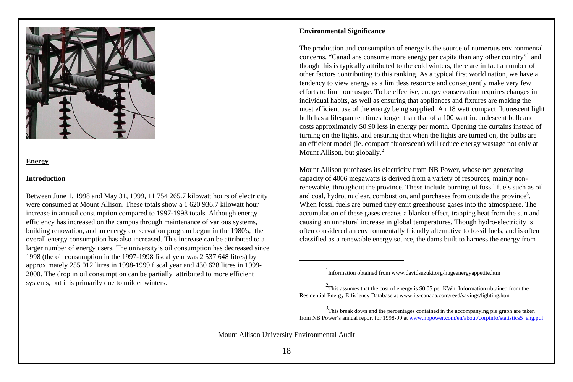

## **Energy**

#### **Introduction**

Between June 1, 1998 and May 31, 1999, 11 754 265.7 kilowatt hours of electricity were consumed at Mount Allison. These totals show a 1 620 936.7 kilowatt hour increase in annual consumption compared to 1997-1998 totals. Although energy efficiency has increased on the campus through maintenance of various systems, building renovation, and an energy conservation program begun in the 1980's, the overall energy consumption has also increased. This increase can be attributed to a larger number of energy users. The university's oil consumption has decreased since 1998 (the oil consumption in the 1997-1998 fiscal year was 2 537 648 litres) by approximately 255 012 litres in 1998-1999 fiscal year and 430 628 litres in 1999- 2000. The drop in oil consumption can be partially attributed to more efficient systems, but it is primarily due to milder winters.

# **Environmental Significance**

The production and consumption of energy is the source of numerous environmental concerns. "Canadians consume more energy per capita than any other country"<sup>1</sup> and though this is typically attributed to the cold winters, there are in fact a number of other factors contributing to this ranking. As a typical first world nation, we have a tendency to view energy as a limitless resource and consequently make very few efforts to limit our usage. To be effective, energy conservation requires changes in individual habits, as well as ensuring that appliances and fixtures are making the most efficient use of the energy being supplied. An 18 watt compact fluorescent light bulb has a lifespan ten times longer than that of a 100 watt incandescent bulb and costs approximately \$0.90 less in energy per month. Opening the curtains instead of turning on the lights, and ensuring that when the lights are turned on, the bulbs are an efficient model (ie. compact fluorescent) will reduce energy wastage not only at Mount Allison, but globally.<sup>2</sup>

Mount Allison purchases its electricity from NB Power, whose net generating capacity of 4006 megawatts is derived from a variety of resources, mainly nonrenewable, throughout the province. These include burning of fossil fuels such as oil and coal, hydro, nuclear, combustion, and purchases from outside the province<sup>3</sup>. When fossil fuels are burned they emit greenhouse gases into the atmosphere. The accumulation of these gases creates a blanket effect, trapping heat from the sun and causing an unnatural increase in global temperatures. Though hydro-electricity is often considered an environmentally friendly alternative to fossil fuels, and is often classified as a renewable energy source, the dams built to harness the energy from

 $3$ This break down and the percentages contained in the accompanying pie graph are taken from NB Power's annual report for 1998-99 at www.nbpower.com/en/about/corpinfo/statistics5\_eng.pdf

<sup>&</sup>lt;sup>1</sup>Information obtained from www.davidsuzuki.org/hugeenergyappetite.htm

 $2$ This assumes that the cost of energy is \$0.05 per KWh. Information obtained from the Residential Energy Efficiency Database at www.its-canada.com/reed/savings/lighting.htm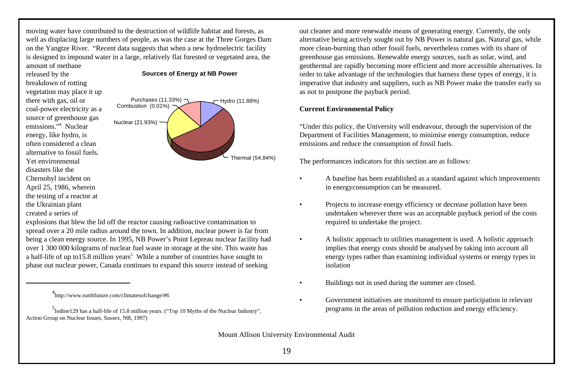moving water have contributed to the destruction of wildlife habitat and forests, as well as displacing large numbers of people, as was the case at the Three Gorges Dam on the Yangtze River. "Recent data suggests that when a new hydroelectric facility is designed to impound water in a large, relatively flat forested or vegetated area, the amount of methane

released by the breakdown of rotting vegetation may place it up there with gas, oil or coal-power electricity as a source of greenhouse gas emissions."<sup>4</sup> Nuclear energy, like hydro, is often considered a clean alternative to fossil fuels. Yet environmental disasters like the Chernobyl incident on April 25, 1986, wherein the testing of a reactor at the Ukrainian plant created a series of



**Sources of Energy at NB Power**

explosions that blew the lid off the reactor causing radioactive contamination to spread over a 20 mile radius around the town. In addition, nuclear power is far from being a clean energy source. In 1995, NB Power's Point Lepreau nuclear facility had over 1 300 000 kilograms of nuclear fuel waste in storage at the site. This waste has a half-life of up to 15.8 million years<sup>5</sup> While a number of countries have sought to phase out nuclear power, Canada continues to expand this source instead of seeking

out cleaner and more renewable means of generating energy. Currently, the only alternative being actively sought out by NB Power is natural gas. Natural gas, while more clean-burning than other fossil fuels, nevertheless comes with its share of greenhouse gas emissions. Renewable energy sources, such as solar, wind, and geothermal are rapidly becoming more efficient and more accessible alternatives. In order to take advantage of the technologies that harness these types of energy, it is imperative that industry and suppliers, such as NB Power make the transfer early so as not to postpone the payback period.

# **Current Environmental Policy**

"Under this policy, the University will endeavour, through the supervision of the Department of Facilities Management, to minimise energy consumption, reduce emissions and reduce the consumption of fossil fuels.

The performances indicators for this section are as follows:

- A baseline has been established as a standard against which improvements in energyconsumption can be measured.
- Projects to increase energy efficiency or decrease pollution have been undertaken wherever there was an acceptable payback period of the costs required to undertake the project.
- A holistic approach to utilities management is used. A holistic approach implies that energy costs should be analysed by taking into account all energy types rather than examining individual systems or energy types in isolation
- Buildings not in used during the summer are closed.
- Government initiatives are monitored to ensure participation in relevant programs in the areas of pollution reduction and energy efficiency.

<sup>4</sup> http://www.earthfuture.com/climatesofchange/#6

<sup>5</sup> Iodine129 has a half-life of 15.8 million years. ("Top 10 Myths of the Nuclear Industry", Action Group on Nuclear Issues, Sussex, NB, 1997)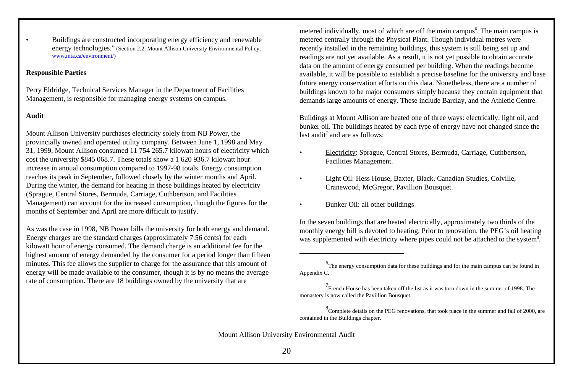• Buildings are constructed incorporating energy efficiency and renewable energy technologies." (Section 2.2, Mount Allison University Environmental Policy, www.mta.ca/environment/)

# **Responsible Parties**

Perry Eldridge, Technical Services Manager in the Department of Facilities Management, is responsible for managing energy systems on campus.

## **Audit**

Mount Allison University purchases electricity solely from NB Power, the provincially owned and operated utility company. Between June 1, 1998 and May 31, 1999, Mount Allison consumed 11 754 265.7 kilowatt hours of electricity which cost the university \$845 068.7. These totals show a 1 620 936.7 kilowatt hour increase in annual consumption compared to 1997-98 totals. Energy consumption reaches its peak in September, followed closely by the winter months and April. During the winter, the demand for heating in those buildings heated by electricity (Sprague, Central Stores, Bermuda, Carriage, Cuthbertson, and Facilities Management) can account for the increased consumption, though the figures for the months of September and April are more difficult to justify.

As was the case in 1998, NB Power bills the university for both energy and demand. Energy charges are the standard charges (approximately 7.56 cents) for each kilowatt hour of energy consumed. The demand charge is an additional fee for the highest amount of energy demanded by the consumer for a period longer than fifteen minutes. This fee allows the supplier to charge for the assurance that this amount of energy will be made available to the consumer, though it is by no means the average rate of consumption. There are 18 buildings owned by the university that are

metered individually, most of which are off the main campus<sup>6</sup>. The main campus is metered centrally through the Physical Plant. Though individual metres were recently installed in the remaining buildings, this system is still being set up and readings are not yet available. As a result, it is not yet possible to obtain accurate data on the amount of energy consumed per building. When the readings become available, it will be possible to establish a precise baseline for the university and base future energy conservation efforts on this data. Nonetheless, there are a number of buildings known to be major consumers simply because they contain equipment that demands large amounts of energy. These include Barclay, and the Athletic Centre.

Buildings at Mount Allison are heated one of three ways: electrically, light oil, and bunker oil. The buildings heated by each type of energy have not changed since the last audit<sup>7</sup> and are as follows:

- Electricity: Sprague, Central Stores, Bermuda, Carriage, Cuthbertson, Facilities Management.
- Light Oil: Hess House, Baxter, Black, Canadian Studies, Colville, Cranewood, McGregor, Pavillion Bousquet.
- Bunker Oil: all other buildings

In the seven buildings that are heated electrically, approximately two thirds of the monthly energy bill is devoted to heating. Prior to renovation, the PEG's oil heating was supplemented with electricity where pipes could not be attached to the system<sup>8</sup>.

 $<sup>6</sup>$ The energy consumption data for these buildings and for the main campus can be found in</sup> Appendix C.

<sup>&</sup>lt;sup>7</sup> French House has been taken off the list as it was torn down in the summer of 1998. The monastery is now called the Pavillion Bousquet.

<sup>&</sup>lt;sup>8</sup> Complete details on the PEG renovations, that took place in the summer and fall of 2000, are contained in the Buildings chapter.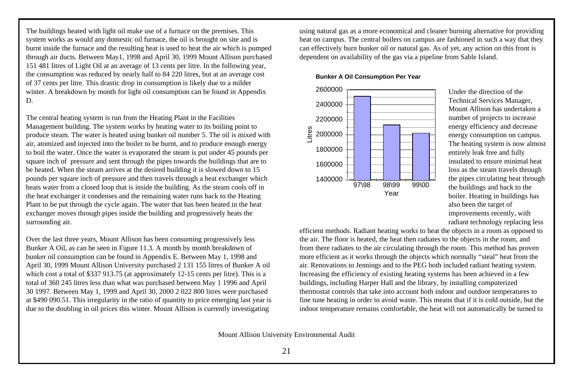The buildings heated with light oil make use of a furnace on the premises. This system works as would any domestic oil furnace, the oil is brought on site and is burnt inside the furnace and the resulting heat is used to heat the air which is pumped through air ducts. Between May1, 1998 and April 30, 1999 Mount Allison purchased 151 481 litres of Light Oil at an average of 13 cents per litre. In the following year, the consumption was reduced by nearly half to 84 220 litres, but at an average cost of 37 cents per litre. This drastic drop in consumption is likely due to a milder winter. A breakdown by month for light oil consumption can be found in Appendix D.

The central heating system is run from the Heating Plant in the Facilities Management building. The system works by heating water to its boiling point to produce steam. The water is heated using bunker oil number 5. The oil is mixed with air, atomized and injected into the boiler to be burnt, and to produce enough energy to boil the water. Once the water is evaporated the steam is put under 45 pounds per square inch of pressure and sent through the pipes towards the buildings that are to be heated. When the steam arrives at the desired building it is slowed down to 15 pounds per square inch of pressure and then travels through a heat exchanger which heats water from a closed loop that is inside the building. As the steam cools off in the heat exchanger it condenses and the remaining water runs back to the Heating Plant to be put through the cycle again. The water that has been heated in the heat exchanger moves through pipes inside the building and progressively heats the surrounding air.

Over the last three years, Mount Allison has been consuming progressively less Bunker A Oil, as can be seen in Figure 11.3. A month by month breakdown of bunker oil consumption can be found in Appendix E. Between May 1, 1998 and April 30, 1999 Mount Allison University purchased 2 131 155 litres of Bunker A oil which cost a total of \$337 913.75 (at approximately 12-15 cents per litre). This is a total of 360 245 litres less than what was purchased between May 1 1996 and April 30 1997. Between May 1, 1999 and April 30, 2000 2 022 800 litres were purchased at \$490 090.51. This irregularity in the ratio of quantity to price emerging last year is due to the doubling in oil prices this winter. Mount Allison is currently investigating

using natural gas as a more economical and cleaner burning alternative for providing heat on campus. The central boilers on campus are fashioned in such a way that they can effectively burn bunker oil or natural gas. As of yet, any action on this front is dependent on availability of the gas via a pipeline from Sable Island.

#### **Bunker A Oil Consumption Per Year**



Under the direction of the Technical Services Manager, Mount Allison has undertaken a number of projects to increase energy efficiency and decrease energy consumption on campus. The heating system is now almost entirely leak free and fully insulated to ensure minimal heat loss as the steam travels through the pipes circulating heat through the buildings and back to the boiler. Heating in buildings has also been the target of improvements recently, with radiant technology replacing less

efficient methods. Radiant heating works to heat the objects in a room as opposed to the air. The floor is heated, the heat then radiates to the objects in the room, and from there radiates to the air circulating through the room. This method has proven more efficient as it works through the objects which normally "steal" heat from the air. Renovations to Jennings and to the PEG both included radiant heating system. Increasing the efficiency of existing heating systems has been achieved in a few buildings, including Harper Hall and the library, by installing computerized thermostat controls that take into account both indoor and outdoor temperatures to fine tune heating in order to avoid waste. This means that if it is cold outside, but the indoor temperature remains comfortable, the heat will not automatically be turned to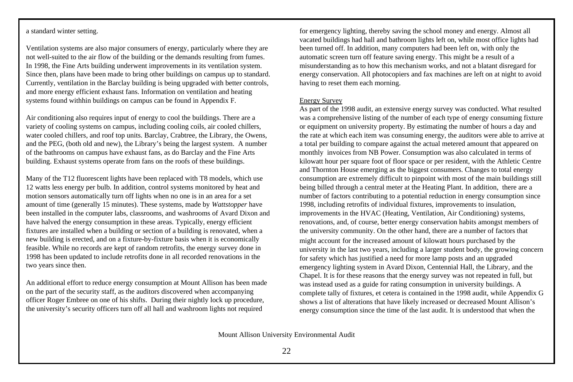# a standard winter setting.

Ventilation systems are also major consumers of energy, particularly where they are not well-suited to the air flow of the building or the demands resulting from fumes. In 1998, the Fine Arts building underwent improvements in its ventilation system. Since then, plans have been made to bring other buildings on campus up to standard. Currently, ventilation in the Barclay building is being upgraded with better controls, and more energy efficient exhaust fans. Information on ventilation and heating systems found withhin buildings on campus can be found in Appendix F.

Air conditioning also requires input of energy to cool the buildings. There are a variety of cooling systems on campus, including cooling coils, air cooled chillers, water cooled chillers, and roof top units. Barclay, Crabtree, the Library, the Owens, and the PEG, (both old and new), the Library's being the largest system. A number of the bathrooms on campus have exhaust fans, as do Barclay and the Fine Arts building. Exhaust systems operate from fans on the roofs of these buildings.

Many of the T12 fluorescent lights have been replaced with T8 models, which use 12 watts less energy per bulb. In addition, control systems monitored by heat and motion sensors automatically turn off lights when no one is in an area for a set amount of time (generally 15 minutes). These systems, made by *Wattstopper* have been installed in the computer labs, classrooms, and washrooms of Avard Dixon and have halved the energy consumption in these areas. Typically, energy efficient fixtures are installed when a building or section of a building is renovated, when a new building is erected, and on a fixture-by-fixture basis when it is economically feasible. While no records are kept of random retrofits, the energy survey done in 1998 has been updated to include retrofits done in all recorded renovations in the two years since then.

An additional effort to reduce energy consumption at Mount Allison has been made on the part of the security staff, as the auditors discovered when accompanying officer Roger Embree on one of his shifts. During their nightly lock up procedure, the university's security officers turn off all hall and washroom lights not required

for emergency lighting, thereby saving the school money and energy. Almost all vacated buildings had hall and bathroom lights left on, while most office lights had been turned off. In addition, many computers had been left on, with only the automatic screen turn off feature saving energy. This might be a result of a misunderstanding as to how this mechanism works, and not a blatant disregard for energy conservation. All photocopiers and fax machines are left on at night to avoid having to reset them each morning.

#### Energy Survey

As part of the 1998 audit, an extensive energy survey was conducted. What resulted was a comprehensive listing of the number of each type of energy consuming fixture or equipment on university property. By estimating the number of hours a day and the rate at which each item was consuming energy, the auditors were able to arrive at a total per building to compare against the actual metered amount that appeared on monthly invoices from NB Power. Consumption was also calculated in terms of kilowatt hour per square foot of floor space or per resident, with the Athletic Centre and Thornton House emerging as the biggest consumers. Changes to total energy consumption are extremely difficult to pinpoint with most of the main buildings still being billed through a central meter at the Heating Plant. In addition, there are a number of factors contributing to a potential reduction in energy consumption since 1998, including retrofits of individual fixtures, improvements to insulation, improvements in the HVAC (Heating, Ventilation, Air Conditioning) systems, renovations, and, of course, better energy conservation habits amongst members of the university community. On the other hand, there are a number of factors that might account for the increased amount of kilowatt hours purchased by the university in the last two years, including a larger student body, the growing concern for safety which has justified a need for more lamp posts and an upgraded emergency lighting system in Avard Dixon, Centennial Hall, the Library, and the Chapel. It is for these reasons that the energy survey was not repeated in full, but was instead used as a guide for rating consumption in university buildings. A complete tally of fixtures, et cetera is contained in the 1998 audit, while Appendix G shows a list of alterations that have likely increased or decreased Mount Allison's energy consumption since the time of the last audit. It is understood that when the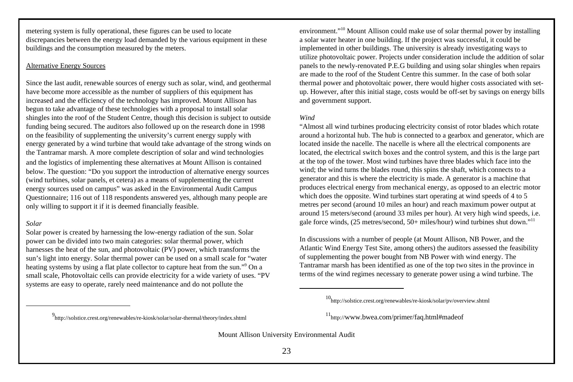metering system is fully operational, these figures can be used to locate discrepancies between the energy load demanded by the various equipment in these buildings and the consumption measured by the meters.

# Alternative Energy Sources

Since the last audit, renewable sources of energy such as solar, wind, and geothermal have become more accessible as the number of suppliers of this equipment has increased and the efficiency of the technology has improved. Mount Allison has begun to take advantage of these technologies with a proposal to install solar shingles into the roof of the Student Centre, though this decision is subject to outside funding being secured. The auditors also followed up on the research done in 1998 on the feasibility of supplementing the university's current energy supply with energy generated by a wind turbine that would take advantage of the strong winds on the Tantramar marsh. A more complete description of solar and wind technologies and the logistics of implementing these alternatives at Mount Allison is contained below. The question: "Do you support the introduction of alternative energy sources (wind turbines, solar panels, et cetera) as a means of supplementing the current energy sources used on campus" was asked in the Environmental Audit Campus Questionnaire; 116 out of 118 respondents answered yes, although many people are only willing to support it if it is deemed financially feasible.

## *Solar*

Solar power is created by harnessing the low-energy radiation of the sun. Solar power can be divided into two main categories: solar thermal power, which harnesses the heat of the sun, and photovoltaic (PV) power, which transforms the sun's light into energy. Solar thermal power can be used on a small scale for "water heating systems by using a flat plate collector to capture heat from the sun."<sup>9</sup> On a small scale, Photovoltaic cells can provide electricity for a wide variety of uses. "PV systems are easy to operate, rarely need maintenance and do not pollute the

environment."<sup>10</sup> Mount Allison could make use of solar thermal power by installing a solar water heater in one building. If the project was successful, it could be implemented in other buildings. The university is already investigating ways to utilize photovoltaic power. Projects under consideration include the addition of solar panels to the newly-renovated P.E.G building and using solar shingles when repairs are made to the roof of the Student Centre this summer. In the case of both solar thermal power and photovoltaic power, there would higher costs associated with setup. However, after this initial stage, costs would be off-set by savings on energy bills and government support.

## *Wind*

"Almost all wind turbines producing electricity consist of rotor blades which rotate around a horizontal hub. The hub is connected to a gearbox and generator, which are located inside the nacelle. The nacelle is where all the electrical components are located, the electrical switch boxes and the control system, and this is the large part at the top of the tower. Most wind turbines have three blades which face into the wind; the wind turns the blades round, this spins the shaft, which connects to a generator and this is where the electricity is made. A generator is a machine that produces electrical energy from mechanical energy, as opposed to an electric motor which does the opposite. Wind turbines start operating at wind speeds of 4 to 5 metres per second (around 10 miles an hour) and reach maximum power output at around 15 meters/second (around 33 miles per hour). At very high wind speeds, i.e. gale force winds, (25 metres/second, 50+ miles/hour) wind turbines shut down."<sup>11</sup>

In discussions with a number of people (at Mount Allison, NB Power, and the Atlantic Wind Energy Test Site, among others) the auditors assessed the feasibility of supplementing the power bought from NB Power with wind energy. The Tantramar marsh has been identified as one of the top two sites in the province in terms of the wind regimes necessary to generate power using a wind turbine. The

9 http://solstice.crest.org/renewables/re-kiosk/solar/solar-thermal/theory/index.shtml

<sup>10</sup>http://solstice.crest.org/renewables/re-kiosk/solar/pv/overview.shtml

<sup>11</sup>http://www.bwea.com/primer/faq.html#madeof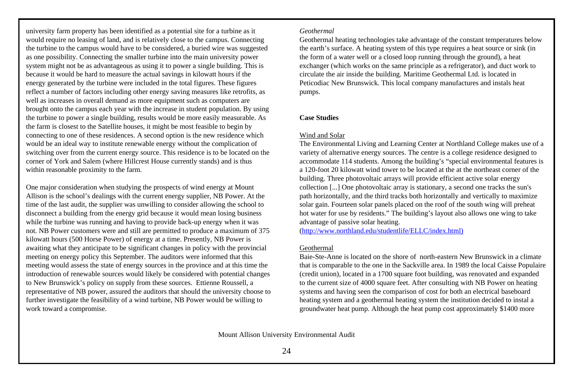university farm property has been identified as a potential site for a turbine as it would require no leasing of land, and is relatively close to the campus. Connecting the turbine to the campus would have to be considered, a buried wire was suggested as one possibility. Connecting the smaller turbine into the main university power system might not be as advantageous as using it to power a single building. This is because it would be hard to measure the actual savings in kilowatt hours if the energy generated by the turbine were included in the total figures. These figures reflect a number of factors including other energy saving measures like retrofits, as well as increases in overall demand as more equipment such as computers are brought onto the campus each year with the increase in student population. By using the turbine to power a single building, results would be more easily measurable. As the farm is closest to the Satellite houses, it might be most feasible to begin by connecting to one of these residences. A second option is the new residence which would be an ideal way to institute renewable energy without the complication of switching over from the current energy source. This residence is to be located on the corner of York and Salem (where Hillcrest House currently stands) and is thus within reasonable proximity to the farm.

One major consideration when studying the prospects of wind energy at Mount Allison is the school's dealings with the current energy supplier, NB Power. At the time of the last audit, the supplier was unwilling to consider allowing the school to disconnect a building from the energy grid because it would mean losing business while the turbine was running and having to provide back-up energy when it was not. NB Power customers were and still are permitted to produce a maximum of 375 kilowatt hours (500 Horse Power) of energy at a time. Presently, NB Power is awaiting what they anticipate to be significant changes in policy with the provincial meeting on energy policy this September. The auditors were informed that this meeting would assess the state of energy sources in the province and at this time the introduction of renewable sources would likely be considered with potential changes to New Brunswick's policy on supply from these sources. Ettienne Roussell, a representative of NB power, assured the auditors that should the university choose to further investigate the feasibility of a wind turbine, NB Power would be willing to work toward a compromise.

*Geothermal*

Geothermal heating technologies take advantage of the constant temperatures below the earth's surface. A heating system of this type requires a heat source or sink (in the form of a water well or a closed loop running through the ground), a heat exchanger (which works on the same principle as a refrigerator), and duct work to circulate the air inside the building. Maritime Geothermal Ltd. is located in Peticodiac New Brunswick. This local company manufactures and instals heat pumps.

# **Case Studies**

# Wind and Solar

The Environmental Living and Learning Center at Northland College makes use of a variety of alternative energy sources. The centre is a college residence designed to accommodate 114 students. Among the building's "special environmental features is a 120-foot 20 kilowatt wind tower to be located at the at the northeast corner of the building. Three photovoltaic arrays will provide efficient active solar energy collection [...] One photovoltaic array is stationary, a second one tracks the sun's path horizontally, and the third tracks both horizontally and vertically to maximize solar gain. Fourteen solar panels placed on the roof of the south wing will preheat hot water for use by residents." The building's layout also allows one wing to take advantage of passive solar heating.

(http://www.northland.edu/studentlife/ELLC/index.html)

# Geothermal

Baie-Ste-Anne is located on the shore of north-eastern New Brunswick in a climate that is comparable to the one in the Sackville area. In 1989 the local Caisse Populaire (credit union), located in a 1700 square foot building, was renovated and expanded to the current size of 4000 square feet. After consulting with NB Power on heating systems and having seen the comparison of cost for both an electrical baseboard heating system and a geothermal heating system the institution decided to instal a groundwater heat pump. Although the heat pump cost approximately \$1400 more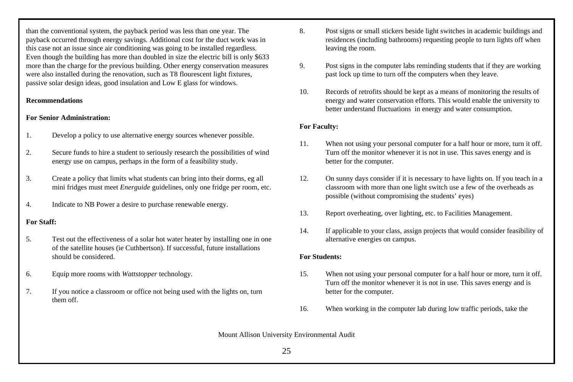than the conventional system, the payback period was less than one year. The payback occurred through energy savings. Additional cost for the duct work was in this case not an issue since air conditioning was going to be installed regardless. Even though the building has more than doubled in size the electric bill is only \$633 more than the charge for the previous building. Other energy conservation measures were also installed during the renovation, such as T8 flourescent light fixtures, passive solar design ideas, good insulation and Low E glass for windows.

## **Recommendations**

# **For Senior Administration:**

- 1. Develop a policy to use alternative energy sources whenever possible.
- 2. Secure funds to hire a student to seriously research the possibilities of wind energy use on campus, perhaps in the form of a feasibility study.
- 3. Create a policy that limits what students can bring into their dorms, eg all mini fridges must meet *Energuide* guidelines, only one fridge per room, etc.
- 4. Indicate to NB Power a desire to purchase renewable energy.

# **For Staff:**

- 5. Test out the effectiveness of a solar hot water heater by installing one in one of the satellite houses (ie Cuthbertson). If successful, future installations should be considered.
- 6. Equip more rooms with *Wattstopper* technology.
- 7. If you notice a classroom or office not being used with the lights on, turn them off.
- 8. Post signs or small stickers beside light switches in academic buildings and residences (including bathrooms) requesting people to turn lights off when leaving the room.
- 9. Post signs in the computer labs reminding students that if they are working past lock up time to turn off the computers when they leave.
- 10. Records of retrofits should be kept as a means of monitoring the results of energy and water conservation efforts. This would enable the university to better understand fluctuations in energy and water consumption.

# **For Faculty:**

- 11. When not using your personal computer for a half hour or more, turn it off. Turn off the monitor whenever it is not in use. This saves energy and is better for the computer.
- 12. On sunny days consider if it is necessary to have lights on. If you teach in a classroom with more than one light switch use a few of the overheads as possible (without compromising the students' eyes)
- 13. Report overheating, over lighting, etc. to Facilities Management.
- 14. If applicable to your class, assign projects that would consider feasibility of alternative energies on campus.

# **For Students:**

- 15. When not using your personal computer for a half hour or more, turn it off. Turn off the monitor whenever it is not in use. This saves energy and is better for the computer.
- 16. When working in the computer lab during low traffic periods, take the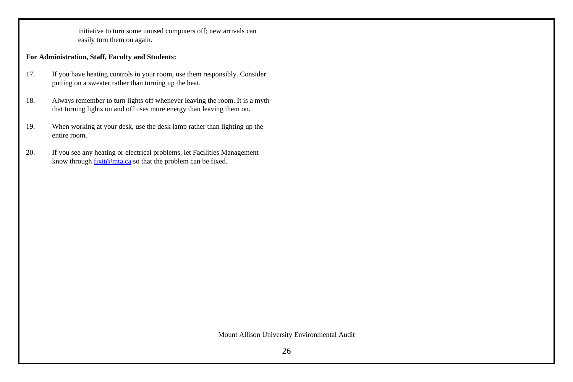initiative to turn some unused computers off; new arrivals can easily turn them on again.

# **For Administration, Staff, Faculty and Students:**

- 17. If you have heating controls in your room, use them responsibly. Consider putting on a sweater rather than turning up the heat.
- 18. Always remember to turn lights off whenever leaving the room. It is a myth that turning lights on and off uses more energy than leaving them on.
- 19. When working at your desk, use the desk lamp rather than lighting up the entire room.
- 20. If you see any heating or electrical problems, let Facilities Management know through fixit@mta.ca so that the problem can be fixed.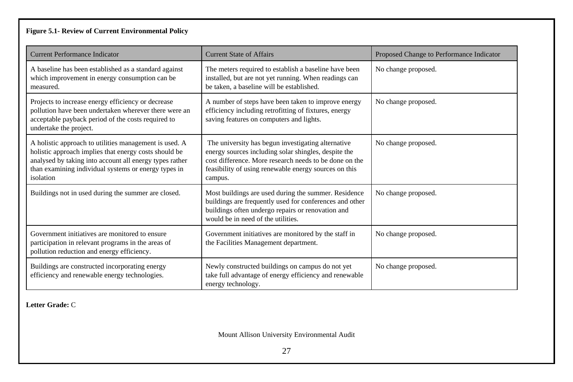# **Figure 5.1- Review of Current Environmental Policy**

| <b>Current Performance Indicator</b>                                                                                                                                                                                                            | <b>Current State of Affairs</b>                                                                                                                                                                                                          | Proposed Change to Performance Indicator |
|-------------------------------------------------------------------------------------------------------------------------------------------------------------------------------------------------------------------------------------------------|------------------------------------------------------------------------------------------------------------------------------------------------------------------------------------------------------------------------------------------|------------------------------------------|
| A baseline has been established as a standard against<br>which improvement in energy consumption can be<br>measured.                                                                                                                            | The meters required to establish a baseline have been<br>installed, but are not yet running. When readings can<br>be taken, a baseline will be established.                                                                              | No change proposed.                      |
| Projects to increase energy efficiency or decrease<br>pollution have been undertaken wherever there were an<br>acceptable payback period of the costs required to<br>undertake the project.                                                     | A number of steps have been taken to improve energy<br>efficiency including retrofitting of fixtures, energy<br>saving features on computers and lights.                                                                                 | No change proposed.                      |
| A holistic approach to utilities management is used. A<br>holistic approach implies that energy costs should be<br>analysed by taking into account all energy types rather<br>than examining individual systems or energy types in<br>isolation | The university has begun investigating alternative<br>energy sources including solar shingles, despite the<br>cost difference. More research needs to be done on the<br>feasibility of using renewable energy sources on this<br>campus. | No change proposed.                      |
| Buildings not in used during the summer are closed.                                                                                                                                                                                             | Most buildings are used during the summer. Residence<br>buildings are frequently used for conferences and other<br>buildings often undergo repairs or renovation and<br>would be in need of the utilities.                               | No change proposed.                      |
| Government initiatives are monitored to ensure<br>participation in relevant programs in the areas of<br>pollution reduction and energy efficiency.                                                                                              | Government initiatives are monitored by the staff in<br>the Facilities Management department.                                                                                                                                            | No change proposed.                      |
| Buildings are constructed incorporating energy<br>efficiency and renewable energy technologies.                                                                                                                                                 | Newly constructed buildings on campus do not yet<br>take full advantage of energy efficiency and renewable<br>energy technology.                                                                                                         | No change proposed.                      |

**Letter Grade:** C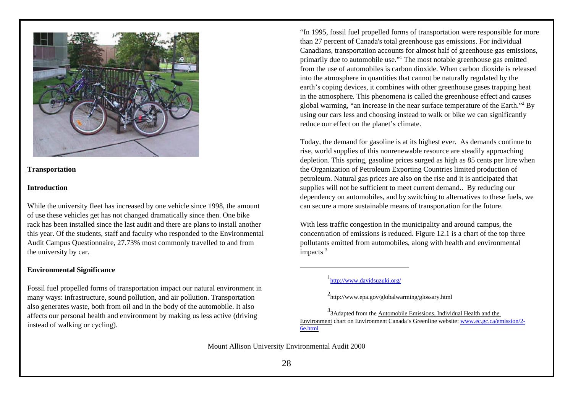

## **Transportation**

#### **Introduction**

While the university fleet has increased by one vehicle since 1998, the amount of use these vehicles get has not changed dramatically since then. One bike rack has been installed since the last audit and there are plans to install another this year. Of the students, staff and faculty who responded to the Environmental Audit Campus Questionnaire, 27.73% most commonly travelled to and from the university by car.

#### **Environmental Significance**

Fossil fuel propelled forms of transportation impact our natural environment in many ways: infrastructure, sound pollution, and air pollution. Transportation also generates waste, both from oil and in the body of the automobile. It also affects our personal health and environment by making us less active (driving instead of walking or cycling).

"In 1995, fossil fuel propelled forms of transportation were responsible for more than 27 percent of Canada's total greenhouse gas emissions. For individual Canadians, transportation accounts for almost half of greenhouse gas emissions, primarily due to automobile use."<sup>1</sup> The most notable greenhouse gas emitted from the use of automobiles is carbon dioxide. When carbon dioxide is released into the atmosphere in quantities that cannot be naturally regulated by the earth's coping devices, it combines with other greenhouse gases trapping heat in the atmosphere. This phenomena is called the greenhouse effect and causes global warming, "an increase in the near surface temperature of the Earth."<sup>2</sup> By using our cars less and choosing instead to walk or bike we can significantly reduce our effect on the planet's climate.

Today, the demand for gasoline is at its highest ever. As demands continue to rise, world supplies of this nonrenewable resource are steadily approaching depletion. This spring, gasoline prices surged as high as 85 cents per litre when the Organization of Petroleum Exporting Countries limited production of petroleum. Natural gas prices are also on the rise and it is anticipated that supplies will not be sufficient to meet current demand.. By reducing our dependency on automobiles, and by switching to alternatives to these fuels, we can secure a more sustainable means of transportation for the future.

With less traffic congestion in the municipality and around campus, the concentration of emissions is reduced. Figure 12.1 is a chart of the top three pollutants emitted from automobiles, along with health and environmental impacts <sup>3</sup>

<sup>3</sup>3Adapted from the Automobile Emissions, Individual Health and the Environment chart on Environment Canada's Greenline website: www.ec.gc.ca/emission/2- 6e.html

<sup>1&</sup>lt;sub>http://www.davidsuzuki.org/</sub>

<sup>2</sup> http://www.epa.gov/globalwarming/glossary.html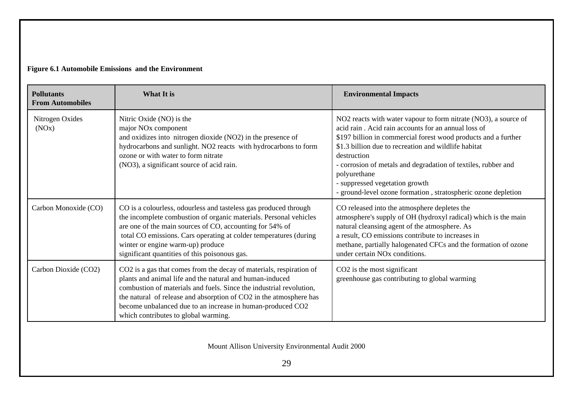# **Figure 6.1 Automobile Emissions and the Environment**

| <b>Pollutants</b><br><b>From Automobiles</b> | What It is                                                                                                                                                                                                                                                                                                                                                                         | <b>Environmental Impacts</b>                                                                                                                                                                                                                                                                                                                                                                                                                      |
|----------------------------------------------|------------------------------------------------------------------------------------------------------------------------------------------------------------------------------------------------------------------------------------------------------------------------------------------------------------------------------------------------------------------------------------|---------------------------------------------------------------------------------------------------------------------------------------------------------------------------------------------------------------------------------------------------------------------------------------------------------------------------------------------------------------------------------------------------------------------------------------------------|
| Nitrogen Oxides<br>(NOx)                     | Nitric Oxide (NO) is the<br>major NO <sub>x</sub> component<br>and oxidizes into nitrogen dioxide (NO2) in the presence of<br>hydrocarbons and sunlight. NO2 reacts with hydrocarbons to form<br>ozone or with water to form nitrate<br>(NO3), a significant source of acid rain.                                                                                                  | NO2 reacts with water vapour to form nitrate (NO3), a source of<br>acid rain. Acid rain accounts for an annual loss of<br>\$197 billion in commercial forest wood products and a further<br>\$1.3 billion due to recreation and wildlife habitat<br>destruction<br>- corrosion of metals and degradation of textiles, rubber and<br>polyurethane<br>- suppressed vegetation growth<br>ground-level ozone formation, stratospheric ozone depletion |
| Carbon Monoxide (CO)                         | CO is a colourless, odourless and tasteless gas produced through<br>the incomplete combustion of organic materials. Personal vehicles<br>are one of the main sources of CO, accounting for 54% of<br>total CO emissions. Cars operating at colder temperatures (during<br>winter or engine warm-up) produce<br>significant quantities of this poisonous gas.                       | CO released into the atmosphere depletes the<br>atmosphere's supply of OH (hydroxyl radical) which is the main<br>natural cleansing agent of the atmosphere. As<br>a result, CO emissions contribute to increases in<br>methane, partially halogenated CFCs and the formation of ozone<br>under certain NO <sub>x</sub> conditions.                                                                                                               |
| Carbon Dioxide (CO2)                         | CO2 is a gas that comes from the decay of materials, respiration of<br>plants and animal life and the natural and human-induced<br>combustion of materials and fuels. Since the industrial revolution,<br>the natural of release and absorption of CO2 in the atmosphere has<br>become unbalanced due to an increase in human-produced CO2<br>which contributes to global warming. | CO <sub>2</sub> is the most significant<br>greenhouse gas contributing to global warming                                                                                                                                                                                                                                                                                                                                                          |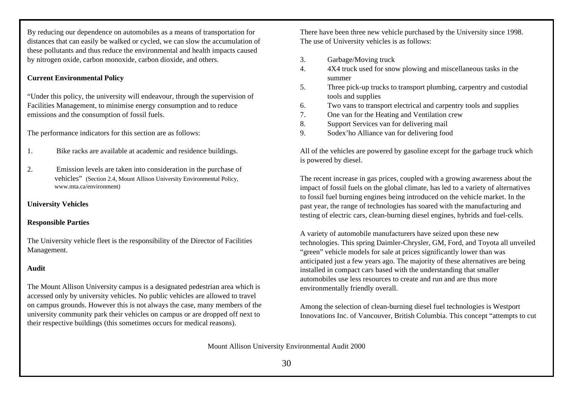By reducing our dependence on automobiles as a means of transportation for distances that can easily be walked or cycled, we can slow the accumulation of these pollutants and thus reduce the environmental and health impacts caused by nitrogen oxide, carbon monoxide, carbon dioxide, and others.

# **Current Environmental Policy**

"Under this policy, the university will endeavour, through the supervision of Facilities Management, to minimise energy consumption and to reduce emissions and the consumption of fossil fuels.

The performance indicators for this section are as follows:

- 1. Bike racks are available at academic and residence buildings.
- 2. Emission levels are taken into consideration in the purchase of vehicles" (Section 2.4, Mount Allison University Environmental Policy, www.mta.ca/environment)

# **University Vehicles**

## **Responsible Parties**

The University vehicle fleet is the responsibility of the Director of Facilities Management.

#### **Audit**

The Mount Allison University campus is a designated pedestrian area which is accessed only by university vehicles. No public vehicles are allowed to travel on campus grounds. However this is not always the case, many members of the university community park their vehicles on campus or are dropped off next to their respective buildings (this sometimes occurs for medical reasons).

There have been three new vehicle purchased by the University since 1998. The use of University vehicles is as follows:

- 3. Garbage/Moving truck
- 4. 4X4 truck used for snow plowing and miscellaneous tasks in the summer
- 5. Three pick-up trucks to transport plumbing, carpentry and custodial tools and supplies
- 6. Two vans to transport electrical and carpentry tools and supplies
- 7. One van for the Heating and Ventilation crew
- 8. Support Services van for delivering mail
- 9. Sodex'ho Alliance van for delivering food

All of the vehicles are powered by gasoline except for the garbage truck which is powered by diesel.

The recent increase in gas prices, coupled with a growing awareness about the impact of fossil fuels on the global climate, has led to a variety of alternatives to fossil fuel burning engines being introduced on the vehicle market. In the past year, the range of technologies has soared with the manufacturing and testing of electric cars, clean-burning diesel engines, hybrids and fuel-cells.

A variety of automobile manufacturers have seized upon these new technologies. This spring Daimler-Chrysler, GM, Ford, and Toyota all unveiled "green" vehicle models for sale at prices significantly lower than was anticipated just a few years ago. The majority of these alternatives are being installed in compact cars based with the understanding that smaller automobiles use less resources to create and run and are thus more environmentally friendly overall.

Among the selection of clean-burning diesel fuel technologies is Westport Innovations Inc. of Vancouver, British Columbia. This concept "attempts to cut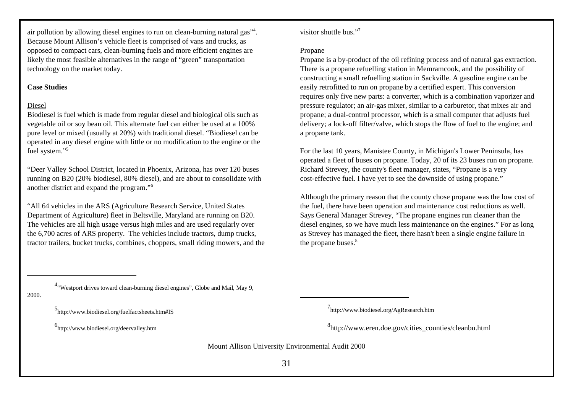air pollution by allowing diesel engines to run on clean-burning natural gas"<sup>4</sup>. Because Mount Allison's vehicle fleet is comprised of vans and trucks, as opposed to compact cars, clean-burning fuels and more efficient engines are likely the most feasible alternatives in the range of "green" transportation technology on the market today.

# **Case Studies**

# Diesel

Biodiesel is fuel which is made from regular diesel and biological oils such as vegetable oil or soy bean oil. This alternate fuel can either be used at a 100% pure level or mixed (usually at 20%) with traditional diesel. "Biodiesel can be operated in any diesel engine with little or no modification to the engine or the fuel system."<sup>5</sup>

"Deer Valley School District, located in Phoenix, Arizona, has over 120 buses running on B20 (20% biodiesel, 80% diesel), and are about to consolidate with another district and expand the program."<sup>6</sup>

"All 64 vehicles in the ARS (Agriculture Research Service, United States Department of Agriculture) fleet in Beltsville, Maryland are running on B20. The vehicles are all high usage versus high miles and are used regularly over the 6,700 acres of ARS property. The vehicles include tractors, dump trucks, tractor trailers, bucket trucks, combines, choppers, small riding mowers, and the visitor shuttle bus."<sup>7</sup>

## Propane

Propane is a by-product of the oil refining process and of natural gas extraction. There is a propane refuelling station in Memramcook, and the possibility of constructing a small refuelling station in Sackville. A gasoline engine can be easily retrofitted to run on propane by a certified expert. This conversion requires only five new parts: a converter, which is a combination vaporizer and pressure regulator; an air-gas mixer, similar to a carburetor, that mixes air and propane; a dual-control processor, which is a small computer that adjusts fuel delivery; a lock-off filter/valve, which stops the flow of fuel to the engine; and a propane tank.

For the last 10 years, Manistee County, in Michigan's Lower Peninsula, has operated a fleet of buses on propane. Today, 20 of its 23 buses run on propane. Richard Strevey, the county's fleet manager, states, "Propane is a very cost-effective fuel. I have yet to see the downside of using propane."

Although the primary reason that the county chose propane was the low cost of the fuel, there have been operation and maintenance cost reductions as well. Says General Manager Strevey, "The propane engines run cleaner than the diesel engines, so we have much less maintenance on the engines." For as long as Strevey has managed the fleet, there hasn't been a single engine failure in the propane buses.<sup>8</sup>

2000.

<sup>4</sup> "Westport drives toward clean-burning diesel engines", Globe and Mail, May 9,

5<br>http://www.biodiesel.org/fuelfactsheets.htm#IS

6 http://www.biodiesel.org/deervalley.htm

7<br>http://www.biodiesel.org/AgResearch.htm

8 http://www.eren.doe.gov/cities\_counties/cleanbu.html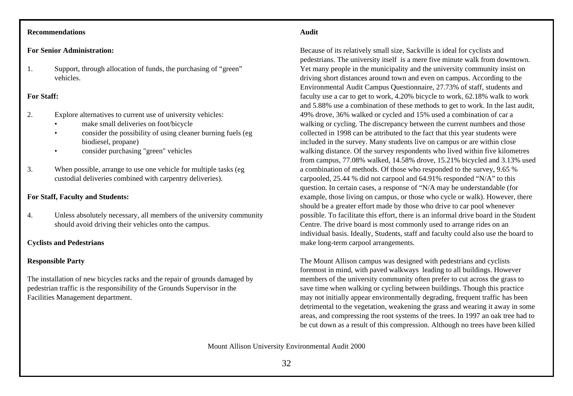# **Recommendations**

#### **For Senior Administration:**

1. Support, through allocation of funds, the purchasing of "green" vehicles.

## **For Staff:**

- 2. Explore alternatives to current use of university vehicles:
	- make small deliveries on foot/bicycle
	- consider the possibility of using cleaner burning fuels (eg biodiesel, propane)
	- consider purchasing "green" vehicles
- 3. When possible, arrange to use one vehicle for multiple tasks (eg custodial deliveries combined with carpentry deliveries).

# **For Staff, Faculty and Students:**

4. Unless absolutely necessary, all members of the university community should avoid driving their vehicles onto the campus.

#### **Cyclists and Pedestrians**

# **Responsible Party**

The installation of new bicycles racks and the repair of grounds damaged by pedestrian traffic is the responsibility of the Grounds Supervisor in the Facilities Management department.

#### **Audit**

Because of its relatively small size, Sackville is ideal for cyclists and pedestrians. The university itself is a mere five minute walk from downtown. Yet many people in the municipality and the university community insist on driving short distances around town and even on campus. According to the Environmental Audit Campus Questionnaire, 27.73% of staff, students and faculty use a car to get to work, 4.20% bicycle to work, 62.18% walk to work and 5.88% use a combination of these methods to get to work. In the last audit, 49% drove, 36% walked or cycled and 15% used a combination of car a walking or cycling. The discrepancy between the current numbers and those collected in 1998 can be attributed to the fact that this year students were included in the survey. Many students live on campus or are within close walking distance. Of the survey respondents who lived within five kilometres from campus, 77.08% walked, 14.58% drove, 15.21% bicycled and 3.13% used a combination of methods. Of those who responded to the survey, 9.65 % carpooled, 25.44 % did not carpool and 64.91% responded "N/A" to this question. In certain cases, a response of "N/A may be understandable (for example, those living on campus, or those who cycle or walk). However, there should be a greater effort made by those who drive to car pool whenever possible. To facilitate this effort, there is an informal drive board in the Student Centre. The drive board is most commonly used to arrange rides on an individual basis. Ideally, Students, staff and faculty could also use the board to make long-term carpool arrangements.

The Mount Allison campus was designed with pedestrians and cyclists foremost in mind, with paved walkways leading to all buildings. However members of the university community often prefer to cut across the grass to save time when walking or cycling between buildings. Though this practice may not initially appear environmentally degrading, frequent traffic has been detrimental to the vegetation, weakening the grass and wearing it away in some areas, and compressing the root systems of the trees. In 1997 an oak tree had to be cut down as a result of this compression. Although no trees have been killed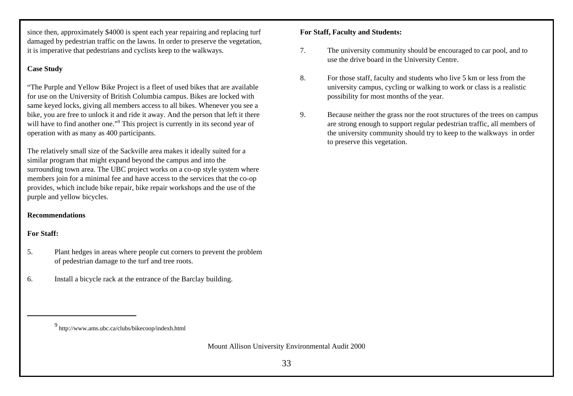since then, approximately \$4000 is spent each year repairing and replacing turf damaged by pedestrian traffic on the lawns. In order to preserve the vegetation, it is imperative that pedestrians and cyclists keep to the walkways.

# **Case Study**

"The Purple and Yellow Bike Project is a fleet of used bikes that are available for use on the University of British Columbia campus. Bikes are locked with same keyed locks, giving all members access to all bikes. Whenever you see a bike, you are free to unlock it and ride it away. And the person that left it there will have to find another one."<sup>9</sup> This project is currently in its second year of operation with as many as 400 participants.

The relatively small size of the Sackville area makes it ideally suited for a similar program that might expand beyond the campus and into the surrounding town area. The UBC project works on a co-op style system where members join for a minimal fee and have access to the services that the co-op provides, which include bike repair, bike repair workshops and the use of the purple and yellow bicycles.

# **Recommendations**

# **For Staff:**

- 5. Plant hedges in areas where people cut corners to prevent the problem of pedestrian damage to the turf and tree roots.
- 6. Install a bicycle rack at the entrance of the Barclay building.

# **For Staff, Faculty and Students:**

- 7. The university community should be encouraged to car pool, and to use the drive board in the University Centre.
- 8. For those staff, faculty and students who live 5 km or less from the university campus, cycling or walking to work or class is a realistic possibility for most months of the year.
- 9. Because neither the grass nor the root structures of the trees on campus are strong enough to support regular pedestrian traffic, all members of the university community should try to keep to the walkways in order to preserve this vegetation.

<sup>9</sup> http://www.ams.ubc.ca/clubs/bikecoop/indexh.html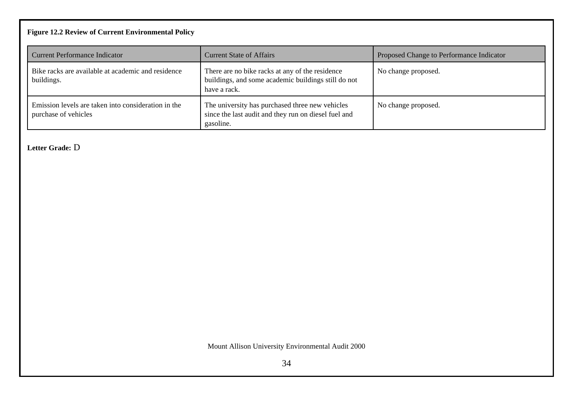# **Figure 12.2 Review of Current Environmental Policy**

| <b>Current Performance Indicator</b>                                        | <b>Current State of Affairs</b>                                                                                        | Proposed Change to Performance Indicator |
|-----------------------------------------------------------------------------|------------------------------------------------------------------------------------------------------------------------|------------------------------------------|
| Bike racks are available at academic and residence<br>buildings.            | There are no bike racks at any of the residence<br>buildings, and some academic buildings still do not<br>have a rack. | No change proposed.                      |
| Emission levels are taken into consideration in the<br>purchase of vehicles | The university has purchased three new vehicles<br>since the last audit and they run on diesel fuel and<br>gasoline.   | No change proposed.                      |

**Letter Grade:** D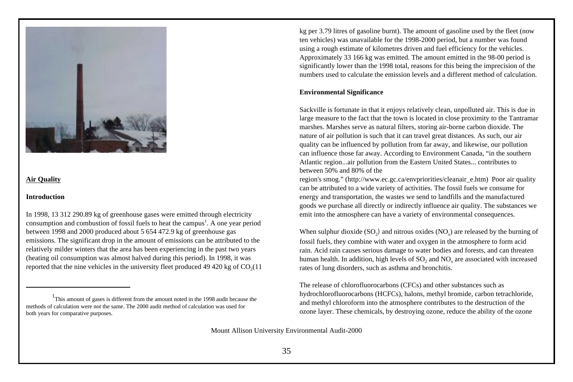

## **Air Quality**

#### **Introduction**

In 1998, 13 312 290.89 kg of greenhouse gases were emitted through electricity consumption and combustion of fossil fuels to heat the campus<sup>1</sup>. A one year period between 1998 and 2000 produced about 5 654 472.9 kg of greenhouse gas emissions. The significant drop in the amount of emissions can be attributed to the relatively milder winters that the area has been experiencing in the past two years (heating oil consumption was almost halved during this period). In 1998, it was reported that the nine vehicles in the university fleet produced  $49\,420$  kg of  $CO<sub>2</sub>(11)$  kg per 3.79 litres of gasoline burnt). The amount of gasoline used by the fleet (now ten vehicles) was unavailable for the 1998-2000 period, but a number was found using a rough estimate of kilometres driven and fuel efficiency for the vehicles. Approximately 33 166 kg was emitted. The amount emitted in the 98-00 period is significantly lower than the 1998 total, reasons for this being the imprecision of the numbers used to calculate the emission levels and a different method of calculation.

## **Environmental Significance**

Sackville is fortunate in that it enjoys relatively clean, unpolluted air. This is due in large measure to the fact that the town is located in close proximity to the Tantramar marshes. Marshes serve as natural filters, storing air-borne carbon dioxide. The nature of air pollution is such that it can travel great distances. As such, our air quality can be influenced by pollution from far away, and likewise, our pollution can influence those far away. According to Environment Canada, "in the southern Atlantic region...air pollution from the Eastern United States... contributes to between 50% and 80% of the

region's smog." (http://www.ec.gc.ca/envpriorities/cleanair\_e.htm) Poor air quality can be attributed to a wide variety of activities. The fossil fuels we consume for energy and transportation, the wastes we send to landfills and the manufactured goods we purchase all directly or indirectly influence air quality. The substances we emit into the atmosphere can have a variety of environmental consequences.

When sulphur dioxide  $(SO_2)$  and nitrous oxides  $(NO_x)$  are released by the burning of fossil fuels, they combine with water and oxygen in the atmosphere to form acid rain. Acid rain causes serious damage to water bodies and forests, and can threaten human health. In addition, high levels of  $SO_2$  and  $NO_x$  are associated with increased rates of lung disorders, such as asthma and bronchitis.

The release of chlorofluorocarbons (CFCs) and other substances such as hydrochlorofluorocarbons (HCFCs), halons, methyl bromide, carbon tetrachloride, and methyl chloroform into the atmosphere contributes to the destruction of the ozone layer. These chemicals, by destroying ozone, reduce the ability of the ozone

<sup>&</sup>lt;sup>1</sup>This amount of gases is different from the amount noted in the 1998 audit because the methods of calculation were not the same. The 2000 audit method of calculation was used for both years for comparative purposes.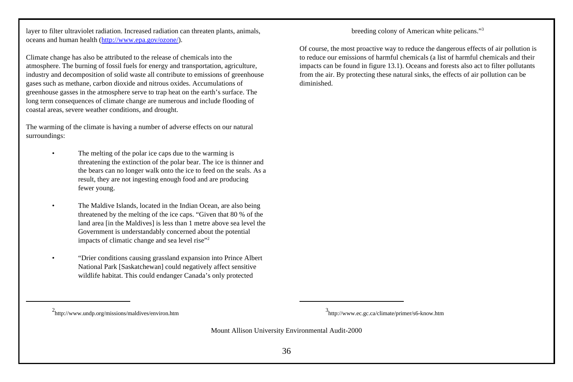layer to filter ultraviolet radiation. Increased radiation can threaten plants, animals, oceans and human health (http://www.epa.gov/ozone/).

Climate change has also be attributed to the release of chemicals into the atmosphere. The burning of fossil fuels for energy and transportation, agriculture, industry and decomposition of solid waste all contribute to emissions of greenhouse gases such as methane, carbon dioxide and nitrous oxides. Accumulations of greenhouse gasses in the atmosphere serve to trap heat on the earth's surface. The long term consequences of climate change are numerous and include flooding of coastal areas, severe weather conditions, and drought.

The warming of the climate is having a number of adverse effects on our natural surroundings:

- The melting of the polar ice caps due to the warming is threatening the extinction of the polar bear. The ice is thinner and the bears can no longer walk onto the ice to feed on the seals. As a result, they are not ingesting enough food and are producing fewer young.
- The Maldive Islands, located in the Indian Ocean, are also being threatened by the melting of the ice caps. "Given that 80 % of the land area [in the Maldives] is less than 1 metre above sea level the Government is understandably concerned about the potential impacts of climatic change and sea level rise"<sup>2</sup>
- "Drier conditions causing grassland expansion into Prince Albert National Park [Saskatchewan] could negatively affect sensitive wildlife habitat. This could endanger Canada's only protected

breeding colony of American white pelicans."<sup>3</sup>

Of course, the most proactive way to reduce the dangerous effects of air pollution is to reduce our emissions of harmful chemicals (a list of harmful chemicals and their impacts can be found in figure 13.1). Oceans and forests also act to filter pollutants from the air. By protecting these natural sinks, the effects of air pollution can be diminished.

<sup>2</sup> http://www.undp.org/missions/maldives/environ.htm <sup>3</sup>

http://www.ec.gc.ca/climate/primer/s6-know.htm

Mount Allison University Environmental Audit-2000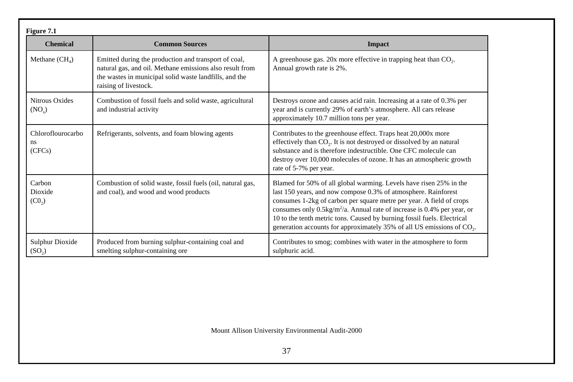| Figure 7.1                                   |                                                                                                                                                                                                     |                                                                                                                                                                                                                                                                                                                                                                                                                                                                           |
|----------------------------------------------|-----------------------------------------------------------------------------------------------------------------------------------------------------------------------------------------------------|---------------------------------------------------------------------------------------------------------------------------------------------------------------------------------------------------------------------------------------------------------------------------------------------------------------------------------------------------------------------------------------------------------------------------------------------------------------------------|
| <b>Chemical</b>                              | <b>Common Sources</b>                                                                                                                                                                               | <b>Impact</b>                                                                                                                                                                                                                                                                                                                                                                                                                                                             |
| Methane $(CH_4)$                             | Emitted during the production and transport of coal,<br>natural gas, and oil. Methane emissions also result from<br>the wastes in municipal solid waste landfills, and the<br>raising of livestock. | A greenhouse gas. 20x more effective in trapping heat than $CO2$ .<br>Annual growth rate is 2%.                                                                                                                                                                                                                                                                                                                                                                           |
| <b>Nitrous Oxides</b><br>$(NO_x)$            | Combustion of fossil fuels and solid waste, agricultural<br>and industrial activity                                                                                                                 | Destroys ozone and causes acid rain. Increasing at a rate of 0.3% per<br>year and is currently 29% of earth's atmosphere. All cars release<br>approximately 10.7 million tons per year.                                                                                                                                                                                                                                                                                   |
| Chloroflourocarbo<br><sub>ns</sub><br>(CFCs) | Refrigerants, solvents, and foam blowing agents                                                                                                                                                     | Contributes to the greenhouse effect. Traps heat 20,000x more<br>effectively than CO <sub>2</sub> . It is not destroyed or dissolved by an natural<br>substance and is therefore indestructible. One CFC molecule can<br>destroy over 10,000 molecules of ozone. It has an atmospheric growth<br>rate of 5-7% per year.                                                                                                                                                   |
| Carbon<br>Dioxide<br>(C0 <sub>2</sub> )      | Combustion of solid waste, fossil fuels (oil, natural gas,<br>and coal), and wood and wood products                                                                                                 | Blamed for 50% of all global warming. Levels have risen 25% in the<br>last 150 years, and now compose 0.3% of atmosphere. Rainforest<br>consumes 1-2kg of carbon per square metre per year. A field of crops<br>consumes only $0.5\text{kg/m}^2/\text{a}$ . Annual rate of increase is 0.4% per year, or<br>10 to the tenth metric tons. Caused by burning fossil fuels. Electrical<br>generation accounts for approximately 35% of all US emissions of CO <sub>2</sub> . |
| <b>Sulphur Dioxide</b><br>(SO <sub>2</sub> ) | Produced from burning sulphur-containing coal and<br>smelting sulphur-containing ore                                                                                                                | Contributes to smog; combines with water in the atmosphere to form<br>sulphuric acid.                                                                                                                                                                                                                                                                                                                                                                                     |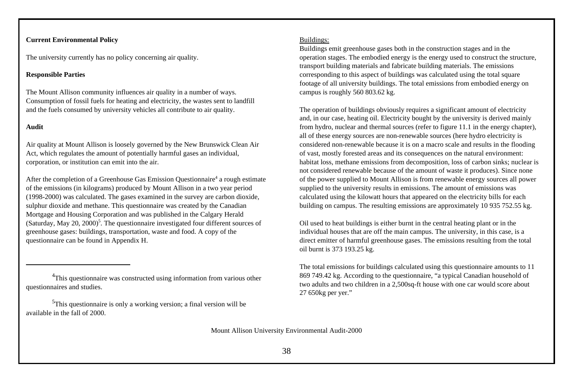# **Current Environmental Policy**

The university currently has no policy concerning air quality.

### **Responsible Parties**

The Mount Allison community influences air quality in a number of ways. Consumption of fossil fuels for heating and electricity, the wastes sent to landfill and the fuels consumed by university vehicles all contribute to air quality.

### **Audit**

Air quality at Mount Allison is loosely governed by the New Brunswick Clean Air Act, which regulates the amount of potentially harmful gases an individual, corporation, or institution can emit into the air.

After the completion of a Greenhouse Gas Emission Questionnaire<sup>4</sup> a rough estimate of the emissions (in kilograms) produced by Mount Allison in a two year period (1998-2000) was calculated. The gases examined in the survey are carbon dioxide, sulphur dioxide and methane. This questionnaire was created by the Canadian Mortgage and Housing Corporation and was published in the Calgary Herald (Saturday, May 20, 2000)<sup>5</sup>. The questionnaire investigated four different sources of greenhouse gases: buildings, transportation, waste and food. A copy of the questionnaire can be found in Appendix H.

### Buildings:

Buildings emit greenhouse gases both in the construction stages and in the operation stages. The embodied energy is the energy used to construct the structure, transport building materials and fabricate building materials. The emissions corresponding to this aspect of buildings was calculated using the total square footage of all university buildings. The total emissions from embodied energy on campus is roughly 560 803.62 kg.

The operation of buildings obviously requires a significant amount of electricity and, in our case, heating oil. Electricity bought by the university is derived mainly from hydro, nuclear and thermal sources (refer to figure 11.1 in the energy chapter), all of these energy sources are non-renewable sources (here hydro electricity is considered non-renewable because it is on a macro scale and results in the flooding of vast, mostly forested areas and its consequences on the natural environment: habitat loss, methane emissions from decomposition, loss of carbon sinks; nuclear is not considered renewable because of the amount of waste it produces). Since none of the power supplied to Mount Allison is from renewable energy sources all power supplied to the university results in emissions. The amount of emissions was calculated using the kilowatt hours that appeared on the electricity bills for each building on campus. The resulting emissions are approximately 10 935 752.55 kg.

Oil used to heat buildings is either burnt in the central heating plant or in the individual houses that are off the main campus. The university, in this case, is a direct emitter of harmful greenhouse gases. The emissions resulting from the total oil burnt is 373 193.25 kg.

The total emissions for buildings calculated using this questionnaire amounts to 11 869 749.42 kg. According to the questionnaire, "a typical Canadian household of two adults and two children in a 2,500sq-ft house with one car would score about 27 650kg per yer."

<sup>&</sup>lt;sup>4</sup>This questionnaire was constructed using information from various other questionnaires and studies.

<sup>&</sup>lt;sup>5</sup>This questionnaire is only a working version; a final version will be available in the fall of 2000.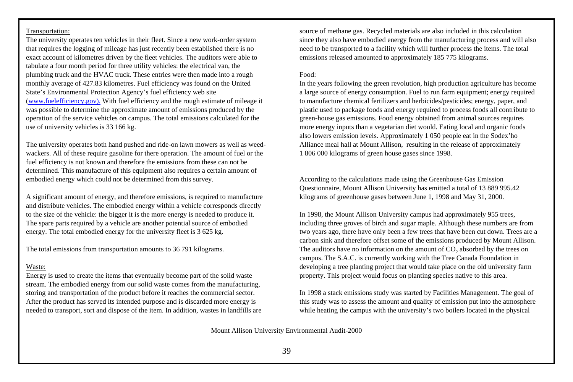### Transportation:

The university operates ten vehicles in their fleet. Since a new work-order system that requires the logging of mileage has just recently been established there is no exact account of kilometres driven by the fleet vehicles. The auditors were able to tabulate a four month period for three utility vehicles: the electrical van, the plumbing truck and the HVAC truck. These entries were then made into a rough monthly average of 427.83 kilometres. Fuel efficiency was found on the United State's Environmental Protection Agency's fuel efficiency web site (www.fuelefficiency.gov). With fuel efficiency and the rough estimate of mileage it was possible to determine the approximate amount of emissions produced by the operation of the service vehicles on campus. The total emissions calculated for the use of university vehicles is 33 166 kg.

The university operates both hand pushed and ride-on lawn mowers as well as weedwackers. All of these require gasoline for there operation. The amount of fuel or the fuel efficiency is not known and therefore the emissions from these can not be determined. This manufacture of this equipment also requires a certain amount of embodied energy which could not be determined from this survey.

A significant amount of energy, and therefore emissions, is required to manufacture and distribute vehicles. The embodied energy within a vehicle corresponds directly to the size of the vehicle: the bigger it is the more energy is needed to produce it. The spare parts required by a vehicle are another potential source of embodied energy. The total embodied energy for the university fleet is 3 625 kg.

The total emissions from transportation amounts to 36 791 kilograms.

#### Waste:

Energy is used to create the items that eventually become part of the solid waste stream. The embodied energy from our solid waste comes from the manufacturing, storing and transportation of the product before it reaches the commercial sector. After the product has served its intended purpose and is discarded more energy is needed to transport, sort and dispose of the item. In addition, wastes in landfills are

source of methane gas. Recycled materials are also included in this calculation since they also have embodied energy from the manufacturing process and will also need to be transported to a facility which will further process the items. The total emissions released amounted to approximately 185 775 kilograms.

#### Food:

In the years following the green revolution, high production agriculture has become a large source of energy consumption. Fuel to run farm equipment; energy required to manufacture chemical fertilizers and herbicides/pesticides; energy, paper, and plastic used to package foods and energy required to process foods all contribute to green-house gas emissions. Food energy obtained from animal sources requires more energy inputs than a vegetarian diet would. Eating local and organic foods also lowers emission levels. Approximately 1 050 people eat in the Sodex'ho Alliance meal hall at Mount Allison, resulting in the release of approximately 1 806 000 kilograms of green house gases since 1998.

According to the calculations made using the Greenhouse Gas Emission Questionnaire, Mount Allison University has emitted a total of 13 889 995.42 kilograms of greenhouse gases between June 1, 1998 and May 31, 2000.

In 1998, the Mount Allison University campus had approximately 955 trees, including three groves of birch and sugar maple. Although these numbers are from two years ago, there have only been a few trees that have been cut down. Trees are a carbon sink and therefore offset some of the emissions produced by Mount Allison. The auditors have no information on the amount of  $CO_2$  absorbed by the trees on campus. The S.A.C. is currently working with the Tree Canada Foundation in developing a tree planting project that would take place on the old university farm property. This project would focus on planting species native to this area.

In 1998 a stack emissions study was started by Facilities Management. The goal of this study was to assess the amount and quality of emission put into the atmosphere while heating the campus with the university's two boilers located in the physical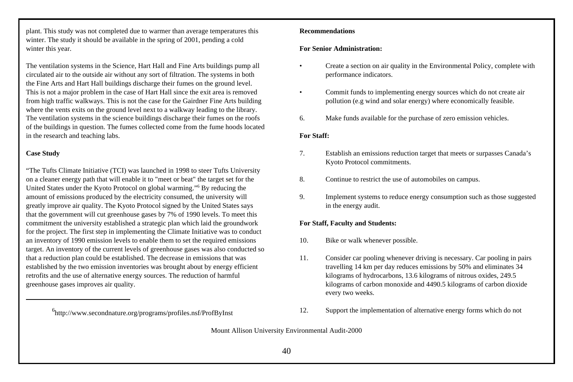plant. This study was not completed due to warmer than average temperatures this winter. The study it should be available in the spring of 2001, pending a cold winter this year.

The ventilation systems in the Science, Hart Hall and Fine Arts buildings pump all circulated air to the outside air without any sort of filtration. The systems in both the Fine Arts and Hart Hall buildings discharge their fumes on the ground level. This is not a major problem in the case of Hart Hall since the exit area is removed from high traffic walkways. This is not the case for the Gairdner Fine Arts building where the vents exits on the ground level next to a walkway leading to the library. The ventilation systems in the science buildings discharge their fumes on the roofs of the buildings in question. The fumes collected come from the fume hoods located in the research and teaching labs.

# **Case Study**

"The Tufts Climate Initiative (TCI) was launched in 1998 to steer Tufts University on a cleaner energy path that will enable it to "meet or beat" the target set for the United States under the Kyoto Protocol on global warming."<sup>6</sup> By reducing the amount of emissions produced by the electricity consumed, the university will greatly improve air quality. The Kyoto Protocol signed by the United States says that the government will cut greenhouse gases by 7% of 1990 levels. To meet this commitment the university established a strategic plan which laid the groundwork for the project. The first step in implementing the Climate Initiative was to conduct an inventory of 1990 emission levels to enable them to set the required emissions target. An inventory of the current levels of greenhouse gases was also conducted so that a reduction plan could be established. The decrease in emissions that was established by the two emission inventories was brought about by energy efficient retrofits and the use of alternative energy sources. The reduction of harmful greenhouse gases improves air quality.

### **Recommendations**

### **For Senior Administration:**

- Create a section on air quality in the Environmental Policy, complete with performance indicators.
- Commit funds to implementing energy sources which do not create air pollution (e.g wind and solar energy) where economically feasible.
- 6. Make funds available for the purchase of zero emission vehicles.

## **For Staff:**

- 7. Establish an emissions reduction target that meets or surpasses Canada's Kyoto Protocol commitments.
- 8. Continue to restrict the use of automobiles on campus.
- 9. Implement systems to reduce energy consumption such as those suggested in the energy audit.

# **For Staff, Faculty and Students:**

- 10. Bike or walk whenever possible.
- 11. Consider car pooling whenever driving is necessary. Car pooling in pairs travelling 14 km per day reduces emissions by 50% and eliminates 34 kilograms of hydrocarbons, 13.6 kilograms of nitrous oxides, 249.5 kilograms of carbon monoxide and 4490.5 kilograms of carbon dioxide every two weeks.
- <sup>6</sup>http://www.secondnature.org/programs/profiles.nsf/ProfByInst 12. Support the implementation of alternative energy forms which do not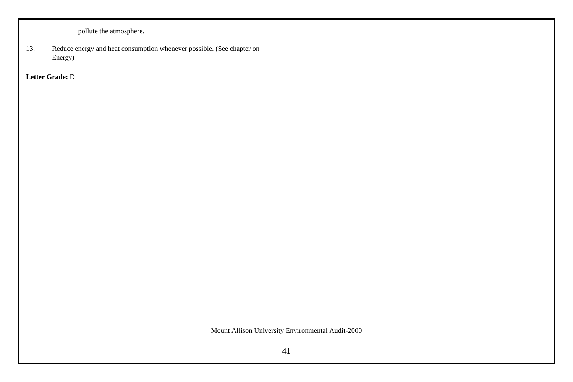pollute the atmosphere.

13. Reduce energy and heat consumption whenever possible. (See chapter on Energy)

**Letter Grade:** D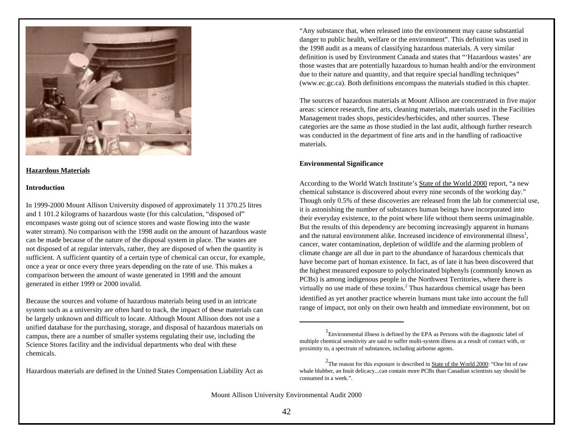

## **Hazardous Materials**

### **Introduction**

In 1999-2000 Mount Allison University disposed of approximately 11 370.25 litres and 1 101.2 kilograms of hazardous waste (for this calculation, "disposed of" encompases waste going out of science stores and waste flowing into the waste water stream). No comparison with the 1998 audit on the amount of hazardous waste can be made because of the nature of the disposal system in place. The wastes are not disposed of at regular intervals, rather, they are disposed of when the quantity is sufficient. A sufficient quantity of a certain type of chemical can occur, for example, once a year or once every three years depending on the rate of use. This makes a comparison between the amount of waste generated in 1998 and the amount generated in either 1999 or 2000 invalid.

Because the sources and volume of hazardous materials being used in an intricate system such as a university are often hard to track, the impact of these materials can be largely unknown and difficult to locate. Although Mount Allison does not use a unified database for the purchasing, storage, and disposal of hazardous materials on campus, there are a number of smaller systems regulating their use, including the Science Stores facility and the individual departments who deal with these chemicals.

Hazardous materials are defined in the United States Compensation Liability Act as

"Any substance that, when released into the environment may cause substantial danger to public health, welfare or the environment". This definition was used in the 1998 audit as a means of classifying hazardous materials. A very similar definition is used by Environment Canada and states that "'Hazardous wastes' are those wastes that are potentially hazardous to human health and/or the environment due to their nature and quantity, and that require special handling techniques" (www.ec.gc.ca). Both definitions encompass the materials studied in this chapter.

The sources of hazardous materials at Mount Allison are concentrated in five major areas: science research, fine arts, cleaning materials, materials used in the Facilities Management trades shops, pesticides/herbicides, and other sources. These categories are the same as those studied in the last audit, although further research was conducted in the department of fine arts and in the handling of radioactive materials.

# **Environmental Significance**

According to the World Watch Institute's State of the World 2000 report, "a new chemical substance is discovered about every nine seconds of the working day." Though only 0.5% of these discoveries are released from the lab for commercial use, it is astonishing the number of substances human beings have incorporated into their everyday existence, to the point where life without them seems unimaginable. But the results of this dependency are becoming increasingly apparent in humans and the natural environment alike. Increased incidence of environmental illness<sup>1</sup>, cancer, water contamination, depletion of wildlife and the alarming problem of climate change are all due in part to the abundance of hazardous chemicals that have become part of human existence. In fact, as of late it has been discovered that the highest measured exposure to polychlorinated biphenyls (commonly known as PCBs) is among indigenous people in the Northwest Territories, where there is virtually no use made of these toxins.<sup>2</sup> Thus hazardous chemical usage has been identified as yet another practice wherein humans must take into account the full range of impact, not only on their own health and immediate environment, but on

<sup>&</sup>lt;sup>1</sup> Environmental illness is defined by the EPA as Persons with the diagnostic label of multiple chemical sensitivity are said to suffer multi-system illness as a result of contact with, or proximity to, a spectrum of substances, including airborne agents.

<sup>&</sup>lt;sup>2</sup>The reason for this exposure is described in **State of the World 2000**: "One bit of raw whale blubber, an Inuit delicacy...can contain more PCBs than Canadian scientists say should be consumed in a week.".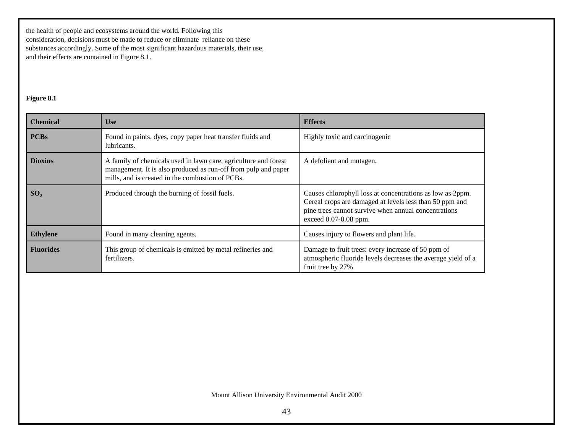the health of people and ecosystems around the world. Following this consideration, decisions must be made to reduce or eliminate reliance on these substances accordingly. Some of the most significant hazardous materials, their use, and their effects are contained in Figure 8.1.

# **Figure 8.1**

| <b>Chemical</b>  | <b>Use</b>                                                                                                                                                                            | <b>Effects</b>                                                                                                                                                                                        |
|------------------|---------------------------------------------------------------------------------------------------------------------------------------------------------------------------------------|-------------------------------------------------------------------------------------------------------------------------------------------------------------------------------------------------------|
| <b>PCBs</b>      | Found in paints, dyes, copy paper heat transfer fluids and<br>lubricants.                                                                                                             | Highly toxic and carcinogenic                                                                                                                                                                         |
| <b>Dioxins</b>   | A family of chemicals used in lawn care, agriculture and forest<br>management. It is also produced as run-off from pulp and paper<br>mills, and is created in the combustion of PCBs. | A defoliant and mutagen.                                                                                                                                                                              |
| SO <sub>2</sub>  | Produced through the burning of fossil fuels.                                                                                                                                         | Causes chlorophyll loss at concentrations as low as 2ppm.<br>Cereal crops are damaged at levels less than 50 ppm and<br>pine trees cannot survive when annual concentrations<br>exceed 0.07-0.08 ppm. |
| <b>Ethylene</b>  | Found in many cleaning agents.                                                                                                                                                        | Causes injury to flowers and plant life.                                                                                                                                                              |
| <b>Fluorides</b> | This group of chemicals is emitted by metal refineries and<br>fertilizers.                                                                                                            | Damage to fruit trees: every increase of 50 ppm of<br>atmospheric fluoride levels decreases the average yield of a<br>fruit tree by 27%                                                               |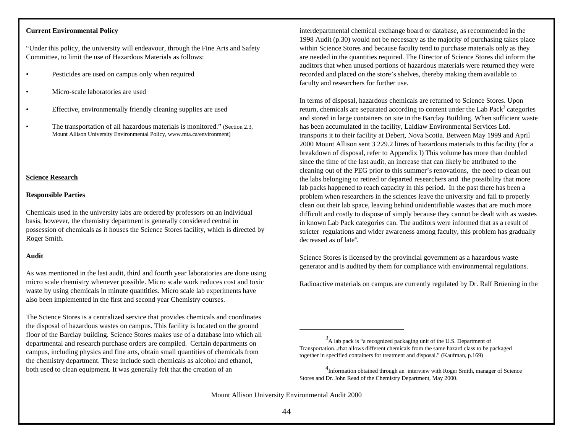### **Current Environmental Policy**

"Under this policy, the university will endeavour, through the Fine Arts and Safety Committee, to limit the use of Hazardous Materials as follows:

- Pesticides are used on campus only when required
- Micro-scale laboratories are used
- Effective, environmentally friendly cleaning supplies are used
- The transportation of all hazardous materials is monitored." (Section 2.3, Mount Allison University Environmental Policy, www.mta.ca/environment)

# **Science Research**

## **Responsible Parties**

Chemicals used in the university labs are ordered by professors on an individual basis, however, the chemistry department is generally considered central in possession of chemicals as it houses the Science Stores facility, which is directed by Roger Smith.

# **Audit**

As was mentioned in the last audit, third and fourth year laboratories are done using micro scale chemistry whenever possible. Micro scale work reduces cost and toxic waste by using chemicals in minute quantities. Micro scale lab experiments have also been implemented in the first and second year Chemistry courses.

The Science Stores is a centralized service that provides chemicals and coordinates the disposal of hazardous wastes on campus. This facility is located on the ground floor of the Barclay building. Science Stores makes use of a database into which all departmental and research purchase orders are compiled. Certain departments on campus, including physics and fine arts, obtain small quantities of chemicals from the chemistry department. These include such chemicals as alcohol and ethanol, both used to clean equipment. It was generally felt that the creation of an

interdepartmental chemical exchange board or database, as recommended in the 1998 Audit (p.30) would not be necessary as the majority of purchasing takes place within Science Stores and because faculty tend to purchase materials only as they are needed in the quantities required. The Director of Science Stores did inform the auditors that when unused portions of hazardous materials were returned they were recorded and placed on the store's shelves, thereby making them available to faculty and researchers for further use.

In terms of disposal, hazardous chemicals are returned to Science Stores. Upon return, chemicals are separated according to content under the Lab Pack<sup>3</sup> categories and stored in large containers on site in the Barclay Building. When sufficient waste has been accumulated in the facility, Laidlaw Environmental Services Ltd. transports it to their facility at Debert, Nova Scotia. Between May 1999 and April 2000 Mount Allison sent 3 229.2 litres of hazardous materials to this facility (for a breakdown of disposal, refer to Appendix I) This volume has more than doubled since the time of the last audit, an increase that can likely be attributed to the cleaning out of the PEG prior to this summer's renovations, the need to clean out the labs belonging to retired or departed researchers and the possibility that more lab packs happened to reach capacity in this period. In the past there has been a problem when researchers in the sciences leave the university and fail to properly clean out their lab space, leaving behind unidentifiable wastes that are much more difficult and costly to dispose of simply because they cannot be dealt with as wastes in known Lab Pack categories can. The auditors were informed that as a result of stricter regulations and wider awareness among faculty, this problem has gradually decreased as of late<sup>4</sup>.

Science Stores is licensed by the provincial government as a hazardous waste generator and is audited by them for compliance with environmental regulations.

Radioactive materials on campus are currently regulated by Dr. Ralf Brüening in the

 $3A$  lab pack is "a recognized packaging unit of the U.S. Department of Transportation...that allows different chemicals from the same hazard class to be packaged together in specified containers for treatment and disposal." (Kaufman, p.169)

<sup>&</sup>lt;sup>4</sup>Information obtained through an interview with Roger Smith, manager of Science Stores and Dr. John Read of the Chemistry Department, May 2000.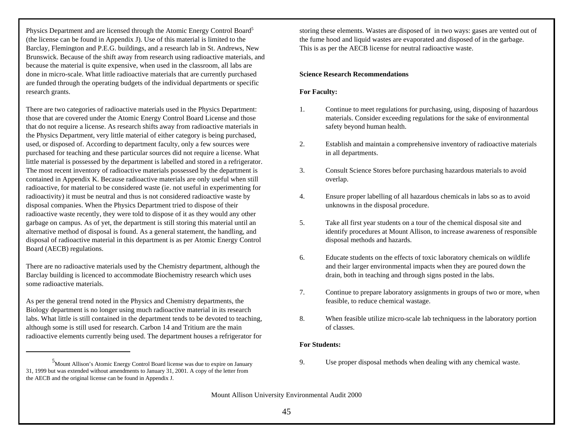Physics Department and are licensed through the Atomic Energy Control Board<sup>5</sup> (the license can be found in Appendix J). Use of this material is limited to the Barclay, Flemington and P.E.G. buildings, and a research lab in St. Andrews, New Brunswick. Because of the shift away from research using radioactive materials, and because the material is quite expensive, when used in the classroom, all labs are done in micro-scale. What little radioactive materials that are currently purchased are funded through the operating budgets of the individual departments or specific research grants.

There are two categories of radioactive materials used in the Physics Department: those that are covered under the Atomic Energy Control Board License and those that do not require a license. As research shifts away from radioactive materials in the Physics Department, very little material of either category is being purchased, used, or disposed of. According to department faculty, only a few sources were purchased for teaching and these particular sources did not require a license. What little material is possessed by the department is labelled and stored in a refrigerator. The most recent inventory of radioactive materials possessed by the department is contained in Appendix K. Because radioactive materials are only useful when still radioactive, for material to be considered waste (ie. not useful in experimenting for radioactivity) it must be neutral and thus is not considered radioactive waste by disposal companies. When the Physics Department tried to dispose of their radioactive waste recently, they were told to dispose of it as they would any other garbage on campus. As of yet, the department is still storing this material until an alternative method of disposal is found. As a general statement, the handling, and disposal of radioactive material in this department is as per Atomic Energy Control Board (AECB) regulations.

There are no radioactive materials used by the Chemistry department, although the Barclay building is licenced to accommodate Biochemistry research which uses some radioactive materials.

As per the general trend noted in the Physics and Chemistry departments, the Biology department is no longer using much radioactive material in its research labs. What little is still contained in the department tends to be devoted to teaching, although some is still used for research. Carbon 14 and Tritium are the main radioactive elements currently being used. The department houses a refrigerator for

storing these elements. Wastes are disposed of in two ways: gases are vented out of the fume hood and liquid wastes are evaporated and disposed of in the garbage. This is as per the AECB license for neutral radioactive waste.

### **Science Research Recommendations**

## **For Faculty:**

- 1. Continue to meet regulations for purchasing, using, disposing of hazardous materials. Consider exceeding regulations for the sake of environmental safety beyond human health.
- 2. Establish and maintain a comprehensive inventory of radioactive materials in all departments.
- 3. Consult Science Stores before purchasing hazardous materials to avoid overlap.
- 4. Ensure proper labelling of all hazardous chemicals in labs so as to avoid unknowns in the disposal procedure.
- 5. Take all first year students on a tour of the chemical disposal site and identify procedures at Mount Allison, to increase awareness of responsible disposal methods and hazards.
- 6. Educate students on the effects of toxic laboratory chemicals on wildlife and their larger environmental impacts when they are poured down the drain, both in teaching and through signs posted in the labs.
- 7. Continue to prepare laboratory assignments in groups of two or more, when feasible, to reduce chemical wastage.
- 8. When feasible utilize micro-scale lab techniquess in the laboratory portion of classes.

## **For Students:**

<sup>5</sup>Mount Allison's Atomic Energy Control Board license was due to expire on January 9. Use proper disposal methods when dealing with any chemical waste.

<sup>31, 1999</sup> but was extended without amendments to January 31, 2001. A copy of the letter from the AECB and the original license can be found in Appendix J.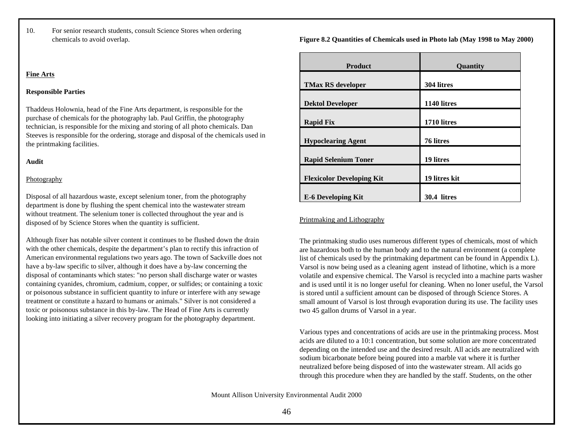10. For senior research students, consult Science Stores when ordering chemicals to avoid overlap.

# **Fine Arts**

# **Responsible Parties**

Thaddeus Holownia, head of the Fine Arts department, is responsible for the purchase of chemicals for the photography lab. Paul Griffin, the photography technician, is responsible for the mixing and storing of all photo chemicals. Dan Steeves is responsible for the ordering, storage and disposal of the chemicals used in the printmaking facilities.

# **Audit**

# Photography

Disposal of all hazardous waste, except selenium toner, from the photography department is done by flushing the spent chemical into the wastewater stream without treatment. The selenium toner is collected throughout the year and is disposed of by Science Stores when the quantity is sufficient.

Although fixer has notable silver content it continues to be flushed down the drain with the other chemicals, despite the department's plan to rectify this infraction of American environmental regulations two years ago. The town of Sackville does not have a by-law specific to silver, although it does have a by-law concerning the disposal of contaminants which states: "no person shall discharge water or wastes containing cyanides, chromium, cadmium, copper, or sulfides; or containing a toxic or poisonous substance in sufficient quantity to infure or interfere with any sewage treatment or constitute a hazard to humans or animals." Silver is not considered a toxic or poisonous substance in this by-law. The Head of Fine Arts is currently looking into initiating a silver recovery program for the photography department.

**Figure 8.2 Quantities of Chemicals used in Photo lab (May 1998 to May 2000)**

| <b>Product</b>                   | Quantity      |
|----------------------------------|---------------|
| <b>TMax RS developer</b>         | 304 litres    |
| <b>Dektol Developer</b>          | 1140 litres   |
| <b>Rapid Fix</b>                 | 1710 litres   |
| <b>Hypoclearing Agent</b>        | 76 litres     |
| <b>Rapid Selenium Toner</b>      | 19 litres     |
| <b>Flexicolor Developing Kit</b> | 19 litres kit |
| <b>E-6 Developing Kit</b>        | 30.4 litres   |

# Printmaking and Lithography

The printmaking studio uses numerous different types of chemicals, most of which are hazardous both to the human body and to the natural environment (a complete list of chemicals used by the printmaking department can be found in Appendix L). Varsol is now being used as a cleaning agent instead of lithotine, which is a more volatile and expensive chemical. The Varsol is recycled into a machine parts washer and is used until it is no longer useful for cleaning. When no loner useful, the Varsol is stored until a sufficient amount can be disposed of through Science Stores. A small amount of Varsol is lost through evaporation during its use. The facility uses two 45 gallon drums of Varsol in a year.

Various types and concentrations of acids are use in the printmaking process. Most acids are diluted to a 10:1 concentration, but some solution are more concentrated depending on the intended use and the desired result. All acids are neutralized with sodium bicarbonate before being poured into a marble vat where it is further neutralized before being disposed of into the wastewater stream. All acids go through this procedure when they are handled by the staff. Students, on the other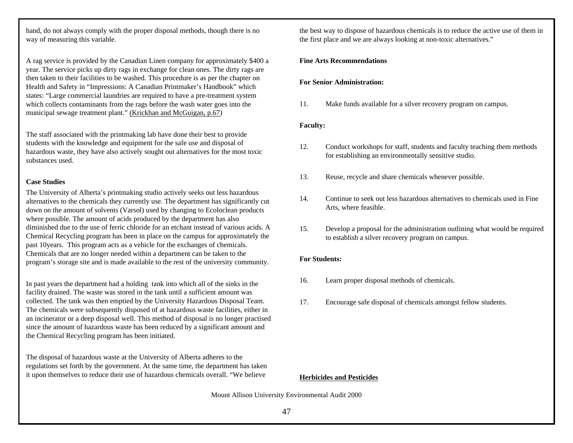hand, do not always comply with the proper disposal methods, though there is no way of measuring this variable.

A rag service is provided by the Canadian Linen company for approximately \$400 a year. The service picks up dirty rags in exchange for clean ones. The dirty rags are then taken to their facilities to be washed. This procedure is as per the chapter on Health and Safety in "Impressions: A Canadian Printmaker's Handbook" which states: "Large commercial laundries are required to have a pre-treatment system which collects contaminants from the rags before the wash water goes into the municipal sewage treatment plant." (Krickhan and McGuigan, p.67)

The staff associated with the printmaking lab have done their best to provide students with the knowledge and equipment for the safe use and disposal of hazardous waste, they have also actively sought out alternatives for the most toxic substances used.

# **Case Studies**

The University of Alberta's printmaking studio actively seeks out less hazardous alternatives to the chemicals they currently use. The department has significantly cut down on the amount of solvents (Varsol) used by changing to Ecoloclean products where possible. The amount of acids produced by the department has also diminished due to the use of ferric chloride for an etchant instead of various acids. A Chemical Recycling program has been in place on the campus for approximately the past 10years. This program acts as a vehicle for the exchanges of chemicals. Chemicals that are no longer needed within a department can be taken to the program's storage site and is made available to the rest of the university community.

In past years the department had a holding tank into which all of the sinks in the facility drained. The waste was stored in the tank until a sufficient amount was collected. The tank was then emptied by the University Hazardous Disposal Team. The chemicals were subsequently disposed of at hazardous waste facilities, either in an incinerator or a deep disposal well. This method of disposal is no longer practised since the amount of hazardous waste has been reduced by a significant amount and the Chemical Recycling program has been initiated.

The disposal of hazardous waste at the University of Alberta adheres to the regulations set forth by the government. At the same time, the department has taken it upon themselves to reduce their use of hazardous chemicals overall. "We believe the best way to dispose of hazardous chemicals is to reduce the active use of them in the first place and we are always looking at non-toxic alternatives."

# **Fine Arts Recommendations**

# **For Senior Administration:**

11. Make funds available for a silver recovery program on campus.

### **Faculty:**

- 12. Conduct workshops for staff, students and faculty teaching them methods for establishing an environmentally sensitive studio.
- 13. Reuse, recycle and share chemicals whenever possible.
- 14. Continue to seek out less hazardous alternatives to chemicals used in Fine Arts, where feasible.
- 15. Develop a proposal for the administration outlining what would be required to establish a silver recovery program on campus.

# **For Students:**

- 16. Learn proper disposal methods of chemicals.
- 17. Encourage safe disposal of chemicals amongst fellow students.

# **Herbicides and Pesticides**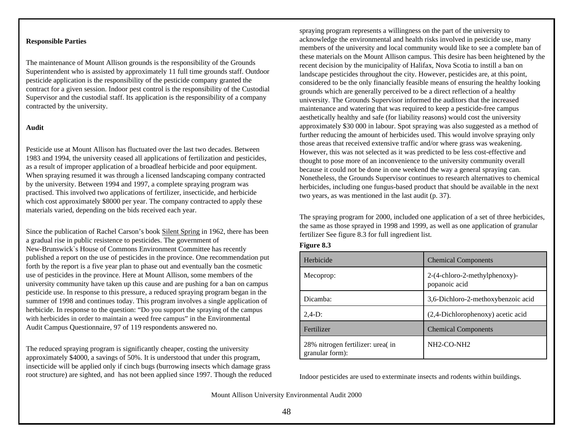## **Responsible Parties**

The maintenance of Mount Allison grounds is the responsibility of the Grounds Superintendent who is assisted by approximately 11 full time grounds staff. Outdoor pesticide application is the responsibility of the pesticide company granted the contract for a given session. Indoor pest control is the responsibility of the Custodial Supervisor and the custodial staff. Its application is the responsibility of a company contracted by the university.

# **Audit**

Pesticide use at Mount Allison has fluctuated over the last two decades. Between 1983 and 1994, the university ceased all applications of fertilization and pesticides, as a result of improper application of a broadleaf herbicide and poor equipment. When spraying resumed it was through a licensed landscaping company contracted by the university. Between 1994 and 1997, a complete spraying program was practised. This involved two applications of fertilizer, insecticide, and herbicide which cost approximately \$8000 per year. The company contracted to apply these materials varied, depending on the bids received each year.

Since the publication of Rachel Carson's book Silent Spring in 1962, there has been a gradual rise in public resistence to pesticides. The government of New-Brunswick`s House of Commons Environment Committee has recently published a report on the use of pesticides in the province. One recommendation put forth by the report is a five year plan to phase out and eventually ban the cosmetic use of pesticides in the province. Here at Mount Allison, some members of the university community have taken up this cause and are pushing for a ban on campus pesticide use. In response to this pressure, a reduced spraying program began in the summer of 1998 and continues today. This program involves a single application of herbicide. In response to the question: "Do you support the spraying of the campus with herbicides in order to maintain a weed free campus" in the Environmental Audit Campus Questionnaire, 97 of 119 respondents answered no.

The reduced spraying program is significantly cheaper, costing the university approximately \$4000, a savings of 50%. It is understood that under this program, insecticide will be applied only if cinch bugs (burrowing insects which damage grass root structure) are sighted, and has not been applied since 1997. Though the reduced

spraying program represents a willingness on the part of the university to acknowledge the environmental and health risks involved in pesticide use, many members of the university and local community would like to see a complete ban of these materials on the Mount Allison campus. This desire has been heightened by the recent decision by the municipality of Halifax, Nova Scotia to instill a ban on landscape pesticides throughout the city. However, pesticides are, at this point, considered to be the only financially feasible means of ensuring the healthy looking grounds which are generally perceived to be a direct reflection of a healthy university. The Grounds Supervisor informed the auditors that the increased maintenance and watering that was required to keep a pesticide-free campus aesthetically healthy and safe (for liability reasons) would cost the university approximately \$30 000 in labour. Spot spraying was also suggested as a method of further reducing the amount of herbicides used. This would involve spraying only those areas that received extensive traffic and/or where grass was weakening. However, this was not selected as it was predicted to be less cost-effective and thought to pose more of an inconvenience to the university community overall because it could not be done in one weekend the way a general spraying can. Nonetheless, the Grounds Supervisor continues to research alternatives to chemical herbicides, including one fungus-based product that should be available in the next two years, as was mentioned in the last audit (p. 37).

The spraying program for 2000, included one application of a set of three herbicides, the same as those sprayed in 1998 and 1999, as well as one application of granular fertilizer See figure 8.3 for full ingredient list.

| <b>Figure 8.3</b> |  |
|-------------------|--|
|-------------------|--|

| Herbicide                                           | <b>Chemical Components</b>                     |
|-----------------------------------------------------|------------------------------------------------|
| Mecoprop:                                           | 2-(4-chloro-2-methylphenoxy)-<br>popanoic acid |
| Dicamba:                                            | 3,6-Dichloro-2-methoxybenzoic acid             |
| $2.4-D:$                                            | (2,4-Dichlorophenoxy) acetic acid              |
| Fertilizer                                          | <b>Chemical Components</b>                     |
| 28% nitrogen fertilizer: urea(in<br>granular form): | NH2-CO-NH2                                     |

Indoor pesticides are used to exterminate insects and rodents within buildings.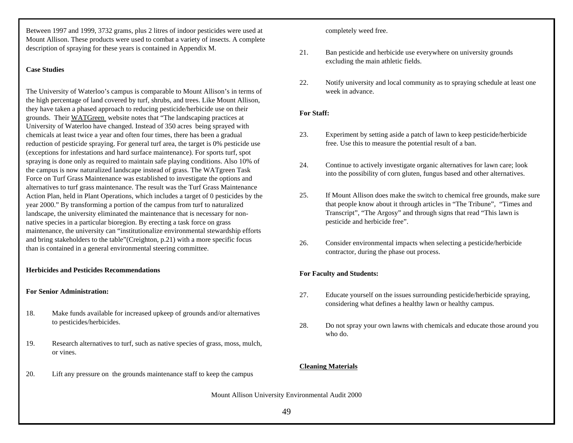Between 1997 and 1999, 3732 grams, plus 2 litres of indoor pesticides were used at Mount Allison. These products were used to combat a variety of insects. A complete description of spraying for these years is contained in Appendix M.

# **Case Studies**

The University of Waterloo's campus is comparable to Mount Allison's in terms of the high percentage of land covered by turf, shrubs, and trees. Like Mount Allison, they have taken a phased approach to reducing pesticide/herbicide use on their grounds. Their WATGreen website notes that "The landscaping practices at University of Waterloo have changed. Instead of 350 acres being sprayed with chemicals at least twice a year and often four times, there has been a gradual reduction of pesticide spraying. For general turf area, the target is 0% pesticide use (exceptions for infestations and hard surface maintenance). For sports turf, spot spraying is done only as required to maintain safe playing conditions. Also 10% of the campus is now naturalized landscape instead of grass. The WATgreen Task Force on Turf Grass Maintenance was established to investigate the options and alternatives to turf grass maintenance. The result was the Turf Grass Maintenance Action Plan, held in Plant Operations, which includes a target of 0 pesticides by the year 2000." By transforming a portion of the campus from turf to naturalized landscape, the university eliminated the maintenance that is necessary for nonnative species in a particular bioregion. By erecting a task force on grass maintenance, the university can "institutionalize environmental stewardship efforts and bring stakeholders to the table"(Creighton, p.21) with a more specific focus than is contained in a general environmental steering committee.

# **Herbicides and Pesticides Recommendations**

## **For Senior Administration:**

- 18. Make funds available for increased upkeep of grounds and/or alternatives to pesticides/herbicides.
- 19. Research alternatives to turf, such as native species of grass, moss, mulch, or vines.
- 20. Lift any pressure on the grounds maintenance staff to keep the campus

completely weed free.

- 21. Ban pesticide and herbicide use everywhere on university grounds excluding the main athletic fields.
- 22. Notify university and local community as to spraying schedule at least one week in advance.

# **For Staff:**

- 23. Experiment by setting aside a patch of lawn to keep pesticide/herbicide free. Use this to measure the potential result of a ban.
- 24. Continue to actively investigate organic alternatives for lawn care; look into the possibility of corn gluten, fungus based and other alternatives.
- 25. If Mount Allison does make the switch to chemical free grounds, make sure that people know about it through articles in "The Tribune", "Times and Transcript", "The Argosy" and through signs that read "This lawn is pesticide and herbicide free".
- 26. Consider environmental impacts when selecting a pesticide/herbicide contractor, during the phase out process.

## **For Faculty and Students:**

- 27. Educate yourself on the issues surrounding pesticide/herbicide spraying, considering what defines a healthy lawn or healthy campus.
- 28. Do not spray your own lawns with chemicals and educate those around you who do.

# **Cleaning Materials**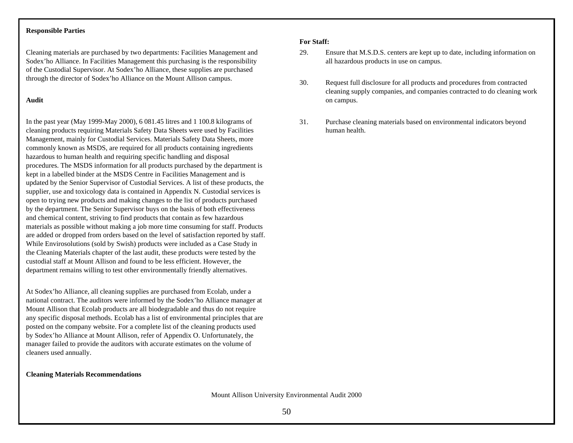### **Responsible Parties**

Cleaning materials are purchased by two departments: Facilities Management and Sodex'ho Alliance. In Facilities Management this purchasing is the responsibility of the Custodial Supervisor. At Sodex'ho Alliance, these supplies are purchased through the director of Sodex'ho Alliance on the Mount Allison campus.

## **Audit**

In the past year (May 1999-May 2000), 6 081.45 litres and 1 100.8 kilograms of cleaning products requiring Materials Safety Data Sheets were used by Facilities Management, mainly for Custodial Services. Materials Safety Data Sheets, more commonly known as MSDS, are required for all products containing ingredients hazardous to human health and requiring specific handling and disposal procedures. The MSDS information for all products purchased by the department is kept in a labelled binder at the MSDS Centre in Facilities Management and is updated by the Senior Supervisor of Custodial Services. A list of these products, the supplier, use and toxicology data is contained in Appendix N. Custodial services is open to trying new products and making changes to the list of products purchased by the department. The Senior Supervisor buys on the basis of both effectiveness and chemical content, striving to find products that contain as few hazardous materials as possible without making a job more time consuming for staff. Products are added or dropped from orders based on the level of satisfaction reported by staff. While Envirosolutions (sold by Swish) products were included as a Case Study in the Cleaning Materials chapter of the last audit, these products were tested by the custodial staff at Mount Allison and found to be less efficient. However, the department remains willing to test other environmentally friendly alternatives.

At Sodex'ho Alliance, all cleaning supplies are purchased from Ecolab, under a national contract. The auditors were informed by the Sodex'ho Alliance manager at Mount Allison that Ecolab products are all biodegradable and thus do not require any specific disposal methods. Ecolab has a list of environmental principles that are posted on the company website. For a complete list of the cleaning products used by Sodex'ho Alliance at Mount Allison, refer of Appendix O. Unfortunately, the manager failed to provide the auditors with accurate estimates on the volume of cleaners used annually.

## **Cleaning Materials Recommendations**

## **For Staff:**

- 29. Ensure that M.S.D.S. centers are kept up to date, including information on all hazardous products in use on campus.
- 30. Request full disclosure for all products and procedures from contracted cleaning supply companies, and companies contracted to do cleaning work on campus.
- 31. Purchase cleaning materials based on environmental indicators beyond human health.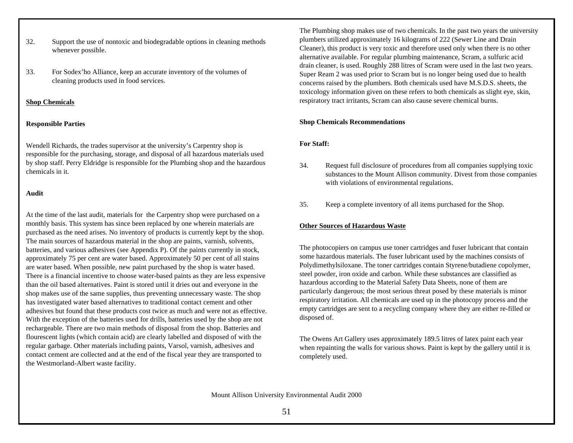- 32. Support the use of nontoxic and biodegradable options in cleaning methods whenever possible.
- 33. For Sodex'ho Alliance, keep an accurate inventory of the volumes of cleaning products used in food services.

# **Shop Chemicals**

# **Responsible Parties**

Wendell Richards, the trades supervisor at the university's Carpentry shop is responsible for the purchasing, storage, and disposal of all hazardous materials used by shop staff. Perry Eldridge is responsible for the Plumbing shop and the hazardous chemicals in it.

# **Audit**

At the time of the last audit, materials for the Carpentry shop were purchased on a monthly basis. This system has since been replaced by one wherein materials are purchased as the need arises. No inventory of products is currently kept by the shop. The main sources of hazardous material in the shop are paints, varnish, solvents, batteries, and various adhesives (see Appendix P). Of the paints currently in stock, approximately 75 per cent are water based. Approximately 50 per cent of all stains are water based. When possible, new paint purchased by the shop is water based. There is a financial incentive to choose water-based paints as they are less expensive than the oil based alternatives. Paint is stored until it dries out and everyone in the shop makes use of the same supplies, thus preventing unnecessary waste. The shop has investigated water based alternatives to traditional contact cement and other adhesives but found that these products cost twice as much and were not as effective. With the exception of the batteries used for drills, batteries used by the shop are not rechargeable. There are two main methods of disposal from the shop. Batteries and flourescent lights (which contain acid) are clearly labelled and disposed of with the regular garbage. Other materials including paints, Varsol, varnish, adhesives and contact cement are collected and at the end of the fiscal year they are transported to the Westmorland-Albert waste facility.

The Plumbing shop makes use of two chemicals. In the past two years the university plumbers utilized approximately 16 kilograms of 222 (Sewer Line and Drain Cleaner), this product is very toxic and therefore used only when there is no other alternative available. For regular plumbing maintenance, Scram, a sulfuric acid drain cleaner, is used. Roughly 288 litres of Scram were used in the last two years. Super Ream 2 was used prior to Scram but is no longer being used due to health concerns raised by the plumbers. Both chemicals used have M.S.D.S. sheets, the toxicology information given on these refers to both chemicals as slight eye, skin, respiratory tract irritants, Scram can also cause severe chemical burns.

# **Shop Chemicals Recommendations**

# **For Staff:**

- 34. Request full disclosure of procedures from all companies supplying toxic substances to the Mount Allison community. Divest from those companies with violations of environmental regulations.
- 35. Keep a complete inventory of all items purchased for the Shop.

# **Other Sources of Hazardous Waste**

The photocopiers on campus use toner cartridges and fuser lubricant that contain some hazardous materials. The fuser lubricant used by the machines consists of Polydimethylsiloxane. The toner cartridges contain Styrene/butadiene copolymer, steel powder, iron oxide and carbon. While these substances are classified as hazardous according to the Material Safety Data Sheets, none of them are particularly dangerous; the most serious threat posed by these materials is minor respiratory irritation. All chemicals are used up in the photocopy process and the empty cartridges are sent to a recycling company where they are either re-filled or disposed of.

The Owens Art Gallery uses approximately 189.5 litres of latex paint each year when repainting the walls for various shows. Paint is kept by the gallery until it is completely used.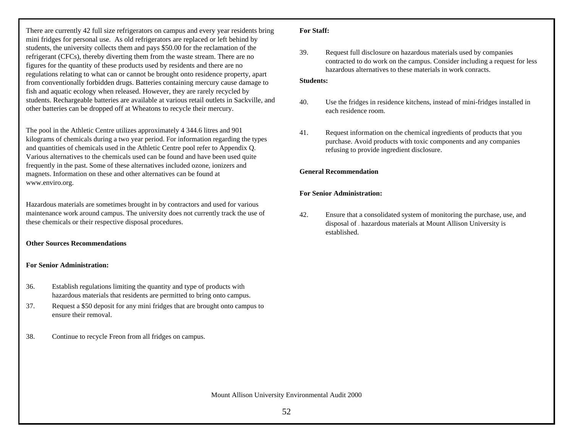There are currently 42 full size refrigerators on campus and every year residents bring mini fridges for personal use. As old refrigerators are replaced or left behind by students, the university collects them and pays \$50.00 for the reclamation of the refrigerant (CFCs), thereby diverting them from the waste stream. There are no figures for the quantity of these products used by residents and there are no regulations relating to what can or cannot be brought onto residence property, apart from conventionally forbidden drugs. Batteries containing mercury cause damage to fish and aquatic ecology when released. However, they are rarely recycled by students. Rechargeable batteries are available at various retail outlets in Sackville, and other batteries can be dropped off at Wheatons to recycle their mercury.

The pool in the Athletic Centre utilizes approximately 4 344.6 litres and 901 kilograms of chemicals during a two year period. For information regarding the types and quantities of chemicals used in the Athletic Centre pool refer to Appendix Q. Various alternatives to the chemicals used can be found and have been used quite frequently in the past. Some of these alternatives included ozone, ionizers and magnets. Information on these and other alternatives can be found at www.enviro.org.

Hazardous materials are sometimes brought in by contractors and used for various maintenance work around campus. The university does not currently track the use of these chemicals or their respective disposal procedures.

# **Other Sources Recommendations**

# **For Senior Administration:**

- 36. Establish regulations limiting the quantity and type of products with hazardous materials that residents are permitted to bring onto campus.
- 37. Request a \$50 deposit for any mini fridges that are brought onto campus to ensure their removal.
- 38. Continue to recycle Freon from all fridges on campus.

# **For Staff:**

39. Request full disclosure on hazardous materials used by companies contracted to do work on the campus. Consider including a request for less hazardous alternatives to these materials in work conracts.

# **Students:**

- 40. Use the fridges in residence kitchens, instead of mini-fridges installed in each residence room.
- 41. Request information on the chemical ingredients of products that you purchase. Avoid products with toxic components and any companies refusing to provide ingredient disclosure.

# **General Recommendation**

# **For Senior Administration:**

42. Ensure that a consolidated system of monitoring the purchase, use, and disposal of *all* hazardous materials at Mount Allison University is established.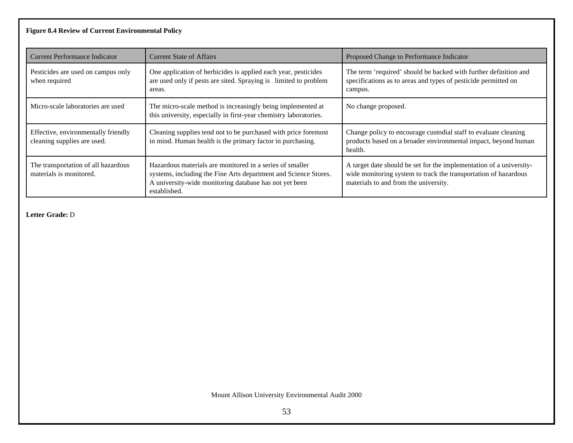# **Figure 8.4 Review of Current Environmental Policy**

| <b>Current Performance Indicator</b>                               | <b>Current State of Affairs</b>                                                                                                                                                                       | Proposed Change to Performance Indicator                                                                                                                                        |
|--------------------------------------------------------------------|-------------------------------------------------------------------------------------------------------------------------------------------------------------------------------------------------------|---------------------------------------------------------------------------------------------------------------------------------------------------------------------------------|
| Pesticides are used on campus only<br>when required                | One application of herbicides is applied each year, pesticides<br>are used only if pests are sited. Spraying is $\lrcorner$ limited to problem<br>areas.                                              | The term 'required' should be backed with further definition and<br>specifications as to areas and types of pesticide permitted on<br>campus.                                   |
| Micro-scale laboratories are used                                  | The micro-scale method is increasingly being implemented at<br>this university, especially in first-year chemistry laboratories.                                                                      | No change proposed.                                                                                                                                                             |
| Effective, environmentally friendly<br>cleaning supplies are used. | Cleaning supplies tend not to be purchased with price foremost<br>in mind. Human health is the primary factor in purchasing.                                                                          | Change policy to encourage custodial staff to evaluate cleaning<br>products based on a broader environmental impact, beyond human<br>health.                                    |
| The transportation of all hazardous<br>materials is monitored.     | Hazardous materials are monitored in a series of smaller<br>systems, including the Fine Arts department and Science Stores.<br>A university-wide monitoring database has not yet been<br>established. | A target date should be set for the implementation of a university-<br>wide monitoring system to track the transportation of hazardous<br>materials to and from the university. |

**Letter Grade:** D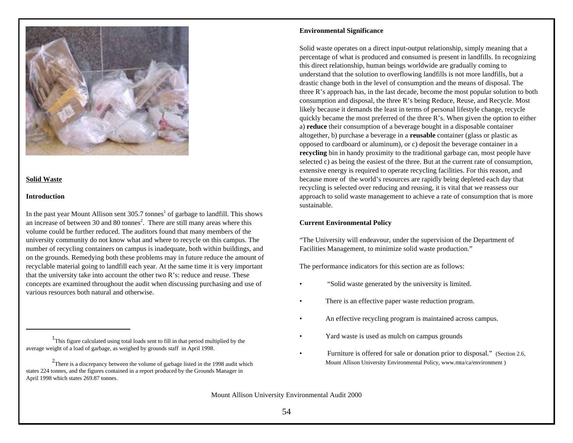

# **Solid Waste**

### **Introduction**

In the past year Mount Allison sent 305.7 tonnes<sup>1</sup> of garbage to landfill. This shows an increase of between 30 and 80 tonnes<sup>2</sup>. There are still many areas where this volume could be further reduced. The auditors found that many members of the university community do not know what and where to recycle on this campus. The number of recycling containers on campus is inadequate, both within buildings, and on the grounds. Remedying both these problems may in future reduce the amount of recyclable material going to landfill each year. At the same time it is very important that the university take into account the other two R's: reduce and reuse. These concepts are examined throughout the audit when discussing purchasing and use of various resources both natural and otherwise.

### **Environmental Significance**

Solid waste operates on a direct input-output relationship, simply meaning that a percentage of what is produced and consumed is present in landfills. In recognizing this direct relationship, human beings worldwide are gradually coming to understand that the solution to overflowing landfills is not more landfills, but a drastic change both in the level of consumption and the means of disposal. The three R's approach has, in the last decade, become the most popular solution to both consumption and disposal, the three R's being Reduce, Reuse, and Recycle. Most likely because it demands the least in terms of personal lifestyle change, recycle quickly became the most preferred of the three R's. When given the option to either a) **reduce** their consumption of a beverage bought in a disposable container altogether, b) purchase a beverage in a **reusable** container (glass or plastic as opposed to cardboard or aluminum), or c) deposit the beverage container in a **recycling** bin in handy proximity to the traditional garbage can, most people have selected c) as being the easiest of the three. But at the current rate of consumption, extensive energy is required to operate recycling facilities. For this reason, and because more of the world's resources are rapidly being depleted each day that recycling is selected over reducing and reusing, it is vital that we reassess our approach to solid waste management to achieve a rate of consumption that is more sustainable.

# **Current Environmental Policy**

"The University will endeavour, under the supervision of the Department of Facilities Management, to minimize solid waste production."

The performance indicators for this section are as follows:

- "Solid waste generated by the university is limited.
- There is an effective paper waste reduction program.
- An effective recycling program is maintained across campus.
- Yard waste is used as mulch on campus grounds
- Furniture is offered for sale or donation prior to disposal." (Section 2.6, Mount Allison University Environmental Policy, www.mta/ca/environment )

<sup>&</sup>lt;sup>1</sup>This figure calculated using total loads sent to fill in that period multiplied by the average weight of a load of garbage, as weighed by grounds staff in April 1998.

 $2$ There is a discrepancy between the volume of garbage listed in the 1998 audit which states 224 tonnes, and the figures contained in a report produced by the Grounds Manager in April 1998 which states 269.87 tonnes.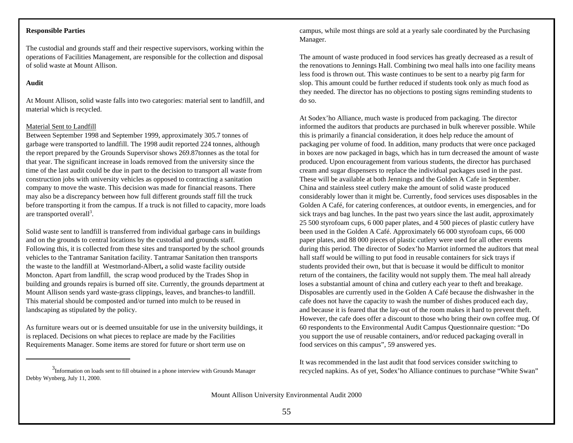### **Responsible Parties**

The custodial and grounds staff and their respective supervisors, working within the operations of Facilities Management, are responsible for the collection and disposal of solid waste at Mount Allison.

### **Audit**

At Mount Allison, solid waste falls into two categories: material sent to landfill, and material which is recycled.

# Material Sent to Landfill

Between September 1998 and September 1999, approximately 305.7 tonnes of garbage were transported to landfill. The 1998 audit reported 224 tonnes, although the report prepared by the Grounds Supervisor shows 269.87tonnes as the total for that year. The significant increase in loads removed from the university since the time of the last audit could be due in part to the decision to transport all waste from construction jobs with university vehicles as opposed to contracting a sanitation company to move the waste. This decision was made for financial reasons. There may also be a discrepancy between how full different grounds staff fill the truck before transporting it from the campus. If a truck is not filled to capacity, more loads are transported overall<sup>3</sup>.

Solid waste sent to landfill is transferred from individual garbage cans in buildings and on the grounds to central locations by the custodial and grounds staff. Following this, it is collected from these sites and transported by the school grounds vehicles to the Tantramar Sanitation facility. Tantramar Sanitation then transports the waste to the landfill at Westmorland-Albert**,** a solid waste facility outside Moncton. Apart from landfill, the scrap wood produced by the Trades Shop in building and grounds repairs is burned off site. Currently, the grounds department at Mount Allison sends yard waste-grass clippings, leaves, and branches-to landfill. This material should be composted and/or turned into mulch to be reused in landscaping as stipulated by the policy.

As furniture wears out or is deemed unsuitable for use in the university buildings, it is replaced. Decisions on what pieces to replace are made by the Facilities Requirements Manager. Some items are stored for future or short term use on

<sup>3</sup>Information on loads sent to fill obtained in a phone interview with Grounds Manager Debby Wynberg, July 11, 2000.

campus, while most things are sold at a yearly sale coordinated by the Purchasing Manager.

The amount of waste produced in food services has greatly decreased as a result of the renovations to Jennings Hall. Combining two meal halls into one facility means less food is thrown out. This waste continues to be sent to a nearby pig farm for slop. This amount could be further reduced if students took only as much food as they needed. The director has no objections to posting signs reminding students to do so.

At Sodex'ho Alliance, much waste is produced from packaging. The director informed the auditors that products are purchased in bulk wherever possible. While this is primarily a financial consideration, it does help reduce the amount of packaging per volume of food. In addition, many products that were once packaged in boxes are now packaged in bags, which has in turn decreased the amount of waste produced. Upon encouragement from various students, the director has purchased cream and sugar dispensers to replace the individual packages used in the past. These will be available at both Jennings and the Golden A Cafe in September. China and stainless steel cutlery make the amount of solid waste produced considerably lower than it might be. Currently, food services uses disposables in the Golden A Café, for catering conferences, at outdoor events, in emergencies, and for sick trays and bag lunches. In the past two years since the last audit, approximately 25 500 styrofoam cups, 6 000 paper plates, and 4 500 pieces of plastic cutlery have been used in the Golden A Café. Approximately 66 000 styrofoam cups, 66 000 paper plates, and 88 000 pieces of plastic cutlery were used for all other events during this period. The director of Sodex'ho Marriot informed the auditors that meal hall staff would be willing to put food in reusable containers for sick trays if students provided their own, but that is becuase it would be difficult to monitor return of the containers, the facility would not supply them. The meal hall already loses a substantial amount of china and cutlery each year to theft and breakage. Disposables are currently used in the Golden A Café because the dishwasher in the cafe does not have the capacity to wash the number of dishes produced each day, and because it is feared that the lay-out of the room makes it hard to prevent theft. However, the cafe does offer a discount to those who bring their own coffee mug. Of 60 respondents to the Environmental Audit Campus Questionnaire question: "Do you support the use of reusable containers, and/or reduced packaging overall in food services on this campus", 59 answered yes.

It was recommended in the last audit that food services consider switching to recycled napkins. As of yet, Sodex'ho Alliance continues to purchase "White Swan" <sup>3</sup>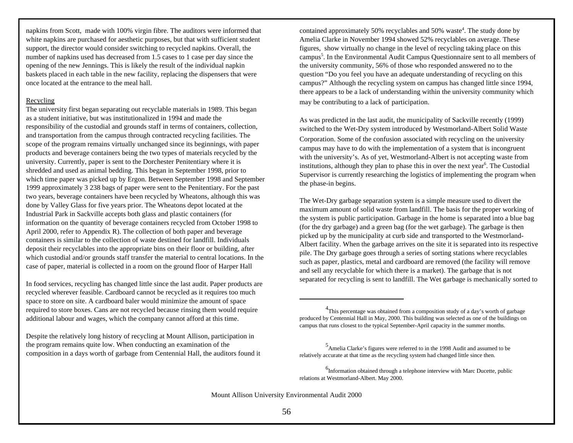napkins from Scott, made with 100% virgin fibre. The auditors were informed that white napkins are purchased for aesthetic purposes, but that with sufficient student support, the director would consider switching to recycled napkins. Overall, the number of napkins used has decreased from 1.5 cases to 1 case per day since the opening of the new Jennings. This is likely the result of the individual napkin baskets placed in each table in the new facility, replacing the dispensers that were once located at the entrance to the meal hall.

## Recycling

The university first began separating out recyclable materials in 1989. This began as a student initiative, but was institutionalized in 1994 and made the responsibility of the custodial and grounds staff in terms of containers, collection, and transportation from the campus through contracted recycling facilities. The scope of the program remains virtually unchanged since its beginnings, with paper products and beverage containers being the two types of materials recycled by the university. Currently, paper is sent to the Dorchester Penitentiary where it is shredded and used as animal bedding. This began in September 1998, prior to which time paper was picked up by Ergon. Between September 1998 and September 1999 approximately 3 238 bags of paper were sent to the Penitentiary. For the past two years, beverage containers have been recycled by Wheatons, although this was done by Valley Glass for five years prior. The Wheatons depot located at the Industrial Park in Sackville accepts both glass and plastic containers (for information on the quantity of beverage containers recycled from October 1998 to April 2000, refer to Appendix R). The collection of both paper and beverage containers is similar to the collection of waste destined for landfill. Individuals deposit their recyclables into the appropriate bins on their floor or building, after which custodial and/or grounds staff transfer the material to central locations. In the case of paper, material is collected in a room on the ground floor of Harper Hall

In food services, recycling has changed little since the last audit. Paper products are recycled wherever feasible. Cardboard cannot be recycled as it requires too much space to store on site. A cardboard baler would minimize the amount of space required to store boxes. Cans are not recycled because rinsing them would require additional labour and wages, which the company cannot afford at this time.

Despite the relatively long history of recycling at Mount Allison, participation in the program remains quite low. When conducting an examination of the composition in a days worth of garbage from Centennial Hall, the auditors found it

contained approximately 50% recyclables and 50% waste<sup>4</sup>. The study done by Amelia Clarke in November 1994 showed 52% recyclables on average. These figures, show virtually no change in the level of recycling taking place on this campus<sup>5</sup>. In the Environmental Audit Campus Questionnaire sent to all members of the university community, 56% of those who responded answered no to the question "Do you feel you have an adequate understanding of recycling on this campus?" Although the recycling system on campus has changed little since 1994, there appears to be a lack of understanding within the university community which may be contributing to a lack of participation.

As was predicted in the last audit, the municipality of Sackville recently (1999) switched to the Wet-Dry system introduced by Westmorland-Albert Solid Waste Corporation. Some of the confusion associated with recycling on the university campus may have to do with the implementation of a system that is incongruent with the university's. As of yet, Westmorland-Albert is not accepting waste from institutions, although they plan to phase this in over the next year<sup>6</sup>. The Custodial Supervisor is currently researching the logistics of implementing the program when the phase-in begins.

The Wet-Dry garbage separation system is a simple measure used to divert the maximum amount of solid waste from landfill. The basis for the proper working of the system is public participation. Garbage in the home is separated into a blue bag (for the dry garbage) and a green bag (for the wet garbage). The garbage is then picked up by the municipality at curb side and transported to the Westmorland-Albert facility. When the garbage arrives on the site it is separated into its respective pile. The Dry garbage goes through a series of sorting stations where recyclables such as paper, plastics, metal and cardboard are removed (the facility will remove and sell any recyclable for which there is a market). The garbage that is not separated for recycling is sent to landfill. The Wet garbage is mechanically sorted to

 $4$ This percentage was obtained from a composition study of a day's worth of garbage produced by Centennial Hall in May, 2000. This building was selected as one of the buildings on campus that runs closest to the typical September-April capacity in the summer months.

<sup>5</sup> Amelia Clarke's figures were referred to in the 1998 Audit and assumed to be relatively accurate at that time as the recycling system had changed little since then.

<sup>&</sup>lt;sup>6</sup>Information obtained through a telephone interview with Marc Ducette, public relations at Westmorland-Albert. May 2000.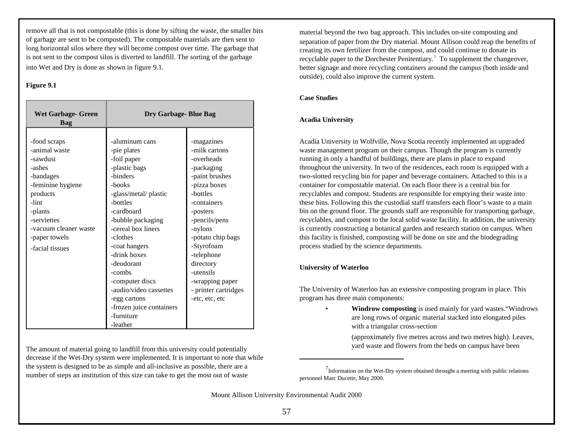remove all that is not compostable (this is done by sifting the waste, the smaller bits of garbage are sent to be composted). The compostable materials are then sent to long horizontal silos where they will become compost over time. The garbage that is not sent to the compost silos is diverted to landfill. The sorting of the garbage into Wet and Dry is done as shown in figure 9.1.

## **Figure 9.1**

| <b>Wet Garbage- Green</b><br>Bag                                                                                                                                                                  | Dry Garbage-Blue Bag                                                                                                                                                                                                                                                                                                                                         |                                                                                                                                                                                                                                                                                                      |
|---------------------------------------------------------------------------------------------------------------------------------------------------------------------------------------------------|--------------------------------------------------------------------------------------------------------------------------------------------------------------------------------------------------------------------------------------------------------------------------------------------------------------------------------------------------------------|------------------------------------------------------------------------------------------------------------------------------------------------------------------------------------------------------------------------------------------------------------------------------------------------------|
| -food scraps<br>-animal waste<br>-sawdust<br>-ashes<br>-bandages<br>-feminine hygiene<br>products<br>-lint<br>-plants<br>-serviettes<br>-vacuum cleaner waste<br>-paper towels<br>-facial tissues | -aluminum cans<br>-pie plates<br>-foil paper<br>-plastic bags<br>-binders<br>-books<br>-glass/metal/plastic<br>-bottles<br>-cardboard<br>-bubble packaging<br>-cereal box liners<br>-clothes<br>-coat hangers<br>-drink boxes<br>-deodorant<br>-combs<br>-computer discs<br>-audio/video cassettes<br>-egg cartons<br>-frozen juice containers<br>-furniture | -magazines<br>-milk cartons<br>-overheads<br>-packaging<br>-paint brushes<br>-pizza boxes<br>-bottles<br>-containers<br>-posters<br>-pencils/pens<br>-nylons<br>-potato chip bags<br>-Styrofoam<br>-telephone<br>directory<br>-utensils<br>-wrapping paper<br>- printer cartridges<br>-etc, etc, etc |
|                                                                                                                                                                                                   | -leather                                                                                                                                                                                                                                                                                                                                                     |                                                                                                                                                                                                                                                                                                      |

The amount of material going to landfill from this university could potentially decrease if the Wet-Dry system were implemented. It is important to note that while the system is designed to be as simple and all-inclusive as possible, there are a number of steps an institution of this size can take to get the most out of waste

material beyond the two bag approach. This includes on-site composting and separation of paper from the Dry material. Mount Allison could reap the benefits of creating its own fertilizer from the compost, and could continue to donate its recyclable paper to the Dorchester Penitentiary.<sup>7</sup> To supplement the changeover, better signage and more recycling containers around the campus (both inside and outside), could also improve the current system.

# **Case Studies**

# **Acadia University**

Acadia University in Wolfville, Nova Scotia recently implemented an upgraded waste management program on their campus. Though the program is currently running in only a handful of buildings, there are plans in place to expand throughout the university. In two of the residences, each room is equipped with a two-slotted recycling bin for paper and beverage containers. Attached to this is a container for compostable material. On each floor there is a central bin for recyclables and compost. Students are responsible for emptying their waste into these bins. Following this the custodial staff transfers each floor's waste to a main bin on the ground floor. The grounds staff are responsible for transporting garbage, recyclables, and compost to the local solid waste facility. In addition, the university is currently constructing a botanical garden and research station on campus. When this facility is finished, composting will be done on site and the biodegrading process studied by the science departments.

# **University of Waterloo**

The University of Waterloo has an extensive composting program in place. This program has three main components:

> • **Windrow composting** is used mainly for yard wastes."Windrows are long rows of organic material stacked into elongated piles with a triangular cross-section

(approximately five metres across and two metres high). Leaves, yard waste and flowers from the beds on campus have been

 $^{7}$ Information on the Wet-Dry system obtained throught a meeting with public relations personnel Marc Ducette, May 2000.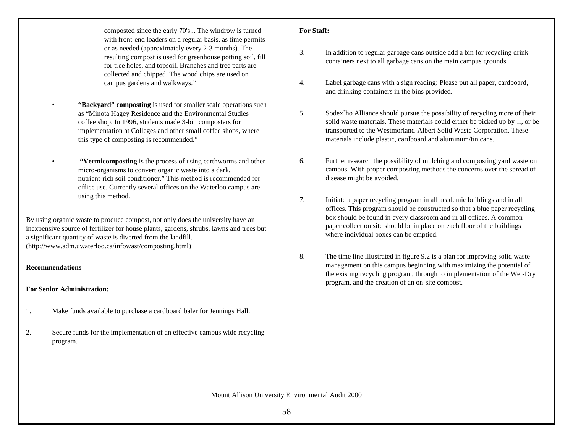composted since the early 70's... The windrow is turned with front-end loaders on a regular basis, as time permits or as needed (approximately every 2-3 months). The resulting compost is used for greenhouse potting soil, fill for tree holes, and topsoil. Branches and tree parts are collected and chipped. The wood chips are used on campus gardens and walkways."

- **"Backyard" composting** is used for smaller scale operations such as "Minota Hagey Residence and the Environmental Studies coffee shop. In 1996, students made 3-bin composters for implementation at Colleges and other small coffee shops, where this type of composting is recommended."
- **"Vermicomposting** is the process of using earthworms and other micro-organisms to convert organic waste into a dark, nutrient-rich soil conditioner." This method is recommended for office use. Currently several offices on the Waterloo campus are using this method.

By using organic waste to produce compost, not only does the university have an inexpensive source of fertilizer for house plants, gardens, shrubs, lawns and trees but a significant quantity of waste is diverted from the landfill. (http://www.adm.uwaterloo.ca/infowast/composting.html)

## **Recommendations**

## **For Senior Administration:**

- 1. Make funds available to purchase a cardboard baler for Jennings Hall.
- 2. Secure funds for the implementation of an effective campus wide recycling program.

### **For Staff:**

- 3. In addition to regular garbage cans outside add a bin for recycling drink containers next to all garbage cans on the main campus grounds.
- 4. Label garbage cans with a sign reading: Please put all paper, cardboard, and drinking containers in the bins provided.
- 5. Sodex`ho Alliance should pursue the possibility of recycling more of their solid waste materials. These materials could either be picked up by  $\Box$ , or be transported to the Westmorland-Albert Solid Waste Corporation. These materials include plastic, cardboard and aluminum/tin cans.
- 6. Further research the possibility of mulching and composting yard waste on campus. With proper composting methods the concerns over the spread of disease might be avoided.
- 7. Initiate a paper recycling program in all academic buildings and in all offices. This program should be constructed so that a blue paper recycling box should be found in every classroom and in all offices. A common paper collection site should be in place on each floor of the buildings where individual boxes can be emptied.
- 8. The time line illustrated in figure 9.2 is a plan for improving solid waste management on this campus beginning with maximizing the potential of the existing recycling program, through to implementation of the Wet-Dry program, and the creation of an on-site compost.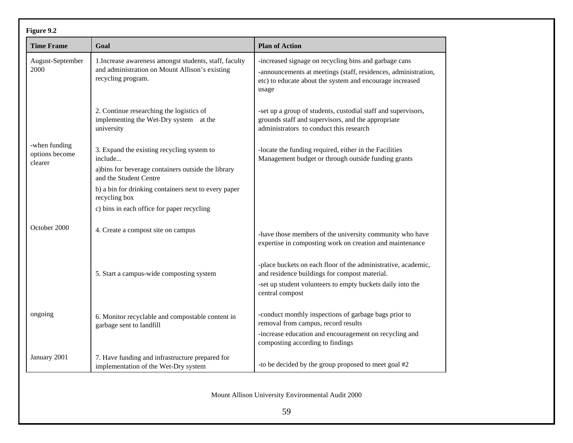| Figure 9.2                                 |                                                                                                                                |                                                                                                                                                                                                 |  |
|--------------------------------------------|--------------------------------------------------------------------------------------------------------------------------------|-------------------------------------------------------------------------------------------------------------------------------------------------------------------------------------------------|--|
| <b>Time Frame</b>                          | Goal                                                                                                                           | <b>Plan of Action</b>                                                                                                                                                                           |  |
| August-September<br>2000                   | 1. Increase awareness amongst students, staff, faculty<br>and administration on Mount Allison's existing<br>recycling program. | -increased signage on recycling bins and garbage cans<br>-announcements at meetings (staff, residences, administration,<br>etc) to educate about the system and encourage increased<br>usage    |  |
|                                            | 2. Continue researching the logistics of<br>implementing the Wet-Dry system at the<br>university                               | -set up a group of students, custodial staff and supervisors,<br>grounds staff and supervisors, and the appropriate<br>administrators to conduct this research                                  |  |
| -when funding<br>options become<br>clearer | 3. Expand the existing recycling system to<br>include<br>a) bins for beverage containers outside the library                   | -locate the funding required, either in the Facilities<br>Management budget or through outside funding grants                                                                                   |  |
|                                            | and the Student Centre                                                                                                         |                                                                                                                                                                                                 |  |
|                                            | b) a bin for drinking containers next to every paper<br>recycling box                                                          |                                                                                                                                                                                                 |  |
|                                            | c) bins in each office for paper recycling                                                                                     |                                                                                                                                                                                                 |  |
| October 2000                               | 4. Create a compost site on campus                                                                                             | -have those members of the university community who have<br>expertise in composting work on creation and maintenance                                                                            |  |
|                                            | 5. Start a campus-wide composting system                                                                                       | -place buckets on each floor of the administrative, academic,<br>and residence buildings for compost material.<br>-set up student volunteers to empty buckets daily into the<br>central compost |  |
|                                            |                                                                                                                                |                                                                                                                                                                                                 |  |
| ongoing                                    | 6. Monitor recyclable and compostable content in<br>garbage sent to landfill                                                   | -conduct monthly inspections of garbage bags prior to<br>removal from campus, record results                                                                                                    |  |
|                                            |                                                                                                                                | -increase education and encouragement on recycling and<br>composting according to findings                                                                                                      |  |
| January 2001                               | 7. Have funding and infrastructure prepared for<br>implementation of the Wet-Dry system                                        | -to be decided by the group proposed to meet goal #2                                                                                                                                            |  |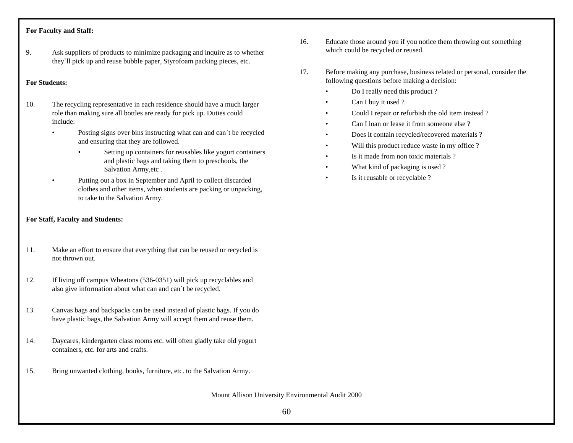# **For Faculty and Staff:**

9. Ask suppliers of products to minimize packaging and inquire as to whether they`ll pick up and reuse bubble paper, Styrofoam packing pieces, etc.

# **For Students:**

- 10. The recycling representative in each residence should have a much larger role than making sure all bottles are ready for pick up. Duties could include:
	- Posting signs over bins instructing what can and can't be recycled and ensuring that they are followed.
		- Setting up containers for reusables like yogurt containers and plastic bags and taking them to preschools, the Salvation Army,etc .
	- Putting out a box in September and April to collect discarded clothes and other items, when students are packing or unpacking, to take to the Salvation Army.

# **For Staff, Faculty and Students:**

- 11. Make an effort to ensure that everything that can be reused or recycled is not thrown out.
- 12. If living off campus Wheatons (536-0351) will pick up recyclables and also give information about what can and can`t be recycled.
- 13. Canvas bags and backpacks can be used instead of plastic bags. If you do have plastic bags, the Salvation Army will accept them and reuse them.
- 14. Daycares, kindergarten class rooms etc. will often gladly take old yogurt containers, etc. for arts and crafts.
- 15. Bring unwanted clothing, books, furniture, etc. to the Salvation Army.

- 16. Educate those around you if you notice them throwing out something which could be recycled or reused.
- 17. Before making any purchase, business related or personal, consider the following questions before making a decision:
	- Do I really need this product?
	- Can I buy it used ?
	- Could I repair or refurbish the old item instead ?
	- Can I loan or lease it from someone else?
	- Does it contain recycled/recovered materials ?
	- Will this product reduce waste in my office ?
	- Is it made from non toxic materials ?
	- What kind of packaging is used?
	- Is it reusable or recyclable ?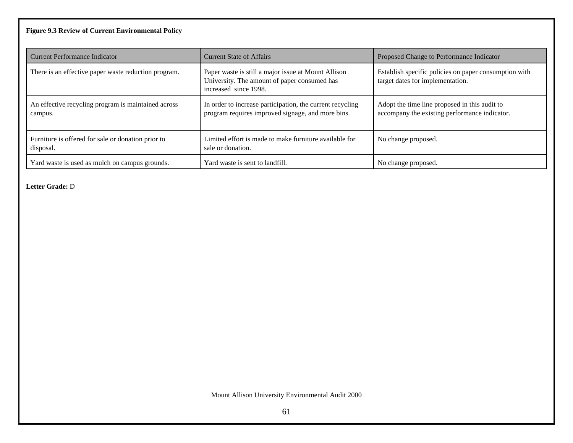# **Figure 9.3 Review of Current Environmental Policy**

| Current Performance Indicator                                   | <b>Current State of Affairs</b>                                                                                              | Proposed Change to Performance Indicator                                                       |
|-----------------------------------------------------------------|------------------------------------------------------------------------------------------------------------------------------|------------------------------------------------------------------------------------------------|
| There is an effective paper waste reduction program.            | Paper waste is still a major issue at Mount Allison<br>University. The amount of paper consumed has<br>increased since 1998. | Establish specific policies on paper consumption with<br>target dates for implementation.      |
| An effective recycling program is maintained across<br>campus.  | In order to increase participation, the current recycling<br>program requires improved signage, and more bins.               | Adopt the time line proposed in this audit to<br>accompany the existing performance indicator. |
| Furniture is offered for sale or donation prior to<br>disposal. | Limited effort is made to make furniture available for<br>sale or donation.                                                  | No change proposed.                                                                            |
| Yard waste is used as mulch on campus grounds.                  | Yard waste is sent to landfill.                                                                                              | No change proposed.                                                                            |

**Letter Grade:** D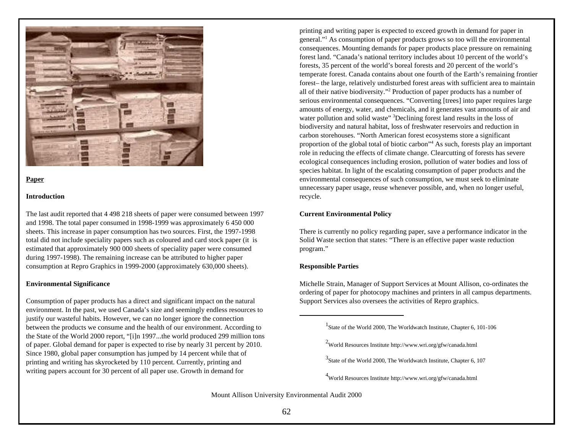

### **Paper**

### **Introduction**

The last audit reported that 4 498 218 sheets of paper were consumed between 1997 and 1998. The total paper consumed in 1998-1999 was approximately 6 450 000 sheets. This increase in paper consumption has two sources. First, the 1997-1998 total did not include speciality papers such as coloured and card stock paper (it is estimated that approximately 900 000 sheets of speciality paper were consumed during 1997-1998). The remaining increase can be attributed to higher paper consumption at Repro Graphics in 1999-2000 (approximately 630,000 sheets).

### **Environmental Significance**

Consumption of paper products has a direct and significant impact on the natural environment. In the past, we used Canada's size and seemingly endless resources to justify our wasteful habits. However, we can no longer ignore the connection between the products we consume and the health of our environment. According to the State of the World 2000 report, "[i]n 1997...the world produced 299 million tons of paper. Global demand for paper is expected to rise by nearly 31 percent by 2010. Since 1980, global paper consumption has jumped by 14 percent while that of printing and writing has skyrocketed by 110 percent. Currently, printing and writing papers account for 30 percent of all paper use. Growth in demand for

printing and writing paper is expected to exceed growth in demand for paper in general."<sup>1</sup> As consumption of paper products grows so too will the environmental consequences. Mounting demands for paper products place pressure on remaining forest land. "Canada's national territory includes about 10 percent of the world's forests, 35 percent of the world's boreal forests and 20 percent of the world's temperate forest. Canada contains about one fourth of the Earth's remaining frontier forest– the large, relatively undisturbed forest areas with sufficient area to maintain all of their native biodiversity."<sup>2</sup> Production of paper products has a number of serious environmental consequences. "Converting [trees] into paper requires large amounts of energy, water, and chemicals, and it generates vast amounts of air and water pollution and solid waste" 3Declining forest land results in the loss of biodiversity and natural habitat, loss of freshwater reservoirs and reduction in carbon storehouses. "North American forest ecosystems store a significant proportion of the global total of biotic carbon"<sup>4</sup> As such, forests play an important role in reducing the effects of climate change. Clearcutting of forests has severe ecological consequences including erosion, pollution of water bodies and loss of species habitat. In light of the escalating consumption of paper products and the environmental consequences of such consumption, we must seek to eliminate unnecessary paper usage, reuse whenever possible, and, when no longer useful, recycle.

### **Current Environmental Policy**

There is currently no policy regarding paper, save a performance indicator in the Solid Waste section that states: "There is an effective paper waste reduction program."

### **Responsible Parties**

Michelle Strain, Manager of Support Services at Mount Allison, co-ordinates the ordering of paper for photocopy machines and printers in all campus departments. Support Services also oversees the activities of Repro graphics.

<sup>&</sup>lt;sup>1</sup>State of the World 2000, The Worldwatch Institute, Chapter 6, 101-106

<sup>&</sup>lt;sup>2</sup>World Resources Institute http://www.wri.org/gfw/canada.html

 $3$ State of the World 2000, The Worldwatch Institute, Chapter 6, 107

<sup>4</sup>World Resources Institute http://www.wri.org/gfw/canada.html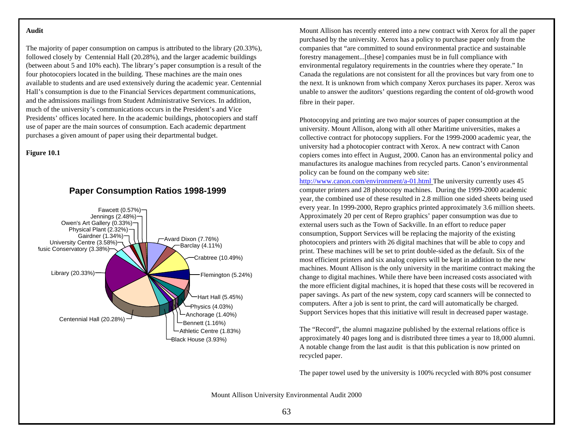### **Audit**

The majority of paper consumption on campus is attributed to the library (20.33%), followed closely by Centennial Hall (20.28%), and the larger academic buildings (between about 5 and 10% each). The library's paper consumption is a result of the four photocopiers located in the building. These machines are the main ones available to students and are used extensively during the academic year. Centennial Hall's consumption is due to the Financial Services department communications, and the admissions mailings from Student Administrative Services. In addition, much of the university's communications occurs in the President's and Vice Presidents' offices located here. In the academic buildings, photocopiers and staff use of paper are the main sources of consumption. Each academic department purchases a given amount of paper using their departmental budget.

# **Figure 10.1**



**Paper Consumption Ratios 1998-1999**

Mount Allison has recently entered into a new contract with Xerox for all the paper purchased by the university. Xerox has a policy to purchase paper only from the companies that "are committed to sound environmental practice and sustainable forestry management...[these] companies must be in full compliance with environmental regulatory requirements in the countries where they operate." In Canada the regulations are not consistent for all the provinces but vary from one to the next. It is unknown from which company Xerox purchases its paper. Xerox was unable to answer the auditors' questions regarding the content of old-growth wood fibre in their paper.

Photocopying and printing are two major sources of paper consumption at the university. Mount Allison, along with all other Maritime universities, makes a collective contract for photocopy suppliers. For the 1999-2000 academic year, the university had a photocopier contract with Xerox. A new contract with Canon copiers comes into effect in August, 2000. Canon has an environmental policy and manufactures its analogue machines from recycled parts. Canon's environmental policy can be found on the company web site:

http://www.canon.com/environment/a-01.html The university currently uses 45 computer printers and 28 photocopy machines. During the 1999-2000 academic year, the combined use of these resulted in 2.8 million one sided sheets being used every year. In 1999-2000, Repro graphics printed approximately 3.6 million sheets. Approximately 20 per cent of Repro graphics' paper consumption was due to external users such as the Town of Sackville. In an effort to reduce paper consumption, Support Services will be replacing the majority of the existing photocopiers and printers with 26 digital machines that will be able to copy and print. These machines will be set to print double-sided as the default. Six of the most efficient printers and six analog copiers will be kept in addition to the new machines. Mount Allison is the only university in the maritime contract making the change to digital machines. While there have been increased costs associated with the more efficient digital machines, it is hoped that these costs will be recovered in paper savings. As part of the new system, copy card scanners will be connected to computers. After a job is sent to print, the card will automatically be charged. Support Services hopes that this initiative will result in decreased paper wastage.

The "Record", the alumni magazine published by the external relations office is approximately 40 pages long and is distributed three times a year to 18,000 alumni. A notable change from the last audit is that this publication is now printed on recycled paper.

The paper towel used by the university is 100% recycled with 80% post consumer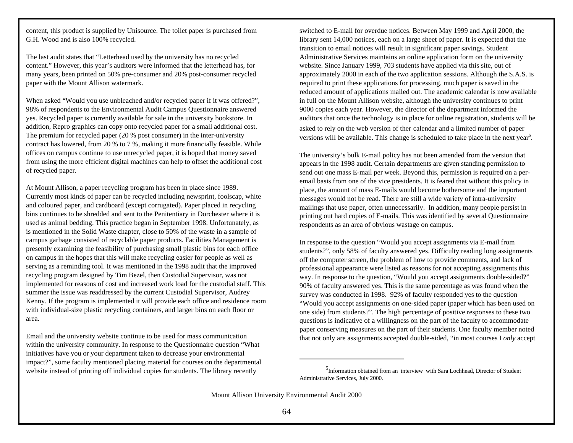content, this product is supplied by Unisource. The toilet paper is purchased from G.H. Wood and is also 100% recycled.

The last audit states that "Letterhead used by the university has no recycled content." However, this year's auditors were informed that the letterhead has, for many years, been printed on 50% pre-consumer and 20% post-consumer recycled paper with the Mount Allison watermark.

When asked "Would you use unbleached and/or recycled paper if it was offered?", 98% of respondents to the Environmental Audit Campus Questionnaire answered yes. Recycled paper is currently available for sale in the university bookstore. In addition, Repro graphics can copy onto recycled paper for a small additional cost. The premium for recycled paper (20 % post consumer) in the inter-university contract has lowered, from 20 % to 7 %, making it more financially feasible. While offices on campus continue to use unrecycled paper, it is hoped that money saved from using the more efficient digital machines can help to offset the additional cost of recycled paper.

At Mount Allison, a paper recycling program has been in place since 1989. Currently most kinds of paper can be recycled including newsprint, foolscap, white and coloured paper, and cardboard (except corrugated). Paper placed in recycling bins continues to be shredded and sent to the Penitentiary in Dorchester where it is used as animal bedding. This practice began in September 1998. Unfortunately, as is mentioned in the Solid Waste chapter, close to 50% of the waste in a sample of campus garbage consisted of recyclable paper products. Facilities Management is presently examining the feasibility of purchasing small plastic bins for each office on campus in the hopes that this will make recycling easier for people as well as serving as a reminding tool. It was mentioned in the 1998 audit that the improved recycling program designed by Tim Bezel, then Custodial Supervisor, was not implemented for reasons of cost and increased work load for the custodial staff. This summer the issue was readdressed by the current Custodial Supervisor, Audrey Kenny. If the program is implemented it will provide each office and residence room with individual-size plastic recycling containers, and larger bins on each floor or area.

Email and the university website continue to be used for mass communication within the university community. In response to the Questionnaire question "What initiatives have you or your department taken to decrease your environmental impact?", some faculty mentioned placing material for courses on the departmental website instead of printing off individual copies for students. The library recently

switched to E-mail for overdue notices. Between May 1999 and April 2000, the library sent 14,000 notices, each on a large sheet of paper. It is expected that the transition to email notices will result in significant paper savings. Student Administrative Services maintains an online application form on the university website. Since January 1999, 703 students have applied via this site, out of approximately 2000 in each of the two application sessions. Although the S.A.S. is required to print these applications for processing, much paper is saved in the reduced amount of applications mailed out. The academic calendar is now available in full on the Mount Allison website, although the university continues to print 9000 copies each year. However, the director of the department informed the auditors that once the technology is in place for online registration, students will be asked to rely on the web version of ther calendar and a limited number of paper versions will be available. This change is scheduled to take place in the next year<sup>5</sup>.

The university's bulk E-mail policy has not been amended from the version that appears in the 1998 audit. Certain departments are given standing permission to send out one mass E-mail per week. Beyond this, permission is required on a peremail basis from one of the vice presidents. It is feared that without this policy in place, the amount of mass E-mails would become bothersome and the important messages would not be read. There are still a wide variety of intra-university mailings that use paper, often unnecessarily. In addition, many people persist in printing out hard copies of E-mails. This was identified by several Questionnaire respondents as an area of obvious wastage on campus.

In response to the question "Would you accept assignments via E-mail from students?", only 58% of faculty answered yes. Difficulty reading long assignments off the computer screen, the problem of how to provide comments, and lack of professional appearance were listed as reasons for not accepting assignments this way. In response to the question, "Would you accept assignments double-sided?" 90% of faculty answered yes. This is the same percentage as was found when the survey was conducted in 1998. 92% of faculty responded yes to the question "Would you accept assignments on one-sided paper (paper which has been used on one side) from students?". The high percentage of positive responses to these two questions is indicative of a willingness on the part of the faculty to accommodate paper conserving measures on the part of their students. One faculty member noted that not only are assignments accepted double-sided, "in most courses I *only* accept

<sup>5</sup> Information obtained from an interview with Sara Lochhead, Director of Student Administrative Services, July 2000.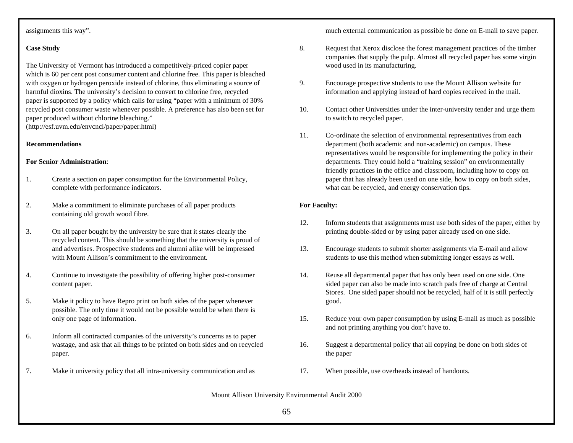# assignments this way".

# **Case Study**

The University of Vermont has introduced a competitively-priced copier paper which is 60 per cent post consumer content and chlorine free. This paper is bleached with oxygen or hydrogen peroxide instead of chlorine, thus eliminating a source of harmful dioxins. The university's decision to convert to chlorine free, recycled paper is supported by a policy which calls for using "paper with a minimum of 30% recycled post consumer waste whenever possible. A preference has also been set for paper produced without chlorine bleaching." (http://esf.uvm.edu/envcncl/paper/paper.html)

## **Recommendations**

### **For Senior Administration**:

- 1. Create a section on paper consumption for the Environmental Policy, complete with performance indicators.
- 2. Make a commitment to eliminate purchases of all paper products containing old growth wood fibre.
- 3. On all paper bought by the university be sure that it states clearly the recycled content. This should be something that the university is proud of and advertises. Prospective students and alumni alike will be impressed with Mount Allison's commitment to the environment.
- 4. Continue to investigate the possibility of offering higher post-consumer content paper.
- 5. Make it policy to have Repro print on both sides of the paper whenever possible. The only time it would not be possible would be when there is only one page of information.
- 6. Inform all contracted companies of the university's concerns as to paper wastage, and ask that all things to be printed on both sides and on recycled paper.
- 7. Make it university policy that all intra-university communication and as

much external communication as possible be done on E-mail to save paper.

- 8. Request that Xerox disclose the forest management practices of the timber companies that supply the pulp. Almost all recycled paper has some virgin wood used in its manufacturing.
- 9. Encourage prospective students to use the Mount Allison website for information and applying instead of hard copies received in the mail.
- 10. Contact other Universities under the inter-university tender and urge them to switch to recycled paper.
- 11. Co-ordinate the selection of environmental representatives from each department (both academic and non-academic) on campus. These representatives would be responsible for implementing the policy in their departments. They could hold a "training session" on environmentally friendly practices in the office and classroom, including how to copy on paper that has already been used on one side, how to copy on both sides, what can be recycled, and energy conservation tips.

# **For Faculty:**

- 12. Inform students that assignments must use both sides of the paper, either by printing double-sided or by using paper already used on one side.
- 13. Encourage students to submit shorter assignments via E-mail and allow students to use this method when submitting longer essays as well.
- 14. Reuse all departmental paper that has only been used on one side. One sided paper can also be made into scratch pads free of charge at Central Stores. One sided paper should not be recycled, half of it is still perfectly good.
- 15. Reduce your own paper consumption by using E-mail as much as possible and not printing anything you don't have to.
- 16. Suggest a departmental policy that all copying be done on both sides of the paper
- 17. When possible, use overheads instead of handouts.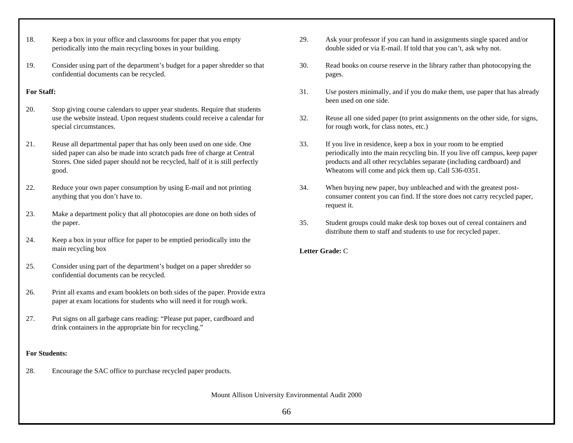- 18. Keep a box in your office and classrooms for paper that you empty periodically into the main recycling boxes in your building.
- 19. Consider using part of the department's budget for a paper shredder so that confidential documents can be recycled.

# **For Staff:**

- 20. Stop giving course calendars to upper year students. Require that students use the website instead. Upon request students could receive a calendar for special circumstances.
- 21. Reuse all departmental paper that has only been used on one side. One sided paper can also be made into scratch pads free of charge at Central Stores. One sided paper should not be recycled, half of it is still perfectly good.
- 22. Reduce your own paper consumption by using E-mail and not printing anything that you don't have to.
- 23. Make a department policy that all photocopies are done on both sides of the paper.
- 24. Keep a box in your office for paper to be emptied periodically into the main recycling box
- 25. Consider using part of the department's budget on a paper shredder so confidential documents can be recycled.
- 26. Print all exams and exam booklets on both sides of the paper. Provide extra paper at exam locations for students who will need it for rough work.
- 27. Put signs on all garbage cans reading: "Please put paper, cardboard and drink containers in the appropriate bin for recycling."

# **For Students:**

28. Encourage the SAC office to purchase recycled paper products.

29. Ask your professor if you can hand in assignments single spaced and/or double sided or via E-mail. If told that you can't, ask why not.

- 30. Read books on course reserve in the library rather than photocopying the pages.
- 31. Use posters minimally, and if you do make them, use paper that has already been used on one side.
- 32. Reuse all one sided paper (to print assignments on the other side, for signs, for rough work, for class notes, etc.)
- 33. If you live in residence, keep a box in your room to be emptied periodically into the main recycling bin. If you live off campus, keep paper products and all other recyclables separate (including cardboard) and Wheatons will come and pick them up. Call 536-0351.
- 34. When buying new paper, buy unbleached and with the greatest postconsumer content you can find. If the store does not carry recycled paper, request it.
- 35. Student groups could make desk top boxes out of cereal containers and distribute them to staff and students to use for recycled paper.

# **Letter Grade:** C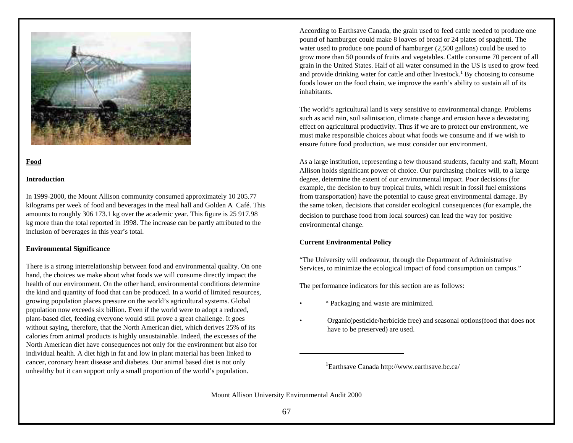

# **Food**

## **Introduction**

In 1999-2000, the Mount Allison community consumed approximately 10 205.77 kilograms per week of food and beverages in the meal hall and Golden A Café. This amounts to roughly 306 173.1 kg over the academic year. This figure is 25 917.98 kg more than the total reported in 1998. The increase can be partly attributed to the inclusion of beverages in this year's total.

## **Environmental Significance**

There is a strong interrelationship between food and environmental quality. On one hand, the choices we make about what foods we will consume directly impact the health of our environment. On the other hand, environmental conditions determine the kind and quantity of food that can be produced. In a world of limited resources, growing population places pressure on the world's agricultural systems. Global population now exceeds six billion. Even if the world were to adopt a reduced, plant-based diet, feeding everyone would still prove a great challenge. It goes without saying, therefore, that the North American diet, which derives 25% of its calories from animal products is highly unsustainable. Indeed, the excesses of the North American diet have consequences not only for the environment but also for individual health. A diet high in fat and low in plant material has been linked to cancer, coronary heart disease and diabetes. Our animal based diet is not only unhealthy but it can support only a small proportion of the world's population.

According to Earthsave Canada, the grain used to feed cattle needed to produce one pound of hamburger could make 8 loaves of bread or 24 plates of spaghetti. The water used to produce one pound of hamburger (2,500 gallons) could be used to grow more than 50 pounds of fruits and vegetables. Cattle consume 70 percent of all grain in the United States. Half of all water consumed in the US is used to grow feed and provide drinking water for cattle and other livestock.<sup>1</sup> By choosing to consume foods lower on the food chain, we improve the earth's ability to sustain all of its inhabitants.

The world's agricultural land is very sensitive to environmental change. Problems such as acid rain, soil salinisation, climate change and erosion have a devastating effect on agricultural productivity. Thus if we are to protect our environment, we must make responsible choices about what foods we consume and if we wish to ensure future food production, we must consider our environment.

As a large institution, representing a few thousand students, faculty and staff, Mount Allison holds significant power of choice. Our purchasing choices will, to a large degree, determine the extent of our environmental impact. Poor decisions (for example, the decision to buy tropical fruits, which result in fossil fuel emissions from transportation) have the potential to cause great environmental damage. By the same token, decisions that consider ecological consequences (for example, the decision to purchase food from local sources) can lead the way for positive environmental change.

## **Current Environmental Policy**

"The University will endeavour, through the Department of Administrative Services, to minimize the ecological impact of food consumption on campus."

The performance indicators for this section are as follows:

- " Packaging and waste are minimized.
- Organic(pesticide/herbicide free) and seasonal options(food that does not have to be preserved) are used.

1 Earthsave Canada http://www.earthsave.bc.ca/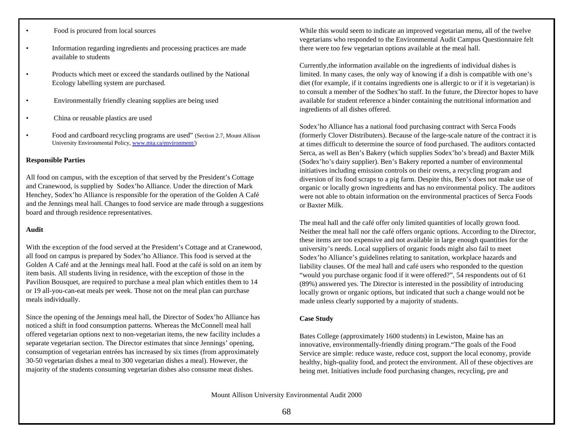- Food is procured from local sources
- Information regarding ingredients and processing practices are made available to students
- Products which meet or exceed the standards outlined by the National Ecology labelling system are purchased.
- Environmentally friendly cleaning supplies are being used
- China or reusable plastics are used
- Food and cardboard recycling programs are used" (Section 2.7, Mount Allison University Environmental Policy, www.mta.ca/environment/)

### **Responsible Parties**

All food on campus, with the exception of that served by the President's Cottage and Cranewood, is supplied by Sodex'ho Alliance. Under the direction of Mark Henchey, Sodex'ho Alliance is responsible for the operation of the Golden A Café and the Jennings meal hall. Changes to food service are made through a suggestions board and through residence representatives.

### **Audit**

With the exception of the food served at the President's Cottage and at Cranewood, all food on campus is prepared by Sodex'ho Alliance. This food is served at the Golden A Café and at the Jennings meal hall. Food at the café is sold on an item by item basis. All students living in residence, with the exception of those in the Pavilion Bousquet, are required to purchase a meal plan which entitles them to 14 or 19 all-you-can-eat meals per week. Those not on the meal plan can purchase meals individually.

Since the opening of the Jennings meal hall, the Director of Sodex'ho Alliance has noticed a shift in food consumption patterns. Whereas the McConnell meal hall offered vegetarian options next to non-vegetarian items, the new facility includes a separate vegetarian section. The Director estimates that since Jennings' opening, consumption of vegetarian entrées has increased by six times (from approximately 30-50 vegetarian dishes a meal to 300 vegetarian dishes a meal). However, the majority of the students consuming vegetarian dishes also consume meat dishes.

While this would seem to indicate an improved vegetarian menu, all of the twelve vegetarians who responded to the Environmental Audit Campus Questionnaire felt there were too few vegetarian options available at the meal hall.

Currently,the information available on the ingredients of individual dishes is limited. In many cases, the only way of knowing if a dish is compatible with one's diet (for example, if it contains ingredients one is allergic to or if it is vegetarian) is to consult a member of the Sodhex'ho staff. In the future, the Director hopes to have available for student reference a binder containing the nutritional information and ingredients of all dishes offered.

Sodex'ho Alliance has a national food purchasing contract with Serca Foods (formerly Clover Distributers). Because of the large-scale nature of the contract it is at times difficult to determine the source of food purchased. The auditors contacted Serca, as well as Ben's Bakery (which supplies Sodex'ho's bread) and Baxter Milk (Sodex'ho's dairy supplier). Ben's Bakery reported a number of environmental initiatives including emission controls on their ovens, a recycling program and diversion of its food scraps to a pig farm. Despite this, Ben's does not make use of organic or locally grown ingredients and has no environmental policy. The auditors were not able to obtain information on the environmental practices of Serca Foods or Baxter Milk.

The meal hall and the café offer only limited quantities of locally grown food. Neither the meal hall nor the café offers organic options. According to the Director, these items are too expensive and not available in large enough quantities for the university's needs. Local suppliers of organic foods might also fail to meet Sodex'ho Alliance's guidelines relating to sanitation, workplace hazards and liability clauses. Of the meal hall and café users who responded to the question "would you purchase organic food if it were offered?", 54 respondents out of 61 (89%) answered yes. The Director is interested in the possibility of introducing locally grown or organic options, but indicated that such a change would not be made unless clearly supported by a majority of students.

### **Case Study**

Bates College (approximately 1600 students) in Lewiston, Maine has an innovative, environmentally-friendly dining program."The goals of the Food Service are simple: reduce waste, reduce cost, support the local economy, provide healthy, high-quality food, and protect the environment. All of these objectives are being met. Initiatives include food purchasing changes, recycling, pre and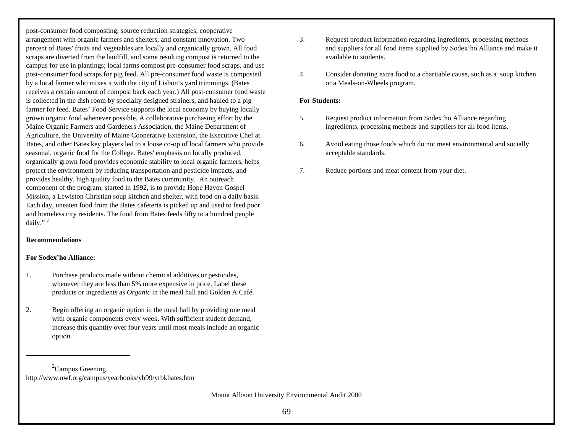post-consumer food composting, source reduction strategies, cooperative arrangement with organic farmers and shelters, and constant innovation. Two percent of Bates' fruits and vegetables are locally and organically grown. All food scraps are diverted from the landfill, and some resulting compost is returned to the campus for use in plantings; local farms compost pre-consumer food scraps, and use post-consumer food scraps for pig feed. All pre-consumer food waste is composted by a local farmer who mixes it with the city of Lisbon's yard trimmings. (Bates receives a certain amount of compost back each year.) All post-consumer food waste is collected in the dish room by specially designed strainers, and hauled to a pig farmer for feed. Bates' Food Service supports the local economy by buying locally grown organic food whenever possible. A collaborative purchasing effort by the Maine Organic Farmers and Gardeners Association, the Maine Department of Agriculture, the University of Maine Cooperative Extension, the Executive Chef at Bates, and other Bates key players led to a loose co-op of local farmers who provide seasonal, organic food for the College. Bates' emphasis on locally produced, organically grown food provides economic stability to local organic farmers, helps protect the environment by reducing transportation and pesticide impacts, and provides healthy, high quality food to the Bates community. An outreach component of the program, started in 1992, is to provide Hope Haven Gospel Mission, a Lewiston Christian soup kitchen and shelter, with food on a daily basis. Each day, uneaten food from the Bates cafeteria is picked up and used to feed poor and homeless city residents. The food from Bates feeds fifty to a hundred people daily." <sup>2</sup>

# **Recommendations**

## **For Sodex'ho Alliance:**

- 1. Purchase products made without chemical additives or pesticides, whenever they are less than 5% more expensive in price. Label these products or ingredients as *Organic* in the meal hall and Golden A Café.
- 2. Begin offering an organic option in the meal hall by providing one meal with organic components every week. With sufficient student demand, increase this quantity over four years until most meals include an organic option.
- 3. Request product information regarding ingredients, processing methods and suppliers for all food items supplied by Sodex'ho Alliance and make it available to students.
- 4. Consider donating extra food to a charitable cause, such as a soup kitchen or a Meals-on-Wheels program.

## **For Students:**

- 5. Request product information from Sodex'ho Alliance regarding ingredients, processing methods and suppliers for all food items.
- 6. Avoid eating those foods which do not meet environmental and socially acceptable standards.
- 7. Reduce portions and meat content from your diet.

 ${}^{2}$ Campus Greening http://www.nwf.org/campus/yearbooks/yb99/yrbkbates.htm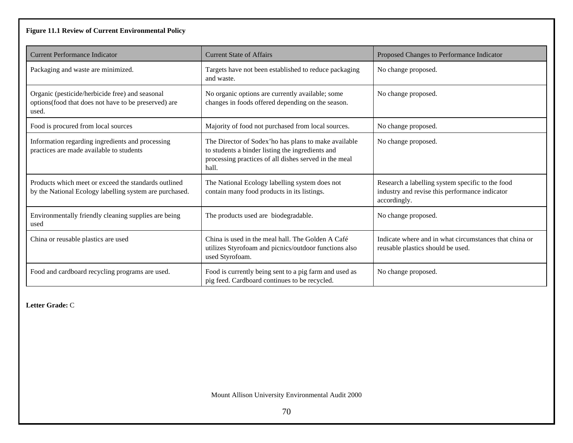# **Figure 11.1 Review of Current Environmental Policy**

| <b>Current Performance Indicator</b>                                                                             | <b>Current State of Affairs</b>                                                                                                                                            | Proposed Changes to Performance Indicator                                                                          |
|------------------------------------------------------------------------------------------------------------------|----------------------------------------------------------------------------------------------------------------------------------------------------------------------------|--------------------------------------------------------------------------------------------------------------------|
| Packaging and waste are minimized.                                                                               | Targets have not been established to reduce packaging<br>and waste.                                                                                                        | No change proposed.                                                                                                |
| Organic (pesticide/herbicide free) and seasonal<br>options(food that does not have to be preserved) are<br>used. | No organic options are currently available; some<br>changes in foods offered depending on the season.                                                                      | No change proposed.                                                                                                |
| Food is procured from local sources                                                                              | Majority of food not purchased from local sources.                                                                                                                         | No change proposed.                                                                                                |
| Information regarding ingredients and processing<br>practices are made available to students                     | The Director of Sodex'ho has plans to make available<br>to students a binder listing the ingredients and<br>processing practices of all dishes served in the meal<br>hall. | No change proposed.                                                                                                |
| Products which meet or exceed the standards outlined<br>by the National Ecology labelling system are purchased.  | The National Ecology labelling system does not<br>contain many food products in its listings.                                                                              | Research a labelling system specific to the food<br>industry and revise this performance indicator<br>accordingly. |
| Environmentally friendly cleaning supplies are being<br>used                                                     | The products used are biodegradable.                                                                                                                                       | No change proposed.                                                                                                |
| China or reusable plastics are used                                                                              | China is used in the meal hall. The Golden A Café<br>utilizes Styrofoam and picnics/outdoor functions also<br>used Styrofoam.                                              | Indicate where and in what circumstances that china or<br>reusable plastics should be used.                        |
| Food and cardboard recycling programs are used.                                                                  | Food is currently being sent to a pig farm and used as<br>pig feed. Cardboard continues to be recycled.                                                                    | No change proposed.                                                                                                |

**Letter Grade:** C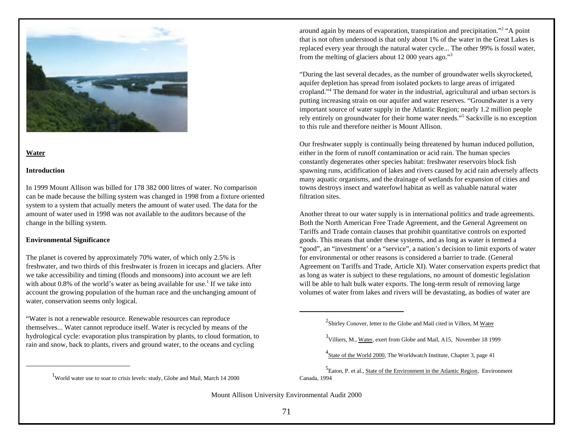

### **Water**

### **Introduction**

In 1999 Mount Allison was billed for 178 382 000 litres of water. No comparison can be made because the billing system was changed in 1998 from a fixture oriented system to a system that actually meters the amount of water used. The data for the amount of water used in 1998 was not available to the auditors because of the change in the billing system.

## **Environmental Significance**

The planet is covered by approximately 70% water, of which only 2.5% is freshwater, and two thirds of this freshwater is frozen in icecaps and glaciers. After we take accessibility and timing (floods and monsoons) into account we are left with about 0.8% of the world's water as being available for use.<sup>1</sup> If we take into account the growing population of the human race and the unchanging amount of water, conservation seems only logical.

"Water is not a renewable resource. Renewable resources can reproduce themselves... Water cannot reproduce itself. Water is recycled by means of the hydrological cycle: evaporation plus transpiration by plants, to cloud formation, to rain and snow, back to plants, rivers and ground water, to the oceans and cycling

around again by means of evaporation, transpiration and precipitation."<sup>2</sup> "A point that is not often understood is that only about 1% of the water in the Great Lakes is replaced every year through the natural water cycle... The other 99% is fossil water, from the melting of glaciers about 12 000 years ago."<sup>3</sup>

"During the last several decades, as the number of groundwater wells skyrocketed, aquifer depletion has spread from isolated pockets to large areas of irrigated cropland."<sup>4</sup> The demand for water in the industrial, agricultural and urban sectors is putting increasing strain on our aquifer and water reserves. "Groundwater is a very important source of water supply in the Atlantic Region; nearly 1.2 million people rely entirely on groundwater for their home water needs."<sup>5</sup> Sackville is no exception to this rule and therefore neither is Mount Allison.

Our freshwater supply is continually being threatened by human induced pollution, either in the form of runoff contamination or acid rain. The human species constantly degenerates other species habitat: freshwater reservoirs block fish spawning runs, acidification of lakes and rivers caused by acid rain adversely affects many aquatic organisms, and the drainage of wetlands for expansion of cities and towns destroys insect and waterfowl habitat as well as valuable natural water filtration sites.

Another threat to our water supply is in international politics and trade agreements. Both the North American Free Trade Agreement, and the General Agreement on Tariffs and Trade contain clauses that prohibit quantitative controls on exported goods. This means that under these systems, and as long as water is termed a "good", an "investment' or a "service", a nation's decision to limit exports of water for environmental or other reasons is considered a barrier to trade. (General Agreement on Tariffs and Trade, Article XI). Water conservation experts predict that as long as water is subject to these regulations, no amount of domestic legislation will be able to halt bulk water exports. The long-term result of removing large volumes of water from lakes and rivers will be devastating, as bodies of water are

<sup>3</sup> Villiers, M., Water, exert from Globe and Mail, A15, November 18 1999

<sup>4</sup>State of the World 2000, The Worldwatch Institute, Chapter 3, page 41

<sup>5</sup>Eaton, P. et al., State of the Environment in the Atlantic Region, Environment Canada, 1994

<sup>1</sup>World water use to soar to crisis levels: study, Globe and Mail, March 14 2000

<sup>&</sup>lt;sup>2</sup> Shirley Conover, letter to the Globe and Mail cited in Villers, M Water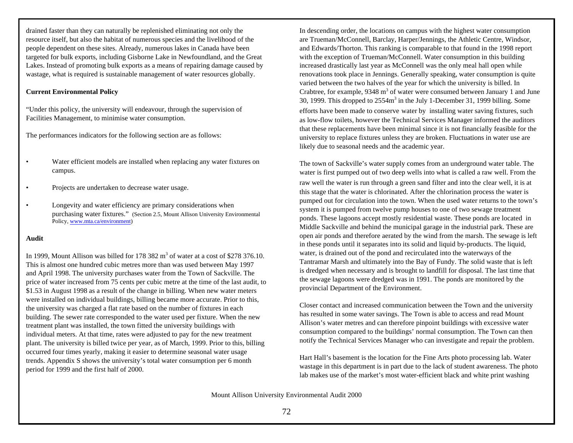drained faster than they can naturally be replenished eliminating not only the resource itself, but also the habitat of numerous species and the livelihood of the people dependent on these sites. Already, numerous lakes in Canada have been targeted for bulk exports, including Gisborne Lake in Newfoundland, and the Great Lakes. Instead of promoting bulk exports as a means of repairing damage caused by wastage, what is required is sustainable management of water resources globally.

## **Current Environmental Policy**

"Under this policy, the university will endeavour, through the supervision of Facilities Management, to minimise water consumption.

The performances indicators for the following section are as follows:

- Water efficient models are installed when replacing any water fixtures on campus.
- Projects are undertaken to decrease water usage.
- Longevity and water efficiency are primary considerations when purchasing water fixtures." (Section 2.5, Mount Allison University Environmental Policy, www.mta.ca/environment)

## **Audit**

In 1999, Mount Allison was billed for 178 382  $m<sup>3</sup>$  of water at a cost of \$278 376.10. This is almost one hundred cubic metres more than was used between May 1997 and April 1998. The university purchases water from the Town of Sackville. The price of water increased from 75 cents per cubic metre at the time of the last audit, to \$1.53 in August 1998 as a result of the change in billing. When new water meters were installed on individual buildings, billing became more accurate. Prior to this, the university was charged a flat rate based on the number of fixtures in each building. The sewer rate corresponded to the water used per fixture. When the new treatment plant was installed, the town fitted the university buildings with individual meters. At that time, rates were adjusted to pay for the new treatment plant. The university is billed twice per year, as of March, 1999. Prior to this, billing occurred four times yearly, making it easier to determine seasonal water usage trends. Appendix S shows the university's total water consumption per 6 month period for 1999 and the first half of 2000.

In descending order, the locations on campus with the highest water consumption are Trueman/McConnell, Barclay, Harper/Jennings, the Athletic Centre, Windsor, and Edwards/Thorton. This ranking is comparable to that found in the 1998 report with the exception of Trueman/McConnell. Water consumption in this building increased drastically last year as McConnell was the only meal hall open while renovations took place in Jennings. Generally speaking, water consumption is quite varied between the two halves of the year for which the university is billed. In Crabtree, for example,  $9348 \text{ m}^3$  of water were consumed between January 1 and June 30, 1999. This dropped to  $2554m<sup>3</sup>$  in the July 1-December 31, 1999 billing. Some efforts have been made to conserve water by installing water saving fixtures, such as low-flow toilets, however the Technical Services Manager informed the auditors that these replacements have been minimal since it is not financially feasible for the university to replace fixtures unless they are broken. Fluctuations in water use are likely due to seasonal needs and the academic year.

The town of Sackville's water supply comes from an underground water table. The water is first pumped out of two deep wells into what is called a raw well. From the raw well the water is run through a green sand filter and into the clear well, it is at this stage that the water is chlorinated. After the chlorination process the water is pumped out for circulation into the town. When the used water returns to the town's system it is pumped from twelve pump houses to one of two sewage treatment ponds. These lagoons accept mostly residential waste. These ponds are located in Middle Sackville and behind the municipal garage in the industrial park. These are open air ponds and therefore aerated by the wind from the marsh. The sewage is left in these ponds until it separates into its solid and liquid by-products. The liquid, water, is drained out of the pond and recirculated into the waterways of the Tantramar Marsh and ultimately into the Bay of Fundy. The solid waste that is left is dredged when necessary and is brought to landfill for disposal. The last time that the sewage lagoons were dredged was in 1991. The ponds are monitored by the provincial Department of the Environment.

Closer contact and increased communication between the Town and the university has resulted in some water savings. The Town is able to access and read Mount Allison's water metres and can therefore pinpoint buildings with excessive water consumption compared to the buildings' normal consumption. The Town can then notify the Technical Services Manager who can investigate and repair the problem.

Hart Hall's basement is the location for the Fine Arts photo processing lab. Water wastage in this department is in part due to the lack of student awareness. The photo lab makes use of the market's most water-efficient black and white print washing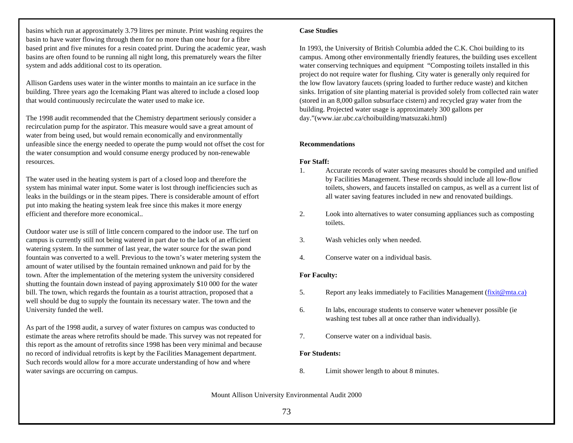basins which run at approximately 3.79 litres per minute. Print washing requires the basin to have water flowing through them for no more than one hour for a fibre based print and five minutes for a resin coated print. During the academic year, wash basins are often found to be running all night long, this prematurely wears the filter system and adds additional cost to its operation.

Allison Gardens uses water in the winter months to maintain an ice surface in the building. Three years ago the Icemaking Plant was altered to include a closed loop that would continuously recirculate the water used to make ice.

The 1998 audit recommended that the Chemistry department seriously consider a recirculation pump for the aspirator. This measure would save a great amount of water from being used, but would remain economically and environmentally unfeasible since the energy needed to operate the pump would not offset the cost for the water consumption and would consume energy produced by non-renewable resources.

The water used in the heating system is part of a closed loop and therefore the system has minimal water input. Some water is lost through inefficiencies such as leaks in the buildings or in the steam pipes. There is considerable amount of effort put into making the heating system leak free since this makes it more energy efficient and therefore more economical..

Outdoor water use is still of little concern compared to the indoor use. The turf on campus is currently still not being watered in part due to the lack of an efficient watering system. In the summer of last year, the water source for the swan pond fountain was converted to a well. Previous to the town's water metering system the amount of water utilised by the fountain remained unknown and paid for by the town. After the implementation of the metering system the university considered shutting the fountain down instead of paying approximately \$10 000 for the water bill. The town, which regards the fountain as a tourist attraction, proposed that a well should be dug to supply the fountain its necessary water. The town and the University funded the well.

As part of the 1998 audit, a survey of water fixtures on campus was conducted to estimate the areas where retrofits should be made. This survey was not repeated for this report as the amount of retrofits since 1998 has been very minimal and because no record of individual retrofits is kept by the Facilities Management department. Such records would allow for a more accurate understanding of how and where water savings are occurring on campus.

### **Case Studies**

In 1993, the University of British Columbia added the C.K. Choi building to its campus. Among other environmentally friendly features, the building uses excellent water conserving techniques and equipment "Composting toilets installed in this project do not require water for flushing. City water is generally only required for the low flow lavatory faucets (spring loaded to further reduce waste) and kitchen sinks. Irrigation of site planting material is provided solely from collected rain water (stored in an 8,000 gallon subsurface cistern) and recycled gray water from the building. Projected water usage is approximately 300 gallons per day."(www.iar.ubc.ca/choibuilding/matsuzaki.html)

## **Recommendations**

## **For Staff:**

- 1. Accurate records of water saving measures should be compiled and unified by Facilities Management. These records should include all low-flow toilets, showers, and faucets installed on campus, as well as a current list of all water saving features included in new and renovated buildings.
- 2. Look into alternatives to water consuming appliances such as composting toilets.
- 3. Wash vehicles only when needed.
- 4. Conserve water on a individual basis.

## **For Faculty:**

- 5. Report any leaks immediately to Facilities Management (fixit@mta.ca)
- 6. In labs, encourage students to conserve water whenever possible (ie washing test tubes all at once rather than individually).
- 7. Conserve water on a individual basis.

## **For Students:**

8. Limit shower length to about 8 minutes.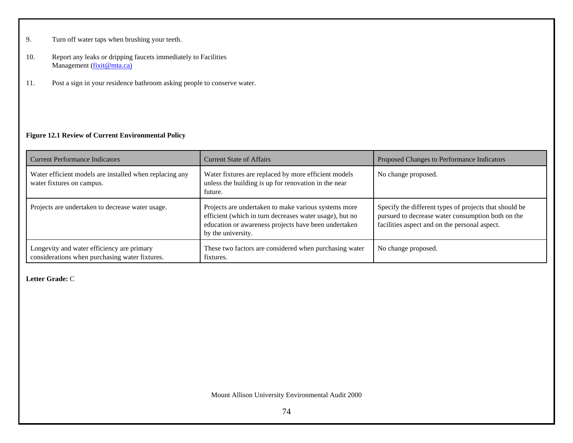- 9. Turn off water taps when brushing your teeth.
- 10. Report any leaks or dripping faucets immediately to Facilities Management (fixit@mta.ca)
- 11. Post a sign in your residence bathroom asking people to conserve water.

## **Figure 12.1 Review of Current Environmental Policy**

| <b>Current Performance Indicators</b>                                                        | <b>Current State of Affairs</b>                                                                                                                                                               | Proposed Changes to Performance Indicators                                                                                                                   |
|----------------------------------------------------------------------------------------------|-----------------------------------------------------------------------------------------------------------------------------------------------------------------------------------------------|--------------------------------------------------------------------------------------------------------------------------------------------------------------|
| Water efficient models are installed when replacing any<br>water fixtures on campus.         | Water fixtures are replaced by more efficient models<br>unless the building is up for renovation in the near<br>future.                                                                       | No change proposed.                                                                                                                                          |
| Projects are undertaken to decrease water usage.                                             | Projects are undertaken to make various systems more<br>efficient (which in turn decreases water usage), but no<br>education or awareness projects have been undertaken<br>by the university. | Specify the different types of projects that should be<br>pursued to decrease water consumption both on the<br>facilities aspect and on the personal aspect. |
| Longevity and water efficiency are primary<br>considerations when purchasing water fixtures. | These two factors are considered when purchasing water<br>fixtures.                                                                                                                           | No change proposed.                                                                                                                                          |

**Letter Grade:** C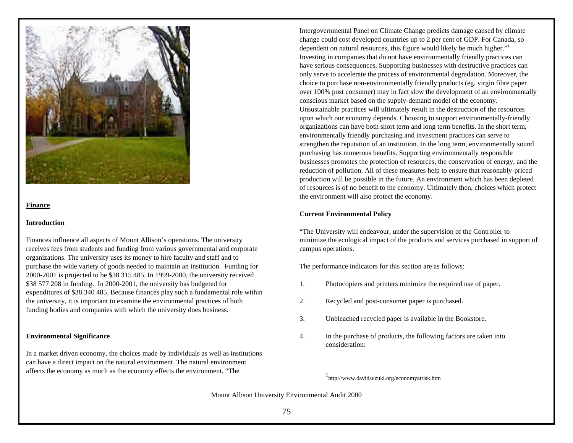

#### **Finance**

#### **Introduction**

Finances influence all aspects of Mount Allison's operations. The university receives fees from students and funding from various governmental and corporate organizations. The university uses its money to hire faculty and staff and to purchase the wide variety of goods needed to maintain an institution. Funding for 2000-2001 is projected to be \$38 315 485. In 1999-2000, the university received \$38 577 208 in funding. In 2000-2001, the university has budgeted for expenditures of \$38 340 485. Because finances play such a fundamental role within the university, it is important to examine the environmental practices of both funding bodies and companies with which the university does business.

#### **Environmental Significance**

In a market driven economy, the choices made by individuals as well as institutions can have a direct impact on the natural environment. The natural environment affects the economy as much as the economy effects the environment. "The

Intergovernmental Panel on Climate Change predicts damage caused by climate change could cost developed countries up to 2 per cent of GDP. For Canada, so dependent on natural resources, this figure would likely be much higher."<sup>1</sup> Investing in companies that do not have environmentally friendly practices can have serious consequences. Supporting businesses with destructive practices can only serve to accelerate the process of environmental degradation. Moreover, the choice to purchase non-environmentally friendly products (eg. virgin fibre paper over 100% post consumer) may in fact slow the development of an environmentally conscious market based on the supply-demand model of the economy. Unsustainable practices will ultimately result in the destruction of the resources upon which our economy depends. Choosing to support environmentally-friendly organizations can have both short term and long term benefits. In the short term, environmentally friendly purchasing and investment practices can serve to strengthen the reputation of an institution. In the long term, environmentally sound purchasing has numerous benefits. Supporting environmentally responsible businesses promotes the protection of resources, the conservation of energy, and the reduction of pollution. All of these measures help to ensure that reasonably-priced production will be possible in the future. An environment which has been depleted of resources is of no benefit to the economy. Ultimately then, choices which protect the environment will also protect the economy.

#### **Current Environmental Policy**

"The University will endeavour, under the supervision of the Controller to minimize the ecological impact of the products and services purchased in support of campus operations.

The performance indicators for this section are as follows:

- 1. Photocopiers and printers minimize the required use of paper.
- 2. Recycled and post-consumer paper is purchased.
- 3. Unbleached recycled paper is available in the Bookstore.
- 4. In the purchase of products, the following factors are taken into consideration:

<sup>1</sup> http://www.davidsuzuki.org/economyatrisk.htm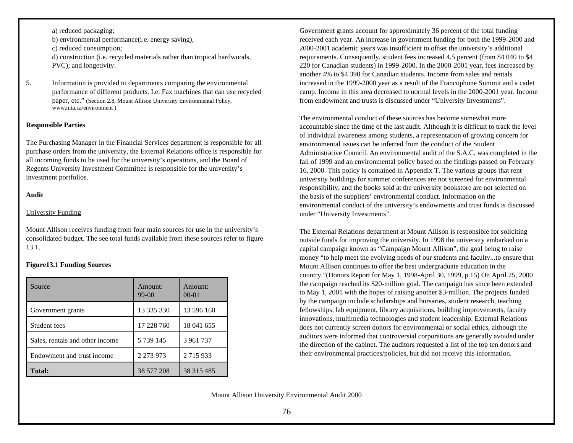a) reduced packaging; b) environmental performance(i.e. energy saving), c) reduced consumption; d) construction (i.e. recycled materials rather than tropical hardwoods, PVC); and longetivity.

5. Information is provided to departments comparing the environmental performance of different products. I.e. Fax machines that can use recycled paper, etc." (Section 2.8, Mount Allison University Environmental Policy, www.mta.ca/environment )

#### **Responsible Parties**

The Purchasing Manager in the Financial Services department is responsible for all purchase orders from the university, the External Relations office is responsible for all incoming funds to be used for the university's operations, and the Board of Regents University Investment Committee is responsible for the university's investment portfolios.

#### **Audit**

#### University Funding

Mount Allison receives funding from four main sources for use in the university's consolidated budget. The see total funds available from these sources refer to figure 13.1.

#### **Figure13.1 Funding Sources**

| Source                          | Amount:<br>$99-00$ | Amount:<br>$00 - 01$ |
|---------------------------------|--------------------|----------------------|
| Government grants               | 13 335 330         | 13 596 160           |
| Student fees                    | 17 228 760         | 18 041 655           |
| Sales, rentals and other income | 5 739 145          | 3 961 737            |
| Endowment and trust income      | 2 2 7 3 9 7 3      | 2 7 1 5 9 3 3        |
| <b>Total:</b>                   | 38 577 208         | 38 315 485           |

Government grants account for approximately 36 percent of the total funding received each year. An increase in government funding for both the 1999-2000 and 2000-2001 academic years was insufficient to offset the university's additional requirements. Consequently, student fees increased 4.5 percent (from \$4 040 to \$4 220 for Canadian students) in 1999-2000. In the 2000-2001 year, fees increased by another 4% to \$4 390 for Canadian students. Income from sales and rentals increased in the 1999-2000 year as a result of the Francophone Summit and a cadet camp. Income in this area decreased to normal levels in the 2000-2001 year. Income from endowment and trusts is discussed under "University Investments".

The environmental conduct of these sources has become somewhat more accountable since the time of the last audit. Although it is difficult to track the level of individual awareness among students, a representation of growing concern for environmental issues can be inferred from the conduct of the Student Administrative Council. An environmental audit of the S.A.C. was completed in the fall of 1999 and an environmental policy based on the findings passed on February 16, 2000. This policy is contained in Appendix T. The various groups that rent university buildings for summer conferences are not screened for environmental responsibility, and the books sold at the university bookstore are not selected on the basis of the suppliers' environmental conduct. Information on the environmental conduct of the university's endowments and trust funds is discussed under "University Investments".

The External Relations department at Mount Allison is responsible for soliciting outside funds for improving the university. In 1998 the university embarked on a capital campaign known as "Campaign Mount Allison", the goal being to raise money "to help meet the evolving needs of our students and faculty...to ensure that Mount Allison continues to offer the best undergraduate education in the country."(Donors Report for May 1, 1998-April 30, 1999, p.15) On April 25, 2000 the campaign reached its \$20-million goal. The campaign has since been extended to May 1, 2001 with the hopes of raising another \$3-million. The projects funded by the campaign include scholarships and bursaries, student research, teaching fellowships, lab equipment, library acquisitions, building improvements, faculty innovations, multimedia technologies and student leadership. External Relations does not currently screen donors for environmental or social ethics, although the auditors were informed that controversial corporations are generally avoided under the direction of the cabinet. The auditors requested a list of the top ten donors and their environmental practices/policies, but did not receive this information.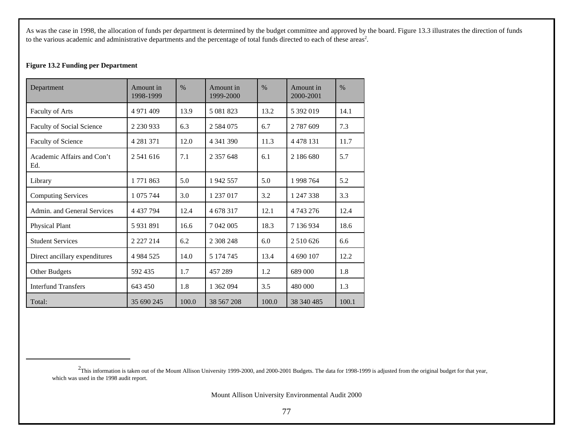As was the case in 1998, the allocation of funds per department is determined by the budget committee and approved by the board. Figure 13.3 illustrates the direction of funds to the various academic and administrative departments and the percentage of total funds directed to each of these areas<sup>2</sup>.

## **Figure 13.2 Funding per Department**

| Department                        | Amount in<br>1998-1999 | $\frac{0}{0}$ | Amount in<br>1999-2000 | $\%$  | Amount in<br>2000-2001 | $\frac{0}{0}$ |
|-----------------------------------|------------------------|---------------|------------------------|-------|------------------------|---------------|
| <b>Faculty of Arts</b>            | 4 971 409              | 13.9          | 5 081 823              | 13.2  | 5 392 019              | 14.1          |
| Faculty of Social Science         | 2 230 933              | 6.3           | 2 5 8 4 0 7 5          | 6.7   | 2 787 609              | 7.3           |
| Faculty of Science                | 4 2 8 1 3 7 1          | 12.0          | 4 341 390              | 11.3  | 4 4 7 8 1 3 1          | 11.7          |
| Academic Affairs and Con't<br>Ed. | 2.541.616              | 7.1           | 2 357 648              | 6.1   | 2 186 680              | 5.7           |
| Library                           | 1 771 863              | 5.0           | 1942 557               | 5.0   | 1998 764               | 5.2           |
| <b>Computing Services</b>         | 1 075 744              | 3.0           | 1 237 017              | 3.2   | 1 247 338              | 3.3           |
| Admin, and General Services       | 4 437 794              | 12.4          | 4 678 317              | 12.1  | 4 743 276              | 12.4          |
| Physical Plant                    | 5931891                | 16.6          | 7 042 005              | 18.3  | 7 136 934              | 18.6          |
| <b>Student Services</b>           | 2 2 2 2 1 4            | 6.2           | 2 308 248              | 6.0   | 2 510 626              | 6.6           |
| Direct ancillary expenditures     | 4 9 8 4 5 2 5          | 14.0          | 5 174 745              | 13.4  | 4 690 107              | 12.2          |
| Other Budgets                     | 592435                 | 1.7           | 457 289                | 1.2   | 689 000                | 1.8           |
| <b>Interfund Transfers</b>        | 643 450                | 1.8           | 1 362 094              | 3.5   | 480 000                | 1.3           |
| Total:                            | 35 690 245             | 100.0         | 38 567 208             | 100.0 | 38 340 485             | 100.1         |

 $^2$ This information is taken out of the Mount Allison University 1999-2000, and 2000-2001 Budgets. The data for 1998-1999 is adjusted from the original budget for that year, which was used in the 1998 audit report.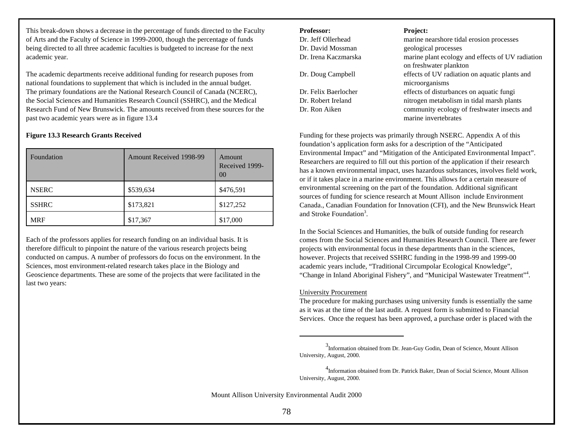This break-down shows a decrease in the percentage of funds directed to the Faculty of Arts and the Faculty of Science in 1999-2000, though the percentage of funds being directed to all three academic faculties is budgeted to increase for the next academic year.

The academic departments receive additional funding for research puposes from national foundations to supplement that which is included in the annual budget. The primary foundations are the National Research Council of Canada (NCERC), the Social Sciences and Humanities Research Council (SSHRC), and the Medical Research Fund of New Brunswick. The amounts received from these sources for the past two academic years were as in figure 13.4

## **Figure 13.3 Research Grants Received**

| Foundation   | <b>Amount Received 1998-99</b> | Amount<br>Received 1999-<br>00 |
|--------------|--------------------------------|--------------------------------|
| <b>NSERC</b> | \$539,634                      | \$476,591                      |
| <b>SSHRC</b> | \$173,821                      | \$127,252                      |
| <b>MRF</b>   | \$17,367                       | \$17,000                       |

Each of the professors applies for research funding on an individual basis. It is therefore difficult to pinpoint the nature of the various research projects being conducted on campus. A number of professors do focus on the environment. In the Sciences, most environment-related research takes place in the Biology and Geoscience departments. These are some of the projects that were facilitated in the last two years:

| <b>Professor:</b>    | <b>Project:</b>                                  |
|----------------------|--------------------------------------------------|
| Dr. Jeff Ollerhead   | marine nearshore tidal erosion processes         |
| Dr. David Mossman    | geological processes                             |
| Dr. Irena Kaczmarska | marine plant ecology and effects of UV radiation |
|                      | on freshwater plankton                           |
| Dr. Doug Campbell    | effects of UV radiation on aquatic plants and    |
|                      | microorganisms                                   |
| Dr. Felix Baerlocher | effects of disturbances on aquatic fungi         |
| Dr. Robert Ireland   | nitrogen metabolism in tidal marsh plants        |
| Dr. Ron Aiken        | community ecology of freshwater insects and      |
|                      | marine invertebrates                             |
|                      |                                                  |

Funding for these projects was primarily through NSERC. Appendix A of this foundation's application form asks for a description of the "Anticipated Environmental Impact" and "Mitigation of the Anticipated Environmental Impact". Researchers are required to fill out this portion of the application if their research has a known environmental impact, uses hazardous substances, involves field work, or if it takes place in a marine environment. This allows for a certain measure of environmental screening on the part of the foundation. Additional significant sources of funding for science research at Mount Allison include Environment Canada., Canadian Foundation for Innovation (CFI), and the New Brunswick Heart and Stroke Foundation<sup>3</sup>.

In the Social Sciences and Humanities, the bulk of outside funding for research comes from the Social Sciences and Humanities Research Council. There are fewer projects with environmental focus in these departments than in the sciences, however. Projects that received SSHRC funding in the 1998-99 and 1999-00 academic years include, "Traditional Circumpolar Ecological Knowledge", "Change in Inland Aboriginal Fishery", and "Municipal Wastewater Treatment"<sup>4</sup> .

#### University Procurement

The procedure for making purchases using university funds is essentially the same as it was at the time of the last audit. A request form is submitted to Financial Services. Once the request has been approved, a purchase order is placed with the

<sup>&</sup>lt;sup>3</sup>Information obtained from Dr. Jean-Guy Godin, Dean of Science, Mount Allison University, August, 2000.

<sup>4</sup> Information obtained from Dr. Patrick Baker, Dean of Social Science, Mount Allison University, August, 2000.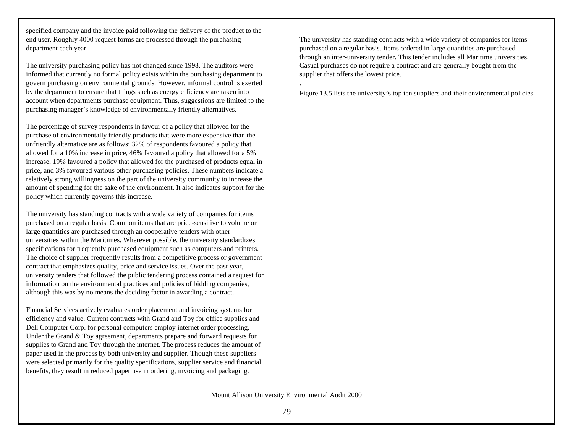specified company and the invoice paid following the delivery of the product to the end user. Roughly 4000 request forms are processed through the purchasing department each year.

The university purchasing policy has not changed since 1998. The auditors were informed that currently no formal policy exists within the purchasing department to govern purchasing on environmental grounds. However, informal control is exerted by the department to ensure that things such as energy efficiency are taken into account when departments purchase equipment. Thus, suggestions are limited to the purchasing manager's knowledge of environmentally friendly alternatives.

The percentage of survey respondents in favour of a policy that allowed for the purchase of environmentally friendly products that were more expensive than the unfriendly alternative are as follows: 32% of respondents favoured a policy that allowed for a 10% increase in price, 46% favoured a policy that allowed for a 5% increase, 19% favoured a policy that allowed for the purchased of products equal in price, and 3% favoured various other purchasing policies. These numbers indicate a relatively strong willingness on the part of the university community to increase the amount of spending for the sake of the environment. It also indicates support for the policy which currently governs this increase.

The university has standing contracts with a wide variety of companies for items purchased on a regular basis. Common items that are price-sensitive to volume or large quantities are purchased through an cooperative tenders with other universities within the Maritimes. Wherever possible, the university standardizes specifications for frequently purchased equipment such as computers and printers. The choice of supplier frequently results from a competitive process or government contract that emphasizes quality, price and service issues. Over the past year, university tenders that followed the public tendering process contained a request for information on the environmental practices and policies of bidding companies, although this was by no means the deciding factor in awarding a contract.

Financial Services actively evaluates order placement and invoicing systems for efficiency and value. Current contracts with Grand and Toy for office supplies and Dell Computer Corp. for personal computers employ internet order processing. Under the Grand & Toy agreement, departments prepare and forward requests for supplies to Grand and Toy through the internet. The process reduces the amount of paper used in the process by both university and supplier. Though these suppliers were selected primarily for the quality specifications, supplier service and financial benefits, they result in reduced paper use in ordering, invoicing and packaging.

The university has standing contracts with a wide variety of companies for items purchased on a regular basis. Items ordered in large quantities are purchased through an inter-university tender. This tender includes all Maritime universities. Casual purchases do not require a contract and are generally bought from the supplier that offers the lowest price.

Figure 13.5 lists the university's top ten suppliers and their environmental policies.

.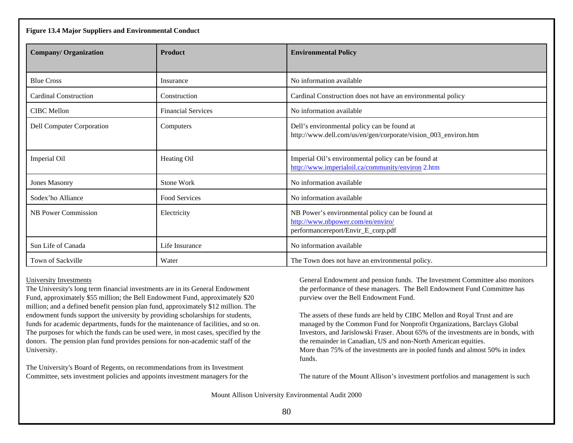| Figure 13.4 Major Suppliers and Environmental Conduct |                           |                                                                                                                            |  |
|-------------------------------------------------------|---------------------------|----------------------------------------------------------------------------------------------------------------------------|--|
| <b>Company/Organization</b>                           | <b>Product</b>            | <b>Environmental Policy</b>                                                                                                |  |
|                                                       |                           |                                                                                                                            |  |
| <b>Blue Cross</b>                                     | Insurance                 | No information available                                                                                                   |  |
| Cardinal Construction                                 | Construction              | Cardinal Construction does not have an environmental policy                                                                |  |
| <b>CIBC</b> Mellon                                    | <b>Financial Services</b> | No information available                                                                                                   |  |
| <b>Dell Computer Corporation</b>                      | Computers                 | Dell's environmental policy can be found at<br>http://www.dell.com/us/en/gen/corporate/vision_003_environ.htm              |  |
| Imperial Oil                                          | Heating Oil               | Imperial Oil's environmental policy can be found at<br>http://www.imperialoil.ca/community/environ 2.htm                   |  |
| <b>Jones Masonry</b>                                  | Stone Work                | No information available                                                                                                   |  |
| Sodex'ho Alliance                                     | Food Services             | No information available                                                                                                   |  |
| NB Power Commission                                   | Electricity               | NB Power's environmental policy can be found at<br>http://www.nbpower.com/en/enviro/<br>performancereport/Envir_E_corp.pdf |  |
| Sun Life of Canada                                    | Life Insurance            | No information available                                                                                                   |  |
| Town of Sackville                                     | Water                     | The Town does not have an environmental policy.                                                                            |  |

## University Investments

The University's long term financial investments are in its General Endowment Fund, approximately \$55 million; the Bell Endowment Fund, approximately \$20 million; and a defined benefit pension plan fund, approximately \$12 million. The endowment funds support the university by providing scholarships for students, funds for academic departments, funds for the maintenance of facilities, and so on. The purposes for which the funds can be used were, in most cases, specified by the donors. The pension plan fund provides pensions for non-academic staff of the University.

The University's Board of Regents, on recommendations from its Investment Committee, sets investment policies and appoints investment managers for the General Endowment and pension funds. The Investment Committee also monitors the performance of these managers. The Bell Endowment Fund Committee has purview over the Bell Endowment Fund.

The assets of these funds are held by CIBC Mellon and Royal Trust and are managed by the Common Fund for Nonprofit Organizations, Barclays Global Investors, and Jarislowski Fraser. About 65% of the investments are in bonds, with the remainder in Canadian, US and non-North American equities. More than 75% of the investments are in pooled funds and almost 50% in index funds.

The nature of the Mount Allison's investment portfolios and management is such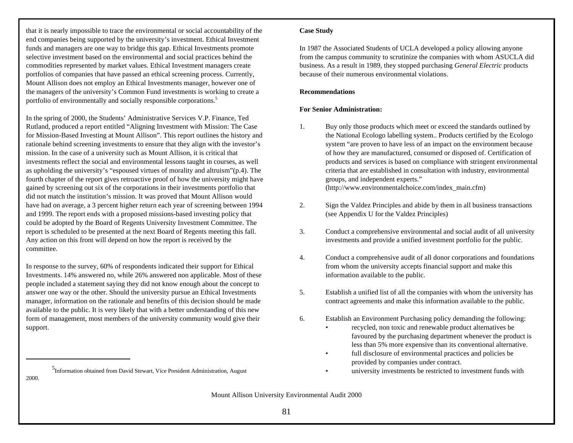that it is nearly impossible to trace the environmental or social accountability of the end companies being supported by the university's investment. Ethical Investment funds and managers are one way to bridge this gap. Ethical Investments promote selective investment based on the environmental and social practices behind the commodities represented by market values. Ethical Investment managers create portfolios of companies that have passed an ethical screening process. Currently, Mount Allison does not employ an Ethical Investments manager, however one of the managers of the university's Common Fund investments is working to create a portfolio of environmentally and socially responsible corporations.<sup>5</sup>

In the spring of 2000, the Students' Administrative Services V.P. Finance, Ted Rutland, produced a report entitled "Aligning Investment with Mission: The Case for Mission-Based Investing at Mount Allison". This report outlines the history and rationale behind screening investments to ensure that they align with the investor's mission. In the case of a university such as Mount Allison, it is critical that investments reflect the social and environmental lessons taught in courses, as well as upholding the university's "espoused virtues of morality and altruism"(p.4). The fourth chapter of the report gives retroactive proof of how the university might have gained by screening out six of the corporations in their investments portfolio that did not match the institution's mission. It was proved that Mount Allison would have had on average, a 3 percent higher return each year of screening between 1994 and 1999. The report ends with a proposed missions-based investing policy that could be adopted by the Board of Regents University Investment Committee. The report is scheduled to be presented at the next Board of Regents meeting this fall. Any action on this front will depend on how the report is received by the committee.

In response to the survey, 60% of respondents indicated their support for Ethical Investments. 14% answered no, while 26% answered non applicable. Most of these people included a statement saying they did not know enough about the concept to answer one way or the other. Should the university pursue an Ethical Investments manager, information on the rationale and benefits of this decision should be made available to the public. It is very likely that with a better understanding of this new form of management, most members of the university community would give their support.

<sup>5</sup>Information obtained from David Stewart, Vice President Administration, August **and Convertising of the Convention** obtained from David Stewart, Vice President Administration, August **and Convertising investments be res** 

2000.

### **Case Study**

In 1987 the Associated Students of UCLA developed a policy allowing anyone from the campus community to scrutinize the companies with whom ASUCLA did business. As a result in 1989, they stopped purchasing *General Electric* products because of their numerous environmental violations.

## **Recommendations**

## **For Senior Administration:**

- 1. Buy only those products which meet or exceed the standards outlined by the National Ecologo labelling system.. Products certified by the Ecologo system "are proven to have less of an impact on the environment because of how they are manufactured, consumed or disposed of. Certification of products and services is based on compliance with stringent environmental criteria that are established in consultation with industry, environmental groups, and independent experts." (http://www.environmentalchoice.com/index\_main.cfm)
- 2. Sign the Valdez Principles and abide by them in all business transactions (see Appendix U for the Valdez Principles)
- 3. Conduct a comprehensive environmental and social audit of all university investments and provide a unified investment portfolio for the public.
- 4. Conduct a comprehensive audit of all donor corporations and foundations from whom the university accepts financial support and make this information available to the public.
- 5. Establish a unified list of all the companies with whom the university has contract agreements and make this information available to the public.
- 6. Establish an Environment Purchasing policy demanding the following:
	- recycled, non toxic and renewable product alternatives be favoured by the purchasing department whenever the product is less than 5% more expensive than its conventional alternative.
	- full disclosure of environmental practices and policies be provided by companies under contract.
		-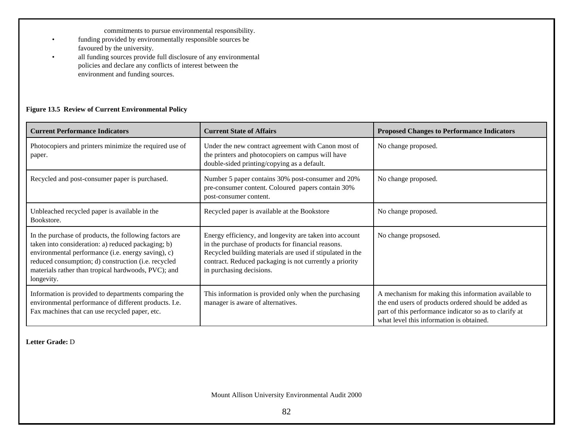commitments to pursue environmental responsibility.

- funding provided by environmentally responsible sources be favoured by the university.
- all funding sources provide full disclosure of any environmental policies and declare any conflicts of interest between the environment and funding sources.

## **Figure 13.5 Review of Current Environmental Policy**

| <b>Current Performance Indicators</b>                                                                                                                                                                                                                                                          | <b>Current State of Affairs</b>                                                                                                                                                                                                                                   | <b>Proposed Changes to Performance Indicators</b>                                                                                                                                                                  |
|------------------------------------------------------------------------------------------------------------------------------------------------------------------------------------------------------------------------------------------------------------------------------------------------|-------------------------------------------------------------------------------------------------------------------------------------------------------------------------------------------------------------------------------------------------------------------|--------------------------------------------------------------------------------------------------------------------------------------------------------------------------------------------------------------------|
| Photocopiers and printers minimize the required use of<br>paper.                                                                                                                                                                                                                               | Under the new contract agreement with Canon most of<br>the printers and photocopiers on campus will have<br>double-sided printing/copying as a default.                                                                                                           | No change proposed.                                                                                                                                                                                                |
| Recycled and post-consumer paper is purchased.                                                                                                                                                                                                                                                 | Number 5 paper contains 30% post-consumer and 20%<br>pre-consumer content. Coloured papers contain 30%<br>post-consumer content.                                                                                                                                  | No change proposed.                                                                                                                                                                                                |
| Unbleached recycled paper is available in the<br>Bookstore.                                                                                                                                                                                                                                    | Recycled paper is available at the Bookstore                                                                                                                                                                                                                      | No change proposed.                                                                                                                                                                                                |
| In the purchase of products, the following factors are<br>taken into consideration: a) reduced packaging; b)<br>environmental performance (i.e. energy saving), c)<br>reduced consumption; d) construction (i.e. recycled<br>materials rather than tropical hardwoods, PVC); and<br>longevity. | Energy efficiency, and longevity are taken into account<br>in the purchase of products for financial reasons.<br>Recycled building materials are used if stipulated in the<br>contract. Reduced packaging is not currently a priority<br>in purchasing decisions. | No change propsosed.                                                                                                                                                                                               |
| Information is provided to departments comparing the<br>environmental performance of different products. I.e.<br>Fax machines that can use recycled paper, etc.                                                                                                                                | This information is provided only when the purchasing<br>manager is aware of alternatives.                                                                                                                                                                        | A mechanism for making this information available to<br>the end users of products ordered should be added as<br>part of this performance indicator so as to clarify at<br>what level this information is obtained. |

**Letter Grade:** D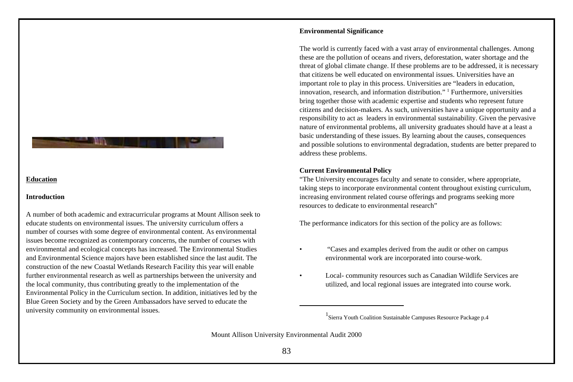#### **Education**

#### **Introduction**

A number of both academic and extracurricular programs at Mount Allison seek to educate students on environmental issues. The university curriculum offers a number of courses with some degree of environmental content. As environmental issues become recognized as contemporary concerns, the number of courses with environmental and ecological concepts has increased. The Environmental Studies and Environmental Science majors have been established since the last audit. The construction of the new Coastal Wetlands Research Facility this year will enable further environmental research as well as partnerships between the university and the local community, thus contributing greatly to the implementation of the Environmental Policy in the Curriculum section. In addition, initiatives led by the Blue Green Society and by the Green Ambassadors have served to educate the university community on environmental issues.

## **Environmental Significance**

The world is currently faced with a vast array of environmental challenges. Among these are the pollution of oceans and rivers, deforestation, water shortage and the threat of global climate change. If these problems are to be addressed, it is necessary that citizens be well educated on environmental issues. Universities have an important role to play in this process. Universities are "leaders in education, innovation, research, and information distribution." <sup>1</sup> Furthermore, universities bring together those with academic expertise and students who represent future citizens and decision-makers. As such, universities have a unique opportunity and a responsibility to act as leaders in environmental sustainability. Given the pervasive nature of environmental problems, all university graduates should have at a least a basic understanding of these issues. By learning about the causes, consequences and possible solutions to environmental degradation, students are better prepared to address these problems.

#### **Current Environmental Policy**

"The University encourages faculty and senate to consider, where appropriate, taking steps to incorporate environmental content throughout existing curriculum, increasing environment related course offerings and programs seeking more resources to dedicate to environmental research"

The performance indicators for this section of the policy are as follows:

- "Cases and examples derived from the audit or other on campus environmental work are incorporated into course-work.
- Local- community resources such as Canadian Wildlife Services are utilized, and local regional issues are integrated into course work.

<sup>&</sup>lt;sup>1</sup> Sierra Youth Coalition Sustainable Campuses Resource Package p.4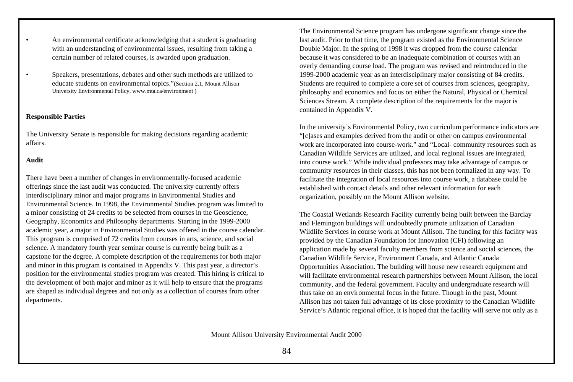- An environmental certificate acknowledging that a student is graduating with an understanding of environmental issues, resulting from taking a certain number of related courses, is awarded upon graduation.
- Speakers, presentations, debates and other such methods are utilized to educate students on environmental topics."(Section 2.1, Mount Allison University Environmental Policy, www.mta.ca/environment )

## **Responsible Parties**

The University Senate is responsible for making decisions regarding academic affairs.

#### **Audit**

There have been a number of changes in environmentally-focused academic offerings since the last audit was conducted. The university currently offers interdisciplinary minor and major programs in Environmental Studies and Environmental Science. In 1998, the Environmental Studies program was limited to a minor consisting of 24 credits to be selected from courses in the Geoscience, Geography, Economics and Philosophy departments. Starting in the 1999-2000 academic year, a major in Environmental Studies was offered in the course calendar. This program is comprised of 72 credits from courses in arts, science, and social science. A mandatory fourth year seminar course is currently being built as a capstone for the degree. A complete description of the requirements for both major and minor in this program is contained in Appendix V. This past year, a director's position for the environmental studies program was created. This hiring is critical to the development of both major and minor as it will help to ensure that the programs are shaped as individual degrees and not only as a collection of courses from other departments.

The Environmental Science program has undergone significant change since the last audit. Prior to that time, the program existed as the Environmental Science Double Major. In the spring of 1998 it was dropped from the course calendar because it was considered to be an inadequate combination of courses with an overly demanding course load. The program was revised and reintroduced in the 1999-2000 academic year as an interdisciplinary major consisting of 84 credits. Students are required to complete a core set of courses from sciences, geography, philosophy and economics and focus on either the Natural, Physical or Chemical Sciences Stream. A complete description of the requirements for the major is contained in Appendix V.

In the university's Environmental Policy, two curriculum performance indicators are "[c]ases and examples derived from the audit or other on campus environmental work are incorporated into course-work." and "Local- community resources such as Canadian Wildlife Services are utilized, and local regional issues are integrated, into course work." While individual professors may take advantage of campus or community resources in their classes, this has not been formalized in any way. To facilitate the integration of local resources into course work, a database could be established with contact details and other relevant information for each organization, possibly on the Mount Allison website.

The Coastal Wetlands Research Facility currently being built between the Barclay and Flemington buildings will undoubtedly promote utilization of Canadian Wildlife Services in course work at Mount Allison. The funding for this facility was provided by the Canadian Foundation for Innovation (CFI) following an application made by several faculty members from science and social sciences, the Canadian Wildlife Service, Environment Canada, and Atlantic Canada Opportunities Association. The building will house new research equipment and will facilitate environmental research partnerships between Mount Allison, the local community, and the federal government. Faculty and undergraduate research will thus take on an environmental focus in the future. Though in the past, Mount Allison has not taken full advantage of its close proximity to the Canadian Wildlife Service's Atlantic regional office, it is hoped that the facility will serve not only as a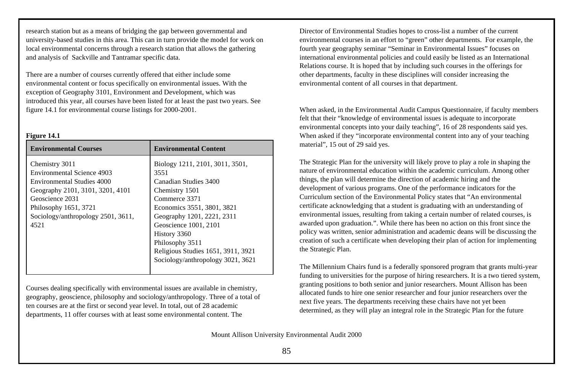research station but as a means of bridging the gap between governmental and university-based studies in this area. This can in turn provide the model for work on local environmental concerns through a research station that allows the gathering and analysis of Sackville and Tantramar specific data.

There are a number of courses currently offered that either include some environmental content or focus specifically on environmental issues. With the exception of Geography 3101, Environment and Development, which was introduced this year, all courses have been listed for at least the past two years. See figure 14.1 for environmental course listings for 2000-2001.

#### **Figure 14.1**

| Biology 1211, 2101, 3011, 3501,                                                                                                                                                                                                                             |
|-------------------------------------------------------------------------------------------------------------------------------------------------------------------------------------------------------------------------------------------------------------|
| Canadian Studies 3400<br>Chemistry 1501<br>Commerce 3371<br>Economics 3551, 3801, 3821<br>Geography 1201, 2221, 2311<br>Geoscience 1001, 2101<br>History 3360<br>Philosophy 3511<br>Religious Studies 1651, 3911, 3921<br>Sociology/anthropology 3021, 3621 |
|                                                                                                                                                                                                                                                             |

Courses dealing specifically with environmental issues are available in chemistry, geography, geoscience, philosophy and sociology/anthropology. Three of a total of ten courses are at the first or second year level. In total, out of 28 academic departments, 11 offer courses with at least some environmental content. The

Director of Environmental Studies hopes to cross-list a number of the current environmental courses in an effort to "green" other departments. For example, the fourth year geography seminar "Seminar in Environmental Issues" focuses on international environmental policies and could easily be listed as an International Relations course. It is hoped that by including such courses in the offerings for other departments, faculty in these disciplines will consider increasing the environmental content of all courses in that department.

When asked, in the Environmental Audit Campus Questionnaire, if faculty members felt that their "knowledge of environmental issues is adequate to incorporate environmental concepts into your daily teaching", 16 of 28 respondents said yes. When asked if they "incorporate environmental content into any of your teaching material", 15 out of 29 said yes.

The Strategic Plan for the university will likely prove to play a role in shaping the nature of environmental education within the academic curriculum. Among other things, the plan will determine the direction of academic hiring and the development of various programs. One of the performance indicators for the Curriculum section of the Environmental Policy states that "An environmental certificate acknowledging that a student is graduating with an understanding of environmental issues, resulting from taking a certain number of related courses, is awarded upon graduation.". While there has been no action on this front since the policy was written, senior administration and academic deans will be discussing the creation of such a certificate when developing their plan of action for implementing the Strategic Plan.

The Millennium Chairs fund is a federally sponsored program that grants multi-year funding to universities for the purpose of hiring researchers. It is a two tiered system, granting positions to both senior and junior researchers. Mount Allison has been allocated funds to hire one senior researcher and four junior researchers over the next five years. The departments receiving these chairs have not yet been determined, as they will play an integral role in the Strategic Plan for the future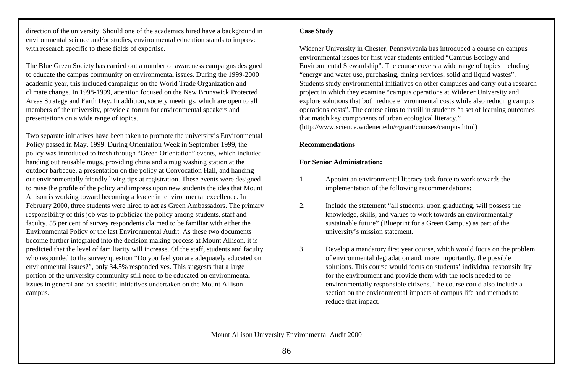direction of the university. Should one of the academics hired have a background in environmental science and/or studies, environmental education stands to improve with research specific to these fields of expertise.

The Blue Green Society has carried out a number of awareness campaigns designed to educate the campus community on environmental issues. During the 1999-2000 academic year, this included campaigns on the World Trade Organization and climate change. In 1998-1999, attention focused on the New Brunswick Protected Areas Strategy and Earth Day. In addition, society meetings, which are open to all members of the university, provide a forum for environmental speakers and presentations on a wide range of topics.

Two separate initiatives have been taken to promote the university's Environmental Policy passed in May, 1999. During Orientation Week in September 1999, the policy was introduced to frosh through "Green Orientation" events, which included handing out reusable mugs, providing china and a mug washing station at the outdoor barbecue, a presentation on the policy at Convocation Hall, and handing out environmentally friendly living tips at registration. These events were designed to raise the profile of the policy and impress upon new students the idea that Mount Allison is working toward becoming a leader in environmental excellence. In February 2000, three students were hired to act as Green Ambassadors. The primary responsibility of this job was to publicize the policy among students, staff and faculty. 55 per cent of survey respondents claimed to be familiar with either the Environmental Policy or the last Environmental Audit. As these two documents become further integrated into the decision making process at Mount Allison, it is predicted that the level of familiarity will increase. Of the staff, students and faculty who responded to the survey question "Do you feel you are adequately educated on environmental issues?", only 34.5% responded yes. This suggests that a large portion of the university community still need to be educated on environmental issues in general and on specific initiatives undertaken on the Mount Allison campus.

## **Case Study**

Widener University in Chester, Pennsylvania has introduced a course on campus environmental issues for first year students entitled "Campus Ecology and Environmental Stewardship". The course covers a wide range of topics including "energy and water use, purchasing, dining services, solid and liquid wastes". Students study environmental initiatives on other campuses and carry out a research project in which they examine "campus operations at Widener University and explore solutions that both reduce environmental costs while also reducing campus operations costs". The course aims to instill in students "a set of learning outcomes that match key components of urban ecological literacy." (http://www.science.widener.edu/~grant/courses/campus.html)

### **Recommendations**

## **For Senior Administration:**

- 1. Appoint an environmental literacy task force to work towards the implementation of the following recommendations:
- 2. Include the statement "all students, upon graduating, will possess the knowledge, skills, and values to work towards an environmentally sustainable future" (Blueprint for a Green Campus) as part of the university's mission statement.
- 3. Develop a mandatory first year course, which would focus on the problem of environmental degradation and, more importantly, the possible solutions. This course would focus on students' individual responsibility for the environment and provide them with the tools needed to be environmentally responsible citizens. The course could also include a section on the environmental impacts of campus life and methods to reduce that impact.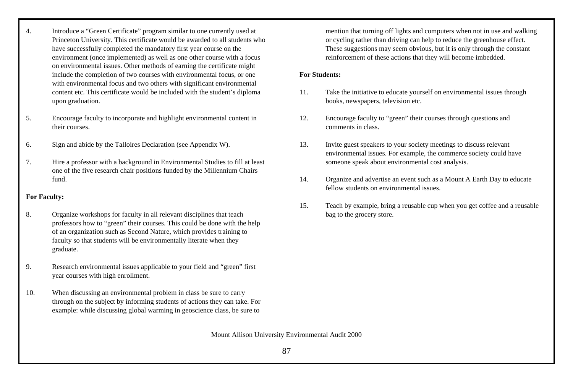- 4. Introduce a "Green Certificate" program similar to one currently used at Princeton University. This certificate would be awarded to all students who have successfully completed the mandatory first year course on the environment (once implemented) as well as one other course with a focus on environmental issues. Other methods of earning the certificate might include the completion of two courses with environmental focus, or one with environmental focus and two others with significant environmental content etc. This certificate would be included with the student's diploma upon graduation.
- 5. Encourage faculty to incorporate and highlight environmental content in their courses.
- 6. Sign and abide by the Talloires Declaration (see Appendix W).
- 7. Hire a professor with a background in Environmental Studies to fill at least one of the five research chair positions funded by the Millennium Chairs fund.

## **For Faculty:**

- 8. Organize workshops for faculty in all relevant disciplines that teach professors how to "green" their courses. This could be done with the help of an organization such as Second Nature, which provides training to faculty so that students will be environmentally literate when they graduate.
- 9. Research environmental issues applicable to your field and "green" first year courses with high enrollment.
- 10. When discussing an environmental problem in class be sure to carry through on the subject by informing students of actions they can take. For example: while discussing global warming in geoscience class, be sure to

mention that turning off lights and computers when not in use and walking or cycling rather than driving can help to reduce the greenhouse effect. These suggestions may seem obvious, but it is only through the constant reinforcement of these actions that they will become imbedded.

## **For Students:**

- 11. Take the initiative to educate yourself on environmental issues through books, newspapers, television etc.
- 12. Encourage faculty to "green" their courses through questions and comments in class.
- 13. Invite guest speakers to your society meetings to discuss relevant environmental issues. For example, the commerce society could have someone speak about environmental cost analysis.
- 14. Organize and advertise an event such as a Mount A Earth Day to educate fellow students on environmental issues.
- 15. Teach by example, bring a reusable cup when you get coffee and a reusable bag to the grocery store.